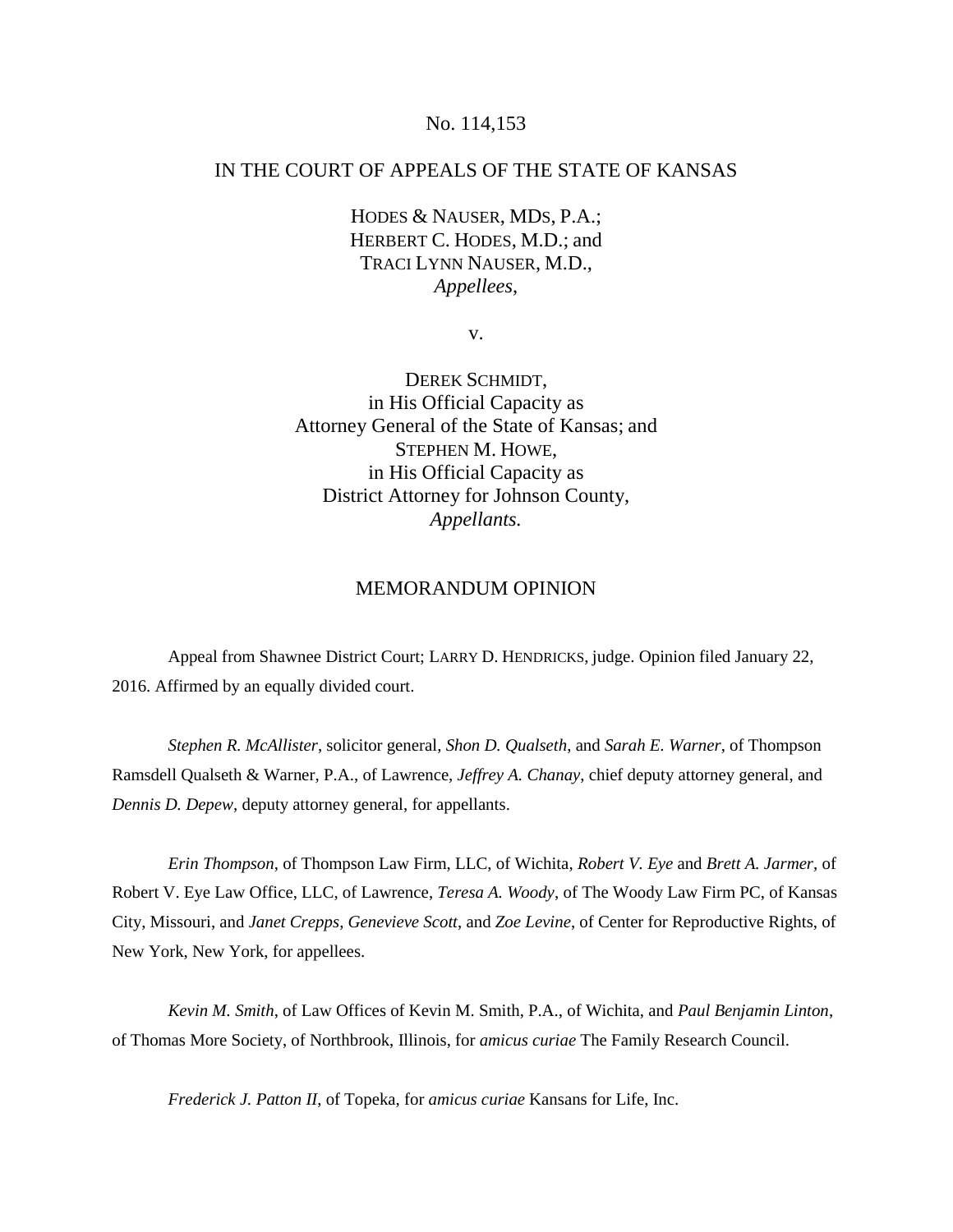### No. 114,153

# IN THE COURT OF APPEALS OF THE STATE OF KANSAS

HODES & NAUSER, MDS, P.A.; HERBERT C. HODES, M.D.; and TRACI LYNN NAUSER, M.D., *Appellees*,

v.

DEREK SCHMIDT, in His Official Capacity as Attorney General of the State of Kansas; and STEPHEN M. HOWE, in His Official Capacity as District Attorney for Johnson County, *Appellants.*

#### MEMORANDUM OPINION

Appeal from Shawnee District Court; LARRY D. HENDRICKS, judge. Opinion filed January 22, 2016. Affirmed by an equally divided court.

*Stephen R. McAllister*, solicitor general, *Shon D. Qualseth*, and *Sarah E. Warner*, of Thompson Ramsdell Qualseth & Warner, P.A., of Lawrence, *Jeffrey A. Chanay*, chief deputy attorney general, and *Dennis D. Depew*, deputy attorney general, for appellants.

*Erin Thompson*, of Thompson Law Firm, LLC, of Wichita, *Robert V. Eye* and *Brett A. Jarmer*, of Robert V. Eye Law Office, LLC, of Lawrence, *Teresa A. Woody*, of The Woody Law Firm PC, of Kansas City, Missouri, and *Janet Crepps*, *Genevieve Scott*, and *Zoe Levine*, of Center for Reproductive Rights, of New York, New York, for appellees.

*Kevin M. Smith*, of Law Offices of Kevin M. Smith, P.A., of Wichita, and *Paul Benjamin Linton*, of Thomas More Society, of Northbrook, Illinois, for *amicus curiae* The Family Research Council.

*Frederick J. Patton II*, of Topeka, for *amicus curiae* Kansans for Life, Inc.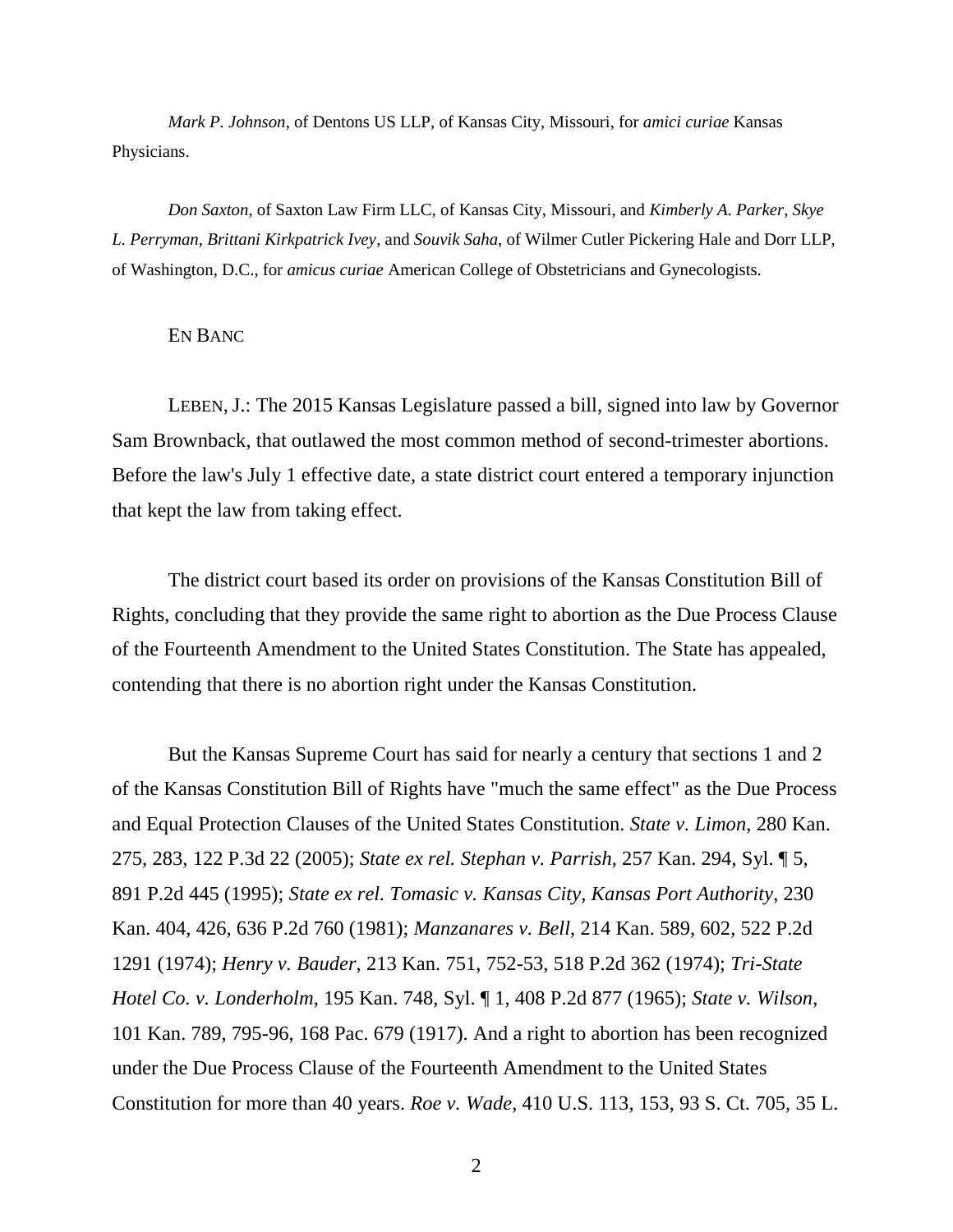*Mark P. Johnson*, of Dentons US LLP, of Kansas City, Missouri, for *amici curiae* Kansas Physicians.

*Don Saxton*, of Saxton Law Firm LLC, of Kansas City, Missouri, and *Kimberly A. Parker*, *Skye L. Perryman*, *Brittani Kirkpatrick Ivey*, and *Souvik Saha*, of Wilmer Cutler Pickering Hale and Dorr LLP, of Washington, D.C., for *amicus curiae* American College of Obstetricians and Gynecologists.

# EN BANC

LEBEN, J.: The 2015 Kansas Legislature passed a bill, signed into law by Governor Sam Brownback, that outlawed the most common method of second-trimester abortions. Before the law's July 1 effective date, a state district court entered a temporary injunction that kept the law from taking effect.

The district court based its order on provisions of the Kansas Constitution Bill of Rights, concluding that they provide the same right to abortion as the Due Process Clause of the Fourteenth Amendment to the United States Constitution. The State has appealed, contending that there is no abortion right under the Kansas Constitution.

But the Kansas Supreme Court has said for nearly a century that sections 1 and 2 of the Kansas Constitution Bill of Rights have "much the same effect" as the Due Process and Equal Protection Clauses of the United States Constitution. *State v. Limon*, 280 Kan. 275, 283, 122 P.3d 22 (2005); *State ex rel. Stephan v. Parrish*, 257 Kan. 294, Syl. ¶ 5, 891 P.2d 445 (1995); *State ex rel. Tomasic v. Kansas City, Kansas Port Authority*, 230 Kan. 404, 426, 636 P.2d 760 (1981); *Manzanares v. Bell*, 214 Kan. 589, 602, 522 P.2d 1291 (1974); *Henry v. Bauder*, 213 Kan. 751, 752-53, 518 P.2d 362 (1974); *Tri-State Hotel Co. v. Londerholm*, 195 Kan. 748, Syl. ¶ 1, 408 P.2d 877 (1965); *State v. Wilson*, 101 Kan. 789, 795-96, 168 Pac. 679 (1917). And a right to abortion has been recognized under the Due Process Clause of the Fourteenth Amendment to the United States Constitution for more than 40 years. *Roe v. Wade*, 410 U.S. 113, 153, 93 S. Ct. 705, 35 L.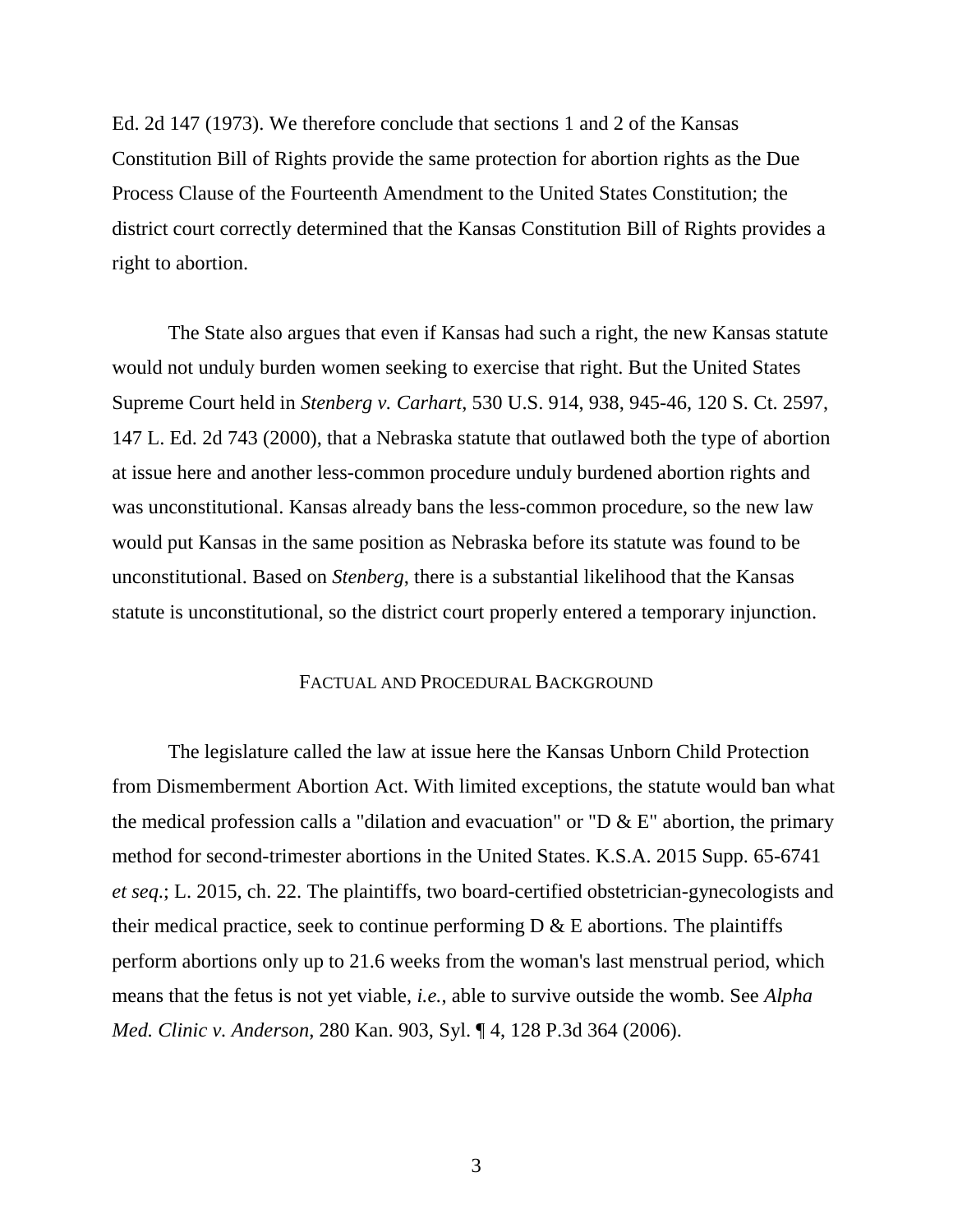Ed. 2d 147 (1973). We therefore conclude that sections 1 and 2 of the Kansas Constitution Bill of Rights provide the same protection for abortion rights as the Due Process Clause of the Fourteenth Amendment to the United States Constitution; the district court correctly determined that the Kansas Constitution Bill of Rights provides a right to abortion.

The State also argues that even if Kansas had such a right, the new Kansas statute would not unduly burden women seeking to exercise that right. But the United States Supreme Court held in *Stenberg v. Carhart*, 530 U.S. 914, 938, 945-46, 120 S. Ct. 2597, 147 L. Ed. 2d 743 (2000), that a Nebraska statute that outlawed both the type of abortion at issue here and another less-common procedure unduly burdened abortion rights and was unconstitutional. Kansas already bans the less-common procedure, so the new law would put Kansas in the same position as Nebraska before its statute was found to be unconstitutional. Based on *Stenberg*, there is a substantial likelihood that the Kansas statute is unconstitutional, so the district court properly entered a temporary injunction.

#### FACTUAL AND PROCEDURAL BACKGROUND

The legislature called the law at issue here the Kansas Unborn Child Protection from Dismemberment Abortion Act. With limited exceptions, the statute would ban what the medical profession calls a "dilation and evacuation" or "D  $\&$  E" abortion, the primary method for second-trimester abortions in the United States. K.S.A. 2015 Supp. 65-6741 *et seq*.; L. 2015, ch. 22. The plaintiffs, two board-certified obstetrician-gynecologists and their medical practice, seek to continue performing  $D \& E$  abortions. The plaintiffs perform abortions only up to 21.6 weeks from the woman's last menstrual period, which means that the fetus is not yet viable, *i.e.*, able to survive outside the womb. See *Alpha Med. Clinic v. Anderson*, 280 Kan. 903, Syl. ¶ 4, 128 P.3d 364 (2006).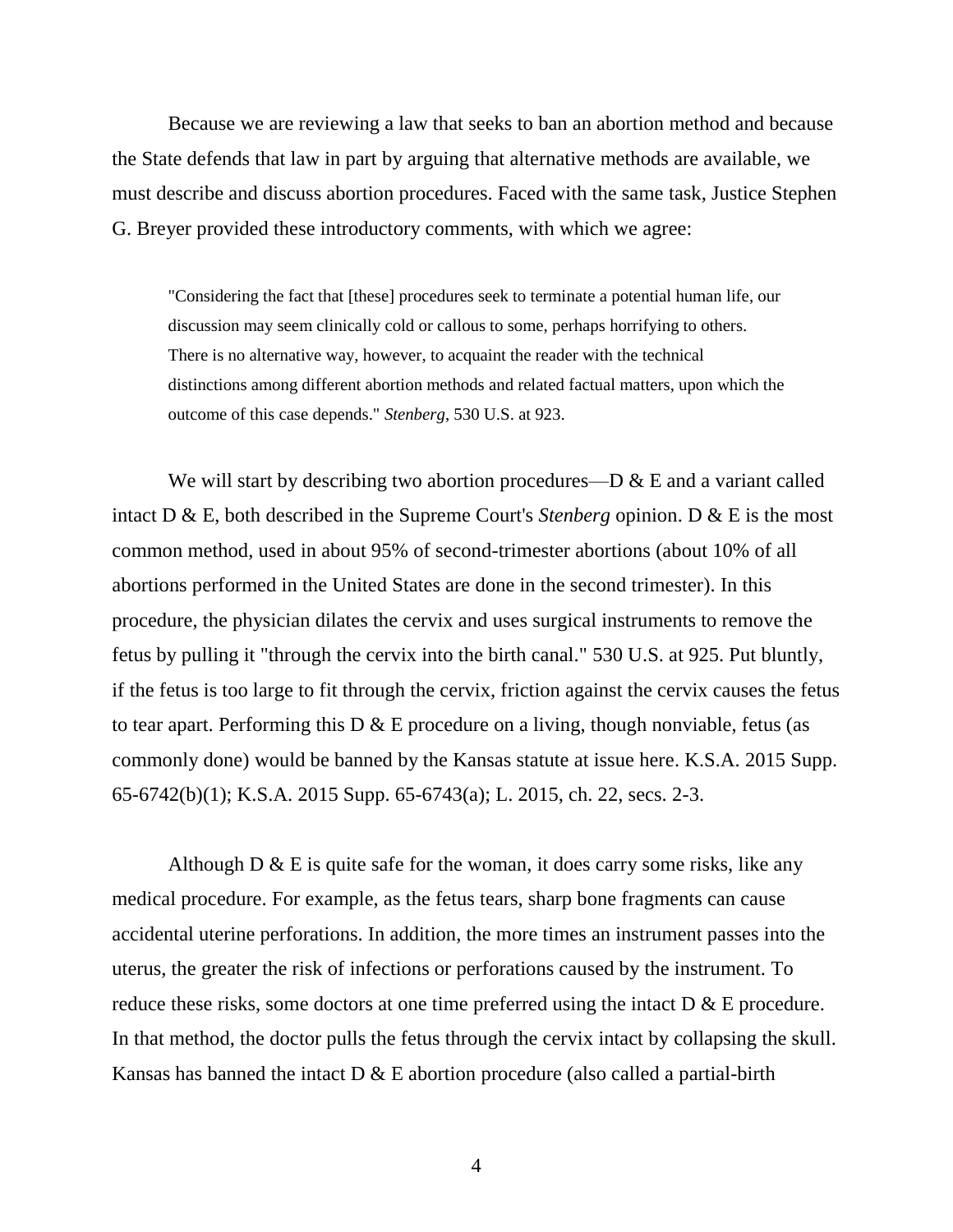Because we are reviewing a law that seeks to ban an abortion method and because the State defends that law in part by arguing that alternative methods are available, we must describe and discuss abortion procedures. Faced with the same task, Justice Stephen G. Breyer provided these introductory comments, with which we agree:

"Considering the fact that [these] procedures seek to terminate a potential human life, our discussion may seem clinically cold or callous to some, perhaps horrifying to others. There is no alternative way, however, to acquaint the reader with the technical distinctions among different abortion methods and related factual matters, upon which the outcome of this case depends." *Stenberg*, 530 U.S. at 923.

We will start by describing two abortion procedures—D  $\&$  E and a variant called intact D & E, both described in the Supreme Court's *Stenberg* opinion. D & E is the most common method, used in about 95% of second-trimester abortions (about 10% of all abortions performed in the United States are done in the second trimester). In this procedure, the physician dilates the cervix and uses surgical instruments to remove the fetus by pulling it "through the cervix into the birth canal." 530 U.S. at 925. Put bluntly, if the fetus is too large to fit through the cervix, friction against the cervix causes the fetus to tear apart. Performing this  $D \& E$  procedure on a living, though nonviable, fetus (as commonly done) would be banned by the Kansas statute at issue here. K.S.A. 2015 Supp. 65-6742(b)(1); K.S.A. 2015 Supp. 65-6743(a); L. 2015, ch. 22, secs. 2-3.

Although  $D \& E$  is quite safe for the woman, it does carry some risks, like any medical procedure. For example, as the fetus tears, sharp bone fragments can cause accidental uterine perforations. In addition, the more times an instrument passes into the uterus, the greater the risk of infections or perforations caused by the instrument. To reduce these risks, some doctors at one time preferred using the intact D & E procedure. In that method, the doctor pulls the fetus through the cervix intact by collapsing the skull. Kansas has banned the intact  $D \& E$  abortion procedure (also called a partial-birth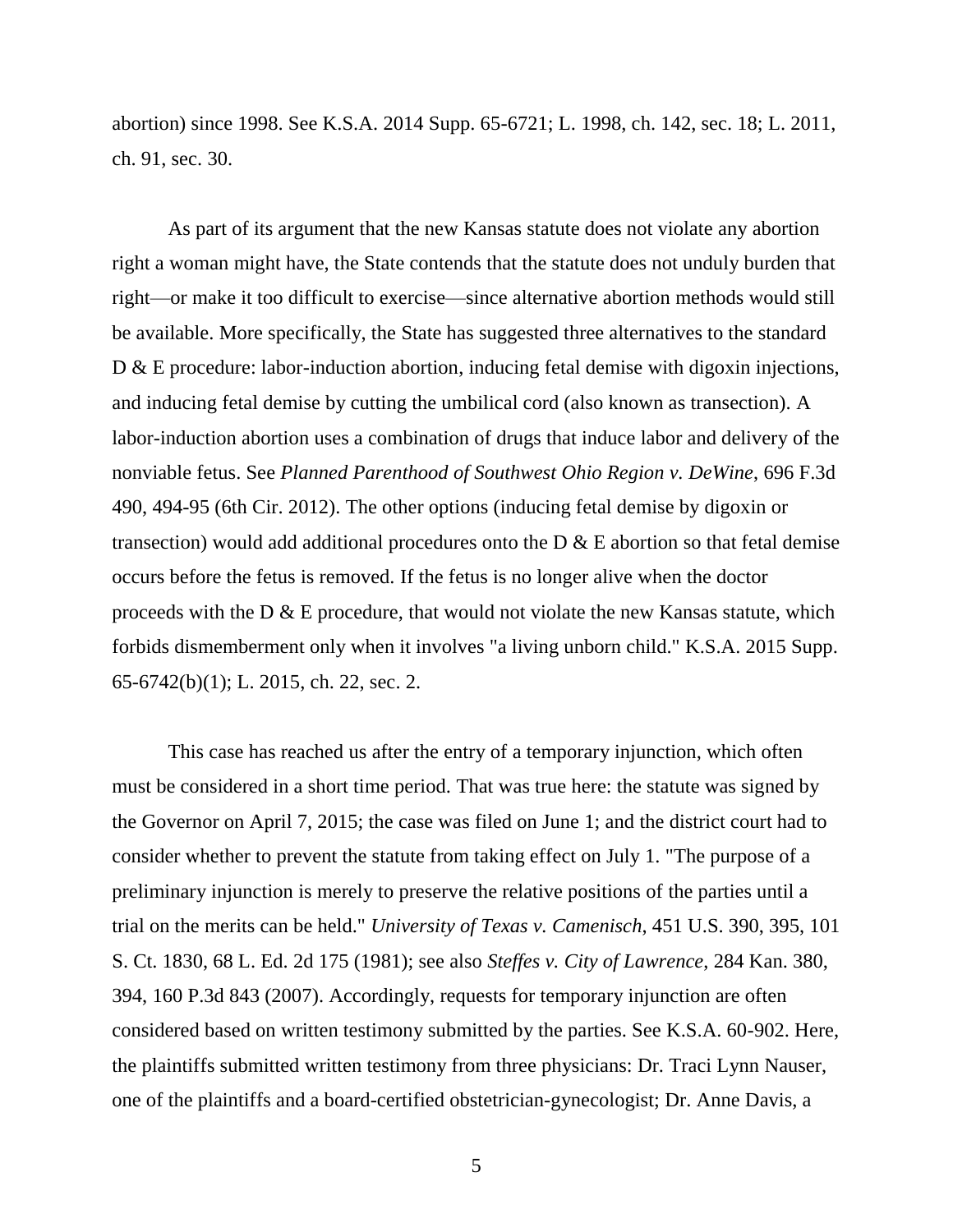abortion) since 1998. See K.S.A. 2014 Supp. 65-6721; L. 1998, ch. 142, sec. 18; L. 2011, ch. 91, sec. 30.

As part of its argument that the new Kansas statute does not violate any abortion right a woman might have, the State contends that the statute does not unduly burden that right—or make it too difficult to exercise—since alternative abortion methods would still be available. More specifically, the State has suggested three alternatives to the standard D & E procedure: labor-induction abortion, inducing fetal demise with digoxin injections, and inducing fetal demise by cutting the umbilical cord (also known as transection). A labor-induction abortion uses a combination of drugs that induce labor and delivery of the nonviable fetus. See *Planned Parenthood of Southwest Ohio Region v. DeWine*, 696 F.3d 490, 494-95 (6th Cir. 2012). The other options (inducing fetal demise by digoxin or transection) would add additional procedures onto the  $D \& E$  abortion so that fetal demise occurs before the fetus is removed. If the fetus is no longer alive when the doctor proceeds with the  $D \& E$  procedure, that would not violate the new Kansas statute, which forbids dismemberment only when it involves "a living unborn child." K.S.A. 2015 Supp. 65-6742(b)(1); L. 2015, ch. 22, sec. 2.

This case has reached us after the entry of a temporary injunction, which often must be considered in a short time period. That was true here: the statute was signed by the Governor on April 7, 2015; the case was filed on June 1; and the district court had to consider whether to prevent the statute from taking effect on July 1. "The purpose of a preliminary injunction is merely to preserve the relative positions of the parties until a trial on the merits can be held." *University of Texas v. Camenisch*, 451 U.S. 390, 395, 101 S. Ct. 1830, 68 L. Ed. 2d 175 (1981); see also *Steffes v. City of Lawrence*, 284 Kan. 380, 394, 160 P.3d 843 (2007). Accordingly, requests for temporary injunction are often considered based on written testimony submitted by the parties. See K.S.A. 60-902. Here, the plaintiffs submitted written testimony from three physicians: Dr. Traci Lynn Nauser, one of the plaintiffs and a board-certified obstetrician-gynecologist; Dr. Anne Davis, a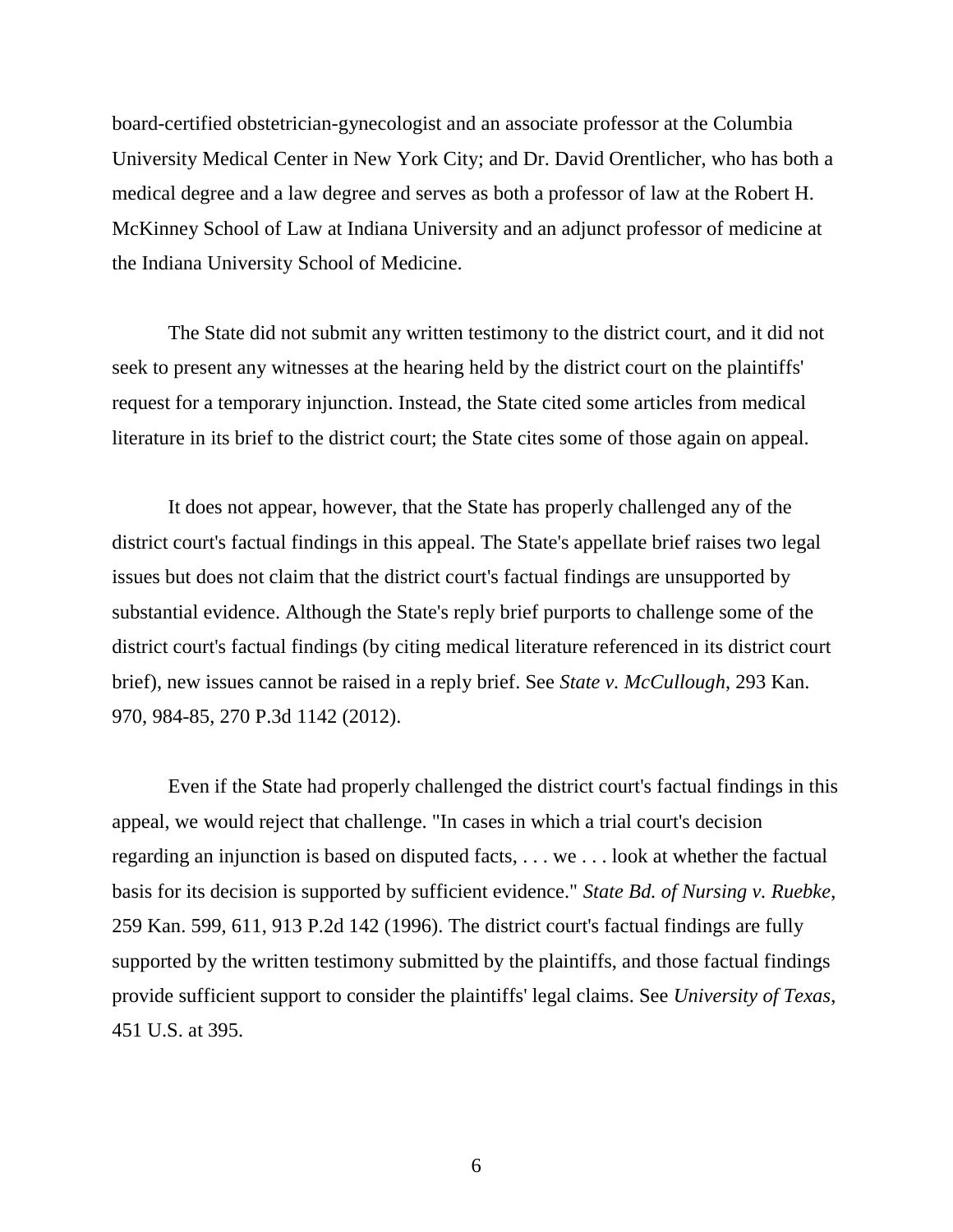board-certified obstetrician-gynecologist and an associate professor at the Columbia University Medical Center in New York City; and Dr. David Orentlicher, who has both a medical degree and a law degree and serves as both a professor of law at the Robert H. McKinney School of Law at Indiana University and an adjunct professor of medicine at the Indiana University School of Medicine.

The State did not submit any written testimony to the district court, and it did not seek to present any witnesses at the hearing held by the district court on the plaintiffs' request for a temporary injunction. Instead, the State cited some articles from medical literature in its brief to the district court; the State cites some of those again on appeal.

It does not appear, however, that the State has properly challenged any of the district court's factual findings in this appeal. The State's appellate brief raises two legal issues but does not claim that the district court's factual findings are unsupported by substantial evidence. Although the State's reply brief purports to challenge some of the district court's factual findings (by citing medical literature referenced in its district court brief), new issues cannot be raised in a reply brief. See *State v. McCullough*, 293 Kan. 970, 984-85, 270 P.3d 1142 (2012).

Even if the State had properly challenged the district court's factual findings in this appeal, we would reject that challenge. "In cases in which a trial court's decision regarding an injunction is based on disputed facts, . . . we . . . look at whether the factual basis for its decision is supported by sufficient evidence." *State Bd. of Nursing v. Ruebke*, 259 Kan. 599, 611, 913 P.2d 142 (1996). The district court's factual findings are fully supported by the written testimony submitted by the plaintiffs, and those factual findings provide sufficient support to consider the plaintiffs' legal claims. See *University of Texas*, 451 U.S. at 395.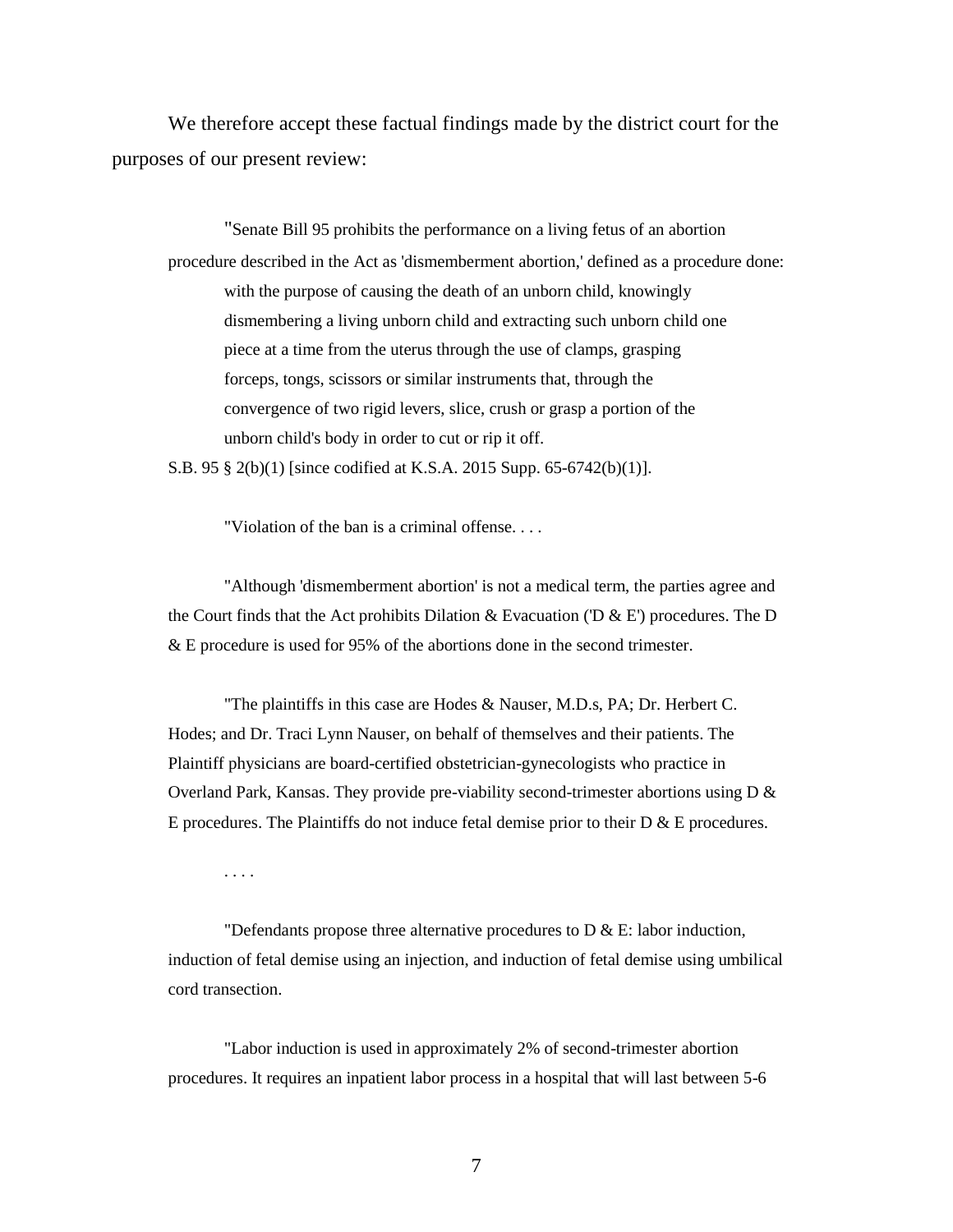We therefore accept these factual findings made by the district court for the purposes of our present review:

"Senate Bill 95 prohibits the performance on a living fetus of an abortion procedure described in the Act as 'dismemberment abortion,' defined as a procedure done: with the purpose of causing the death of an unborn child, knowingly dismembering a living unborn child and extracting such unborn child one piece at a time from the uterus through the use of clamps, grasping forceps, tongs, scissors or similar instruments that, through the convergence of two rigid levers, slice, crush or grasp a portion of the unborn child's body in order to cut or rip it off.

S.B. 95 § 2(b)(1) [since codified at K.S.A. 2015 Supp. 65-6742(b)(1)].

"Violation of the ban is a criminal offense. . . .

"Although 'dismemberment abortion' is not a medical term, the parties agree and the Court finds that the Act prohibits Dilation  $\&$  Evacuation (D  $\&$  E') procedures. The D & E procedure is used for 95% of the abortions done in the second trimester.

"The plaintiffs in this case are Hodes & Nauser, M.D.s, PA; Dr. Herbert C. Hodes; and Dr. Traci Lynn Nauser, on behalf of themselves and their patients. The Plaintiff physicians are board-certified obstetrician-gynecologists who practice in Overland Park, Kansas. They provide pre-viability second-trimester abortions using  $D \&$ E procedures. The Plaintiffs do not induce fetal demise prior to their D & E procedures.

. . . .

"Defendants propose three alternative procedures to  $D \& E$ : labor induction, induction of fetal demise using an injection, and induction of fetal demise using umbilical cord transection.

"Labor induction is used in approximately 2% of second-trimester abortion procedures. It requires an inpatient labor process in a hospital that will last between 5-6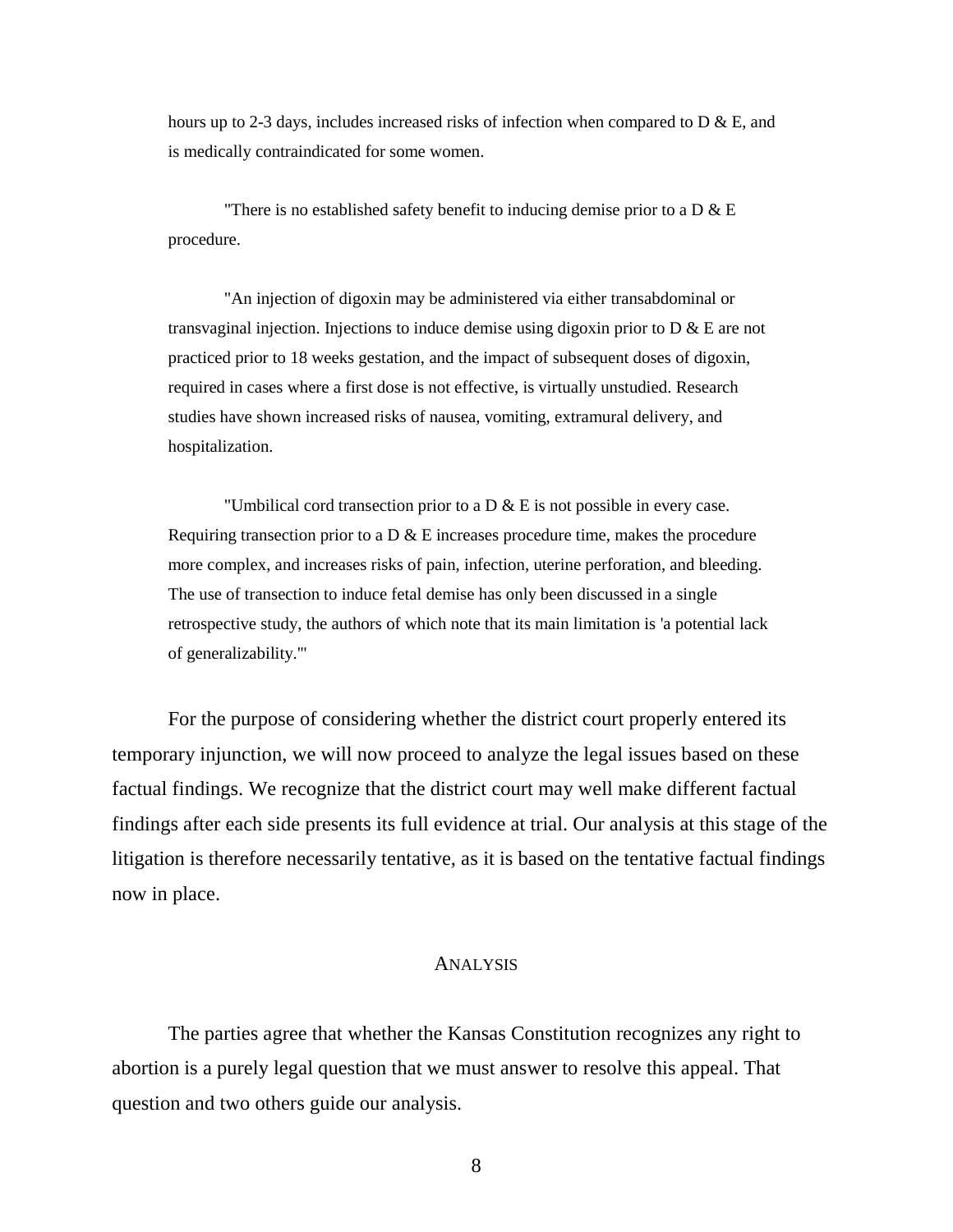hours up to 2-3 days, includes increased risks of infection when compared to  $D \& E$ , and is medically contraindicated for some women.

"There is no established safety benefit to inducing demise prior to a  $D \& E$ procedure.

"An injection of digoxin may be administered via either transabdominal or transvaginal injection. Injections to induce demise using digoxin prior to  $D \& E$  are not practiced prior to 18 weeks gestation, and the impact of subsequent doses of digoxin, required in cases where a first dose is not effective, is virtually unstudied. Research studies have shown increased risks of nausea, vomiting, extramural delivery, and hospitalization.

"Umbilical cord transection prior to a  $D \& E$  is not possible in every case. Requiring transection prior to a D  $\&$  E increases procedure time, makes the procedure more complex, and increases risks of pain, infection, uterine perforation, and bleeding. The use of transection to induce fetal demise has only been discussed in a single retrospective study, the authors of which note that its main limitation is 'a potential lack of generalizability.'"

For the purpose of considering whether the district court properly entered its temporary injunction, we will now proceed to analyze the legal issues based on these factual findings. We recognize that the district court may well make different factual findings after each side presents its full evidence at trial. Our analysis at this stage of the litigation is therefore necessarily tentative, as it is based on the tentative factual findings now in place.

### ANALYSIS

The parties agree that whether the Kansas Constitution recognizes any right to abortion is a purely legal question that we must answer to resolve this appeal. That question and two others guide our analysis.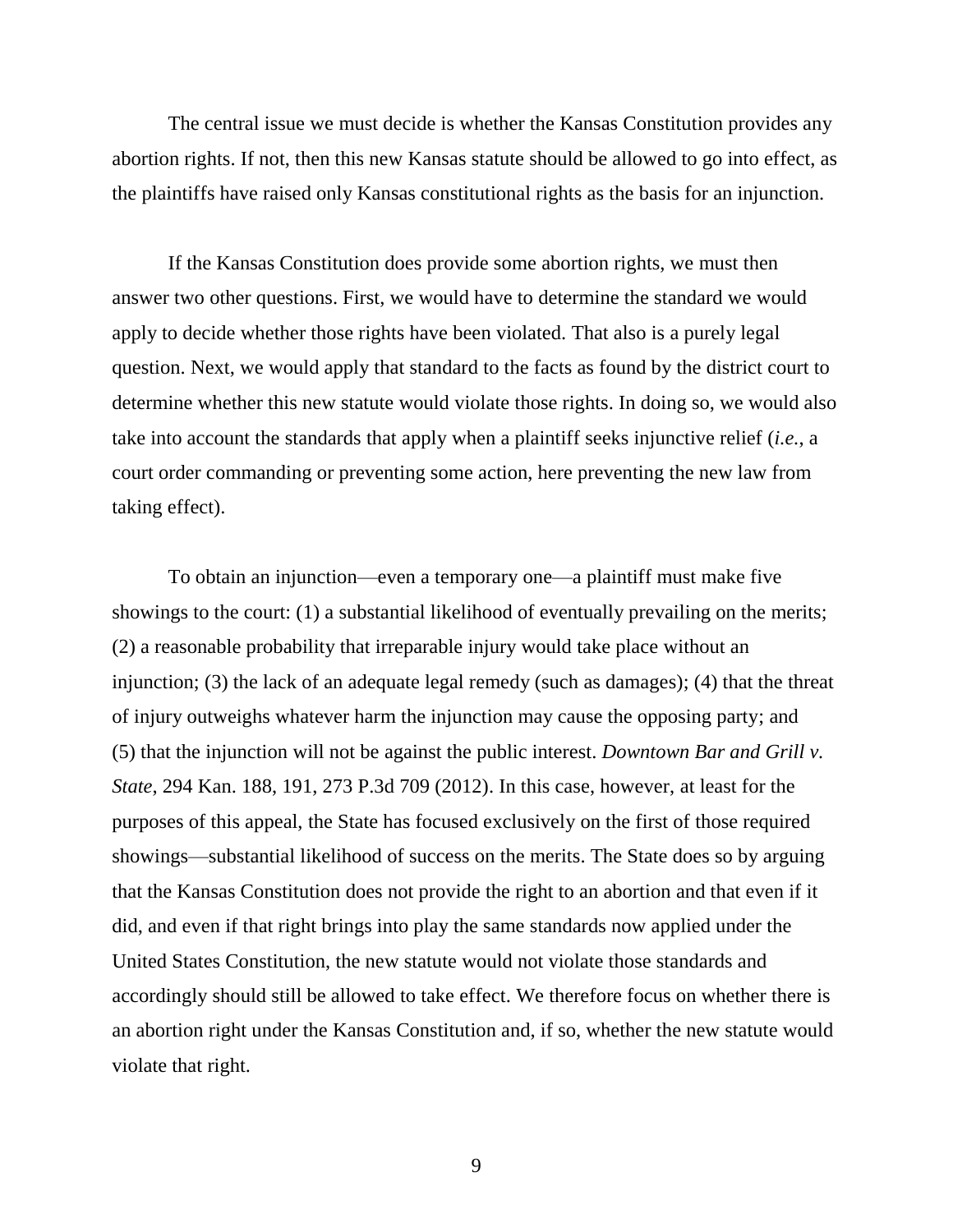The central issue we must decide is whether the Kansas Constitution provides any abortion rights. If not, then this new Kansas statute should be allowed to go into effect, as the plaintiffs have raised only Kansas constitutional rights as the basis for an injunction.

If the Kansas Constitution does provide some abortion rights, we must then answer two other questions. First, we would have to determine the standard we would apply to decide whether those rights have been violated. That also is a purely legal question. Next, we would apply that standard to the facts as found by the district court to determine whether this new statute would violate those rights. In doing so, we would also take into account the standards that apply when a plaintiff seeks injunctive relief (*i.e.*, a court order commanding or preventing some action, here preventing the new law from taking effect).

To obtain an injunction—even a temporary one—a plaintiff must make five showings to the court: (1) a substantial likelihood of eventually prevailing on the merits; (2) a reasonable probability that irreparable injury would take place without an injunction; (3) the lack of an adequate legal remedy (such as damages); (4) that the threat of injury outweighs whatever harm the injunction may cause the opposing party; and (5) that the injunction will not be against the public interest. *Downtown Bar and Grill v. State*, 294 Kan. 188, 191, 273 P.3d 709 (2012). In this case, however, at least for the purposes of this appeal, the State has focused exclusively on the first of those required showings—substantial likelihood of success on the merits. The State does so by arguing that the Kansas Constitution does not provide the right to an abortion and that even if it did, and even if that right brings into play the same standards now applied under the United States Constitution, the new statute would not violate those standards and accordingly should still be allowed to take effect. We therefore focus on whether there is an abortion right under the Kansas Constitution and, if so, whether the new statute would violate that right.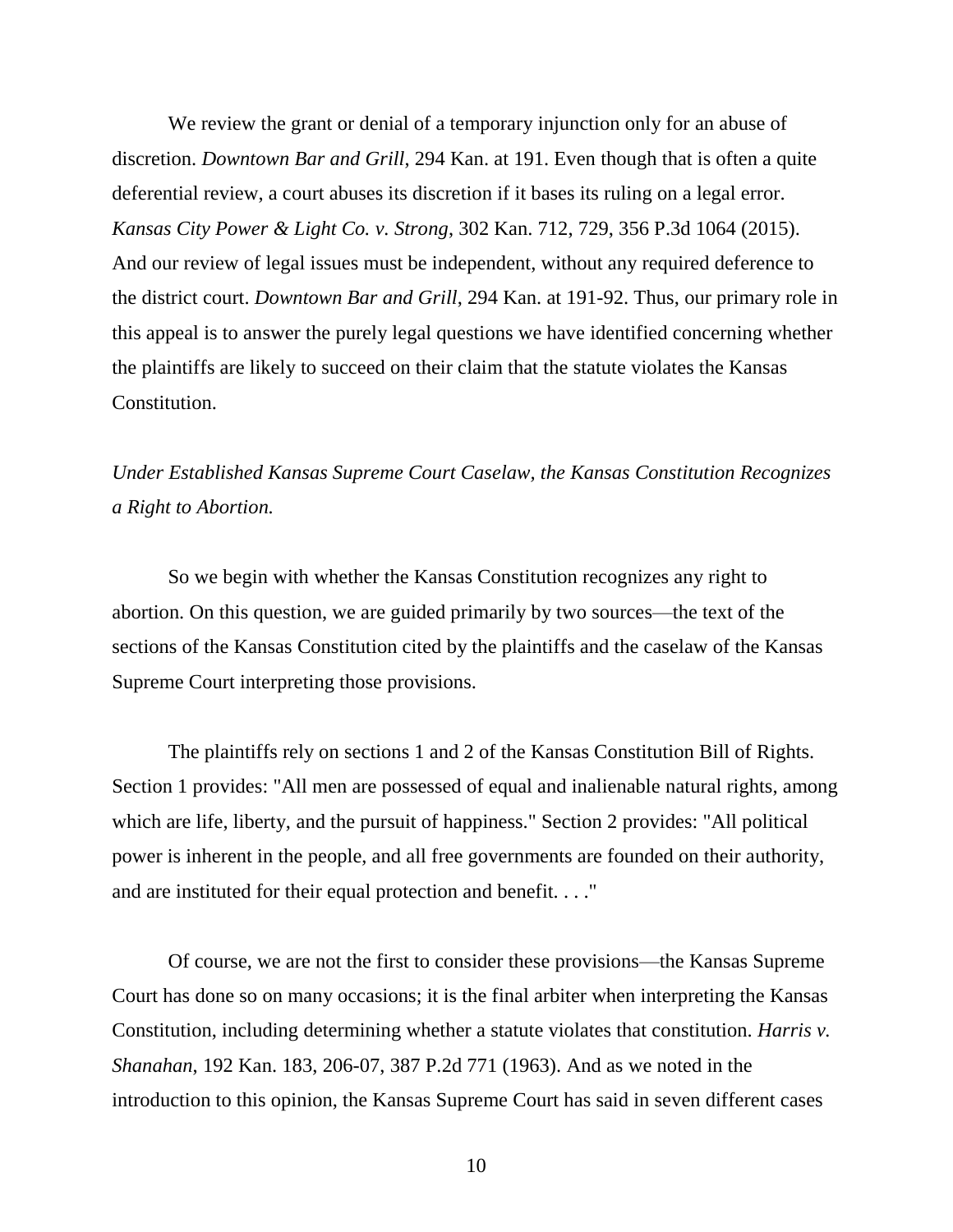We review the grant or denial of a temporary injunction only for an abuse of discretion. *Downtown Bar and Grill*, 294 Kan. at 191. Even though that is often a quite deferential review, a court abuses its discretion if it bases its ruling on a legal error. *Kansas City Power & Light Co. v. Strong*, 302 Kan. 712, 729, 356 P.3d 1064 (2015). And our review of legal issues must be independent, without any required deference to the district court. *Downtown Bar and Grill*, 294 Kan. at 191-92. Thus, our primary role in this appeal is to answer the purely legal questions we have identified concerning whether the plaintiffs are likely to succeed on their claim that the statute violates the Kansas Constitution.

*Under Established Kansas Supreme Court Caselaw, the Kansas Constitution Recognizes a Right to Abortion.* 

So we begin with whether the Kansas Constitution recognizes any right to abortion. On this question, we are guided primarily by two sources—the text of the sections of the Kansas Constitution cited by the plaintiffs and the caselaw of the Kansas Supreme Court interpreting those provisions.

The plaintiffs rely on sections 1 and 2 of the Kansas Constitution Bill of Rights. Section 1 provides: "All men are possessed of equal and inalienable natural rights, among which are life, liberty, and the pursuit of happiness." Section 2 provides: "All political power is inherent in the people, and all free governments are founded on their authority, and are instituted for their equal protection and benefit. . . ."

Of course, we are not the first to consider these provisions—the Kansas Supreme Court has done so on many occasions; it is the final arbiter when interpreting the Kansas Constitution, including determining whether a statute violates that constitution. *Harris v. Shanahan*, 192 Kan. 183, 206-07, 387 P.2d 771 (1963). And as we noted in the introduction to this opinion, the Kansas Supreme Court has said in seven different cases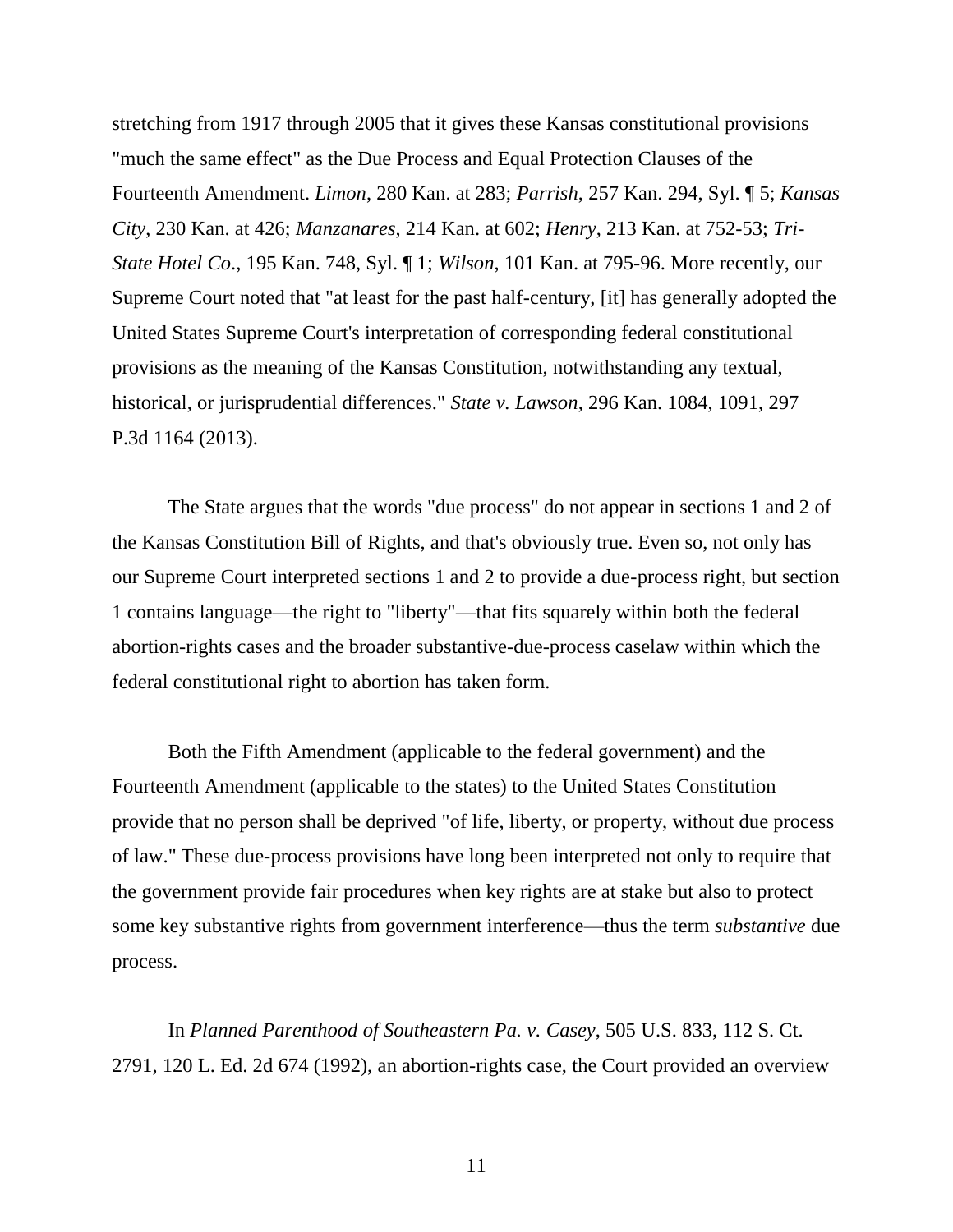stretching from 1917 through 2005 that it gives these Kansas constitutional provisions "much the same effect" as the Due Process and Equal Protection Clauses of the Fourteenth Amendment. *Limon*, 280 Kan. at 283; *Parrish*, 257 Kan. 294, Syl. ¶ 5; *Kansas City*, 230 Kan. at 426; *Manzanares*, 214 Kan. at 602; *Henry*, 213 Kan. at 752-53; *Tri-State Hotel Co*., 195 Kan. 748, Syl. ¶ 1; *Wilson*, 101 Kan. at 795-96. More recently, our Supreme Court noted that "at least for the past half-century, [it] has generally adopted the United States Supreme Court's interpretation of corresponding federal constitutional provisions as the meaning of the Kansas Constitution, notwithstanding any textual, historical, or jurisprudential differences." *State v. Lawson*, 296 Kan. 1084, 1091, 297 P.3d 1164 (2013).

The State argues that the words "due process" do not appear in sections 1 and 2 of the Kansas Constitution Bill of Rights, and that's obviously true. Even so, not only has our Supreme Court interpreted sections 1 and 2 to provide a due-process right, but section 1 contains language—the right to "liberty"—that fits squarely within both the federal abortion-rights cases and the broader substantive-due-process caselaw within which the federal constitutional right to abortion has taken form.

Both the Fifth Amendment (applicable to the federal government) and the Fourteenth Amendment (applicable to the states) to the United States Constitution provide that no person shall be deprived "of life, liberty, or property, without due process of law." These due-process provisions have long been interpreted not only to require that the government provide fair procedures when key rights are at stake but also to protect some key substantive rights from government interference—thus the term *substantive* due process.

In *Planned Parenthood of Southeastern Pa. v. Casey*, 505 U.S. 833, 112 S. Ct. 2791, 120 L. Ed. 2d 674 (1992), an abortion-rights case, the Court provided an overview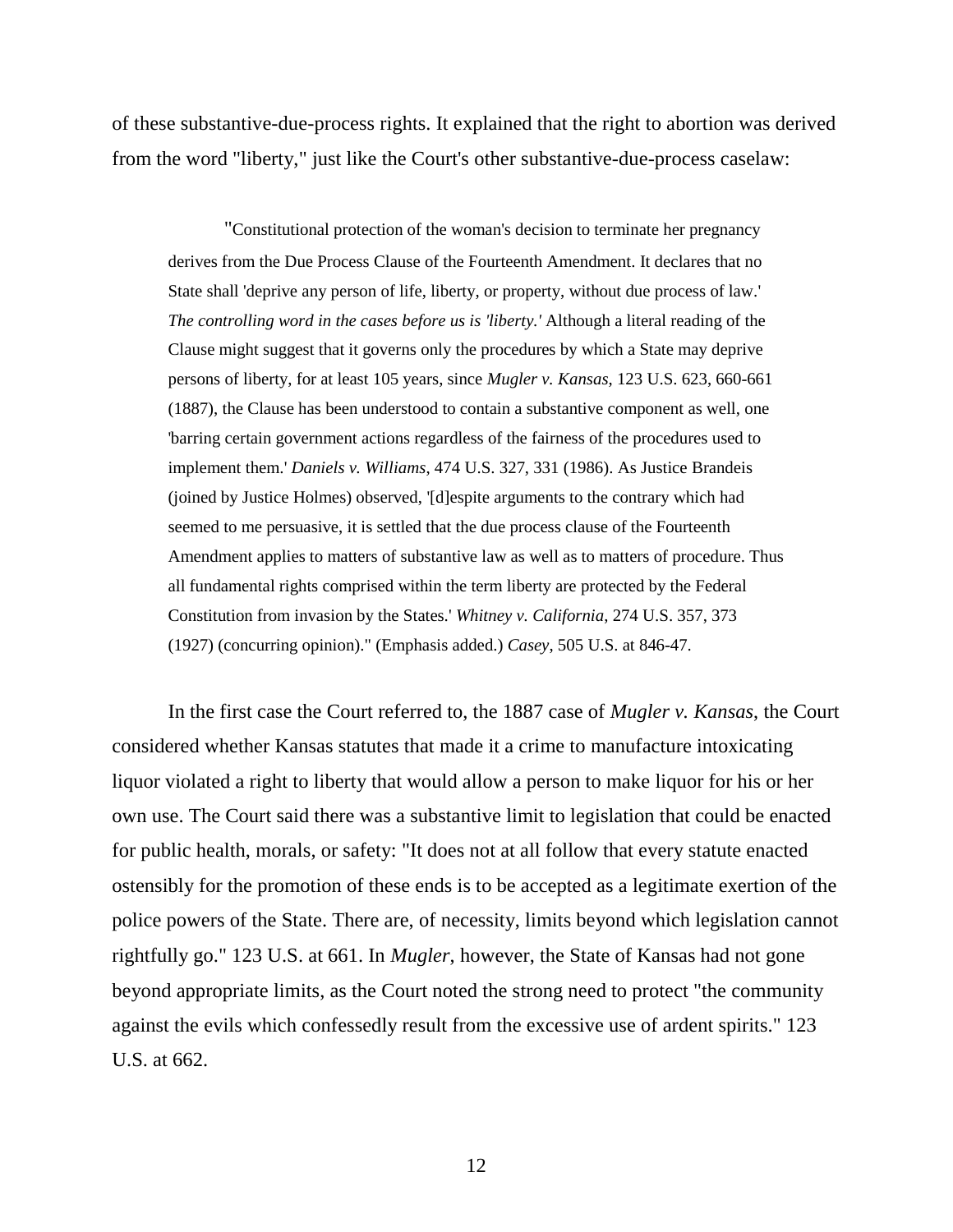of these substantive-due-process rights. It explained that the right to abortion was derived from the word "liberty," just like the Court's other substantive-due-process caselaw:

"Constitutional protection of the woman's decision to terminate her pregnancy derives from the Due Process Clause of the Fourteenth Amendment. It declares that no State shall 'deprive any person of life, liberty, or property, without due process of law.' *The controlling word in the cases before us is 'liberty.'* Although a literal reading of the Clause might suggest that it governs only the procedures by which a State may deprive persons of liberty, for at least 105 years, since *Mugler v. Kansas*, 123 U.S. 623, 660-661 (1887), the Clause has been understood to contain a substantive component as well, one 'barring certain government actions regardless of the fairness of the procedures used to implement them.' *Daniels v. Williams*, 474 U.S. 327, 331 (1986). As Justice Brandeis (joined by Justice Holmes) observed, '[d]espite arguments to the contrary which had seemed to me persuasive, it is settled that the due process clause of the Fourteenth Amendment applies to matters of substantive law as well as to matters of procedure. Thus all fundamental rights comprised within the term liberty are protected by the Federal Constitution from invasion by the States.' *Whitney v. California*, 274 U.S. 357, 373 (1927) (concurring opinion)." (Emphasis added.) *Casey*, 505 U.S. at 846-47.

In the first case the Court referred to, the 1887 case of *Mugler v. Kansas*, the Court considered whether Kansas statutes that made it a crime to manufacture intoxicating liquor violated a right to liberty that would allow a person to make liquor for his or her own use. The Court said there was a substantive limit to legislation that could be enacted for public health, morals, or safety: "It does not at all follow that every statute enacted ostensibly for the promotion of these ends is to be accepted as a legitimate exertion of the police powers of the State. There are, of necessity, limits beyond which legislation cannot rightfully go." 123 U.S. at 661. In *Mugler*, however, the State of Kansas had not gone beyond appropriate limits, as the Court noted the strong need to protect "the community against the evils which confessedly result from the excessive use of ardent spirits." 123 U.S. at 662.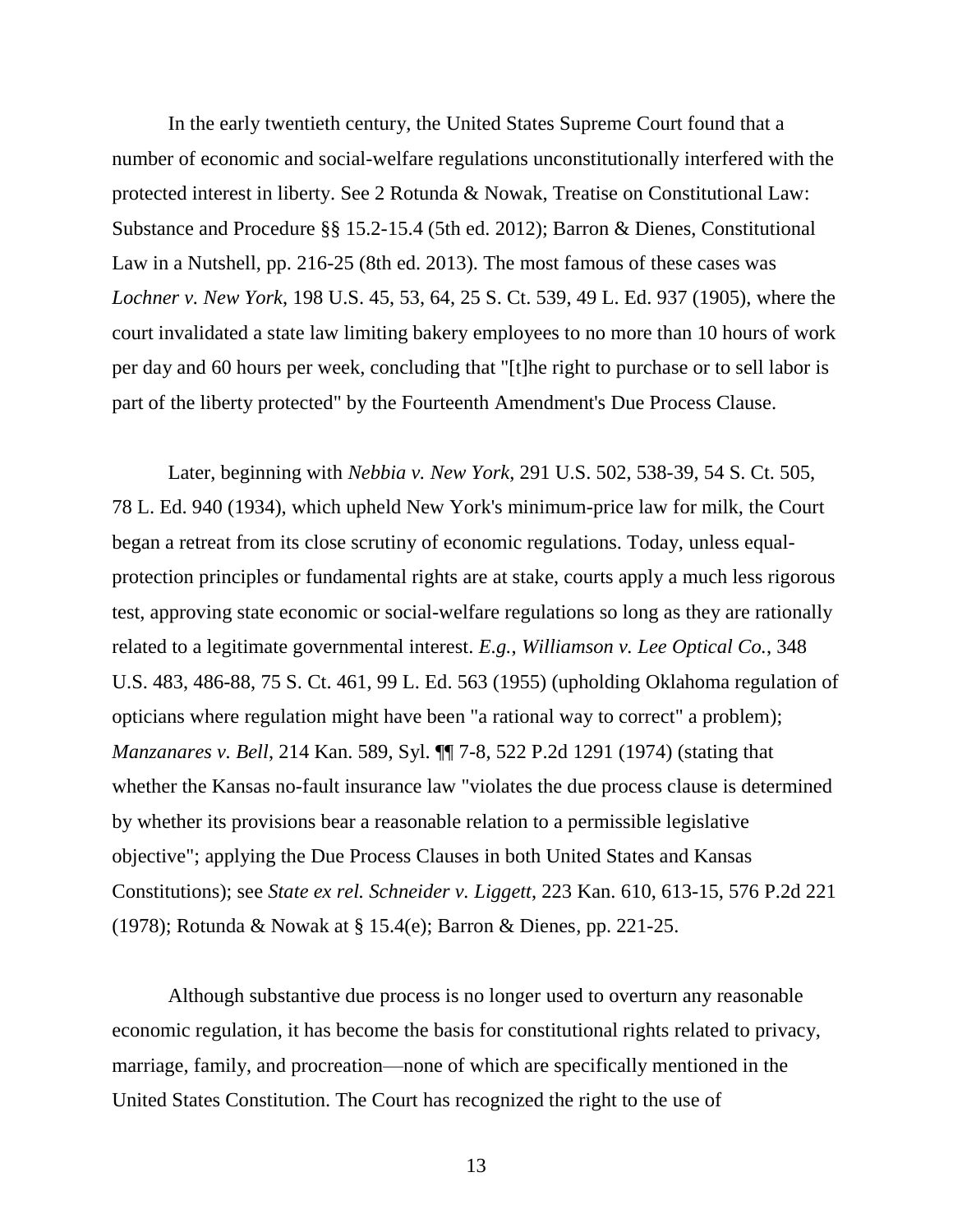In the early twentieth century, the United States Supreme Court found that a number of economic and social-welfare regulations unconstitutionally interfered with the protected interest in liberty. See 2 Rotunda & Nowak, Treatise on Constitutional Law: Substance and Procedure §§ 15.2-15.4 (5th ed. 2012); Barron & Dienes, Constitutional Law in a Nutshell, pp. 216-25 (8th ed. 2013). The most famous of these cases was *Lochner v. New York*, 198 U.S. 45, 53, 64, 25 S. Ct. 539, 49 L. Ed. 937 (1905), where the court invalidated a state law limiting bakery employees to no more than 10 hours of work per day and 60 hours per week, concluding that "[t]he right to purchase or to sell labor is part of the liberty protected" by the Fourteenth Amendment's Due Process Clause.

Later, beginning with *Nebbia v. New York*, 291 U.S. 502, 538-39, 54 S. Ct. 505, 78 L. Ed. 940 (1934), which upheld New York's minimum-price law for milk, the Court began a retreat from its close scrutiny of economic regulations. Today, unless equalprotection principles or fundamental rights are at stake, courts apply a much less rigorous test, approving state economic or social-welfare regulations so long as they are rationally related to a legitimate governmental interest. *E.g.*, *Williamson v. Lee Optical Co.*, 348 U.S. 483, 486-88, 75 S. Ct. 461, 99 L. Ed. 563 (1955) (upholding Oklahoma regulation of opticians where regulation might have been "a rational way to correct" a problem); *Manzanares v. Bell*, 214 Kan. 589, Syl. ¶¶ 7-8, 522 P.2d 1291 (1974) (stating that whether the Kansas no-fault insurance law "violates the due process clause is determined by whether its provisions bear a reasonable relation to a permissible legislative objective"; applying the Due Process Clauses in both United States and Kansas Constitutions); see *State ex rel. Schneider v. Liggett*, 223 Kan. 610, 613-15, 576 P.2d 221 (1978); Rotunda & Nowak at § 15.4(e); Barron & Dienes, pp. 221-25.

Although substantive due process is no longer used to overturn any reasonable economic regulation, it has become the basis for constitutional rights related to privacy, marriage, family, and procreation—none of which are specifically mentioned in the United States Constitution. The Court has recognized the right to the use of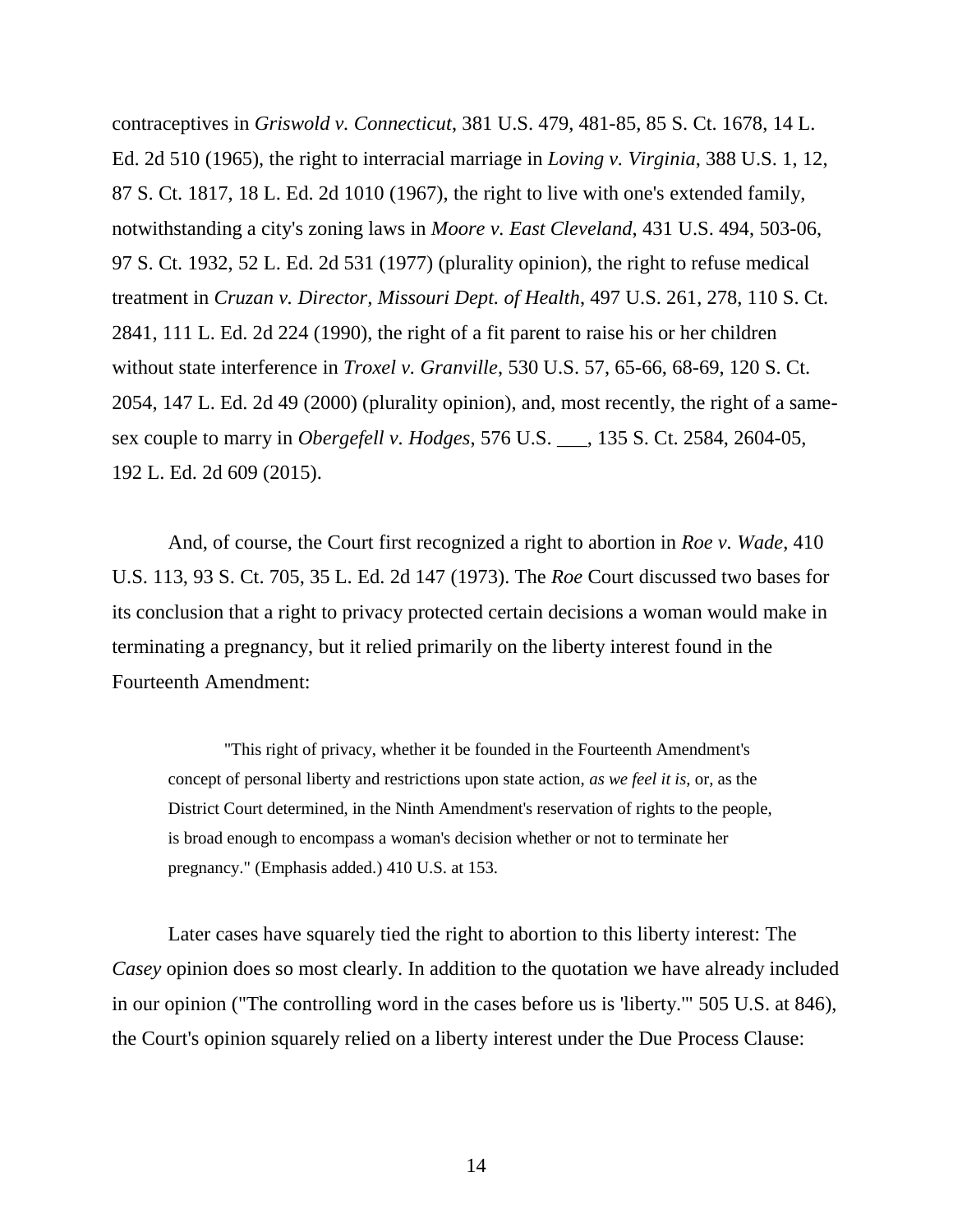contraceptives in *Griswold v. Connecticut*, 381 U.S. 479, 481-85, 85 S. Ct. 1678, 14 L. Ed. 2d 510 (1965), the right to interracial marriage in *Loving v. Virginia*, 388 U.S. 1, 12, 87 S. Ct. 1817, 18 L. Ed. 2d 1010 (1967), the right to live with one's extended family, notwithstanding a city's zoning laws in *Moore v. East Cleveland*, 431 U.S. 494, 503-06, 97 S. Ct. 1932, 52 L. Ed. 2d 531 (1977) (plurality opinion), the right to refuse medical treatment in *Cruzan v. Director, Missouri Dept. of Health*, 497 U.S. 261, 278, 110 S. Ct. 2841, 111 L. Ed. 2d 224 (1990), the right of a fit parent to raise his or her children without state interference in *Troxel v. Granville*, 530 U.S. 57, 65-66, 68-69, 120 S. Ct. 2054, 147 L. Ed. 2d 49 (2000) (plurality opinion), and, most recently, the right of a samesex couple to marry in *Obergefell v. Hodges*, 576 U.S. \_\_\_, 135 S. Ct. 2584, 2604-05, 192 L. Ed. 2d 609 (2015).

And, of course, the Court first recognized a right to abortion in *Roe v. Wade*, 410 U.S. 113, 93 S. Ct. 705, 35 L. Ed. 2d 147 (1973). The *Roe* Court discussed two bases for its conclusion that a right to privacy protected certain decisions a woman would make in terminating a pregnancy, but it relied primarily on the liberty interest found in the Fourteenth Amendment:

"This right of privacy, whether it be founded in the Fourteenth Amendment's concept of personal liberty and restrictions upon state action, *as we feel it is*, or, as the District Court determined, in the Ninth Amendment's reservation of rights to the people, is broad enough to encompass a woman's decision whether or not to terminate her pregnancy." (Emphasis added.) 410 U.S. at 153.

Later cases have squarely tied the right to abortion to this liberty interest: The *Casey* opinion does so most clearly. In addition to the quotation we have already included in our opinion ("The controlling word in the cases before us is 'liberty.'" 505 U.S. at 846), the Court's opinion squarely relied on a liberty interest under the Due Process Clause: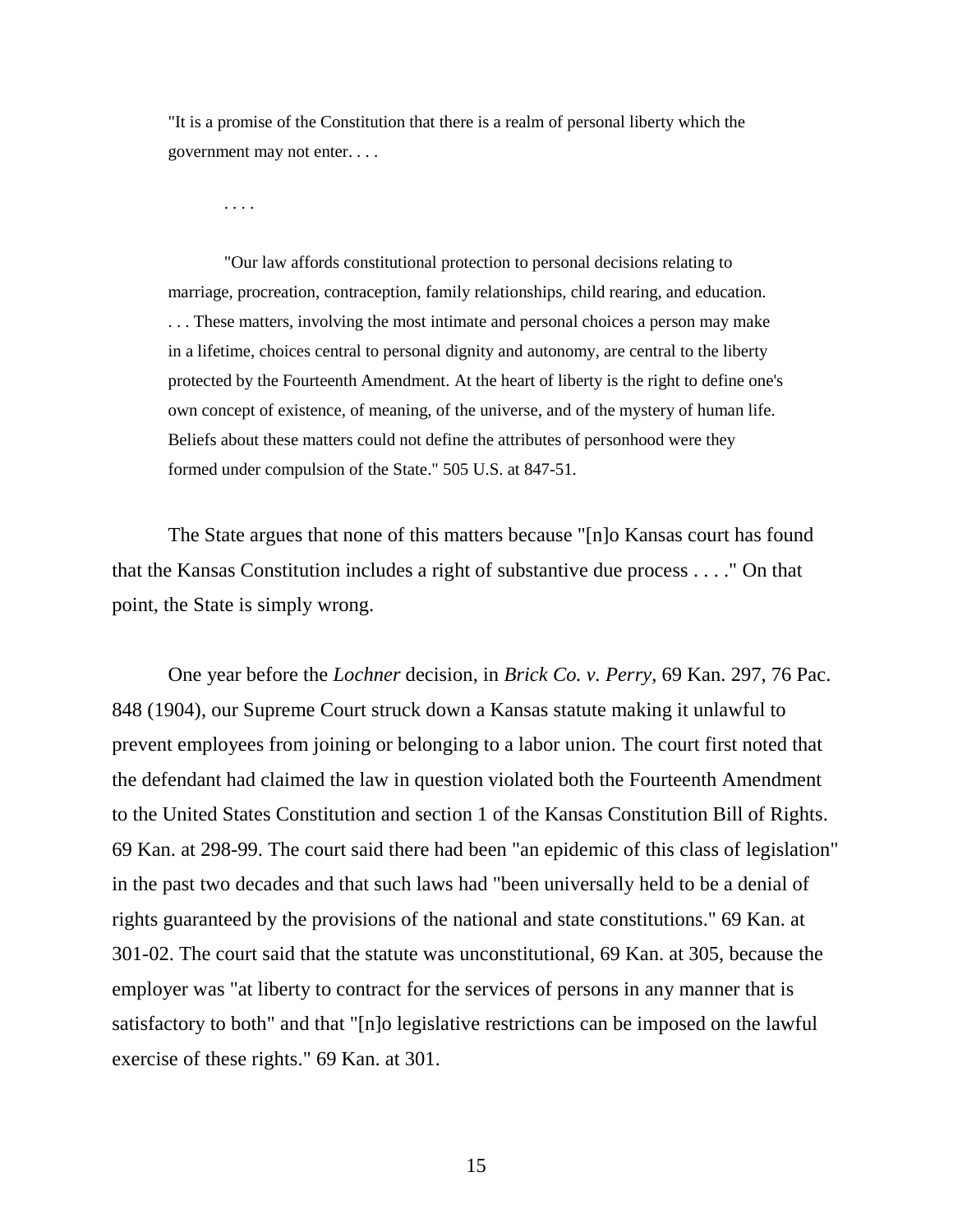"It is a promise of the Constitution that there is a realm of personal liberty which the government may not enter. . . .

. . . .

"Our law affords constitutional protection to personal decisions relating to marriage, procreation, contraception, family relationships, child rearing, and education. . . . These matters, involving the most intimate and personal choices a person may make in a lifetime, choices central to personal dignity and autonomy, are central to the liberty protected by the Fourteenth Amendment. At the heart of liberty is the right to define one's own concept of existence, of meaning, of the universe, and of the mystery of human life. Beliefs about these matters could not define the attributes of personhood were they formed under compulsion of the State." 505 U.S. at 847-51.

The State argues that none of this matters because "[n]o Kansas court has found that the Kansas Constitution includes a right of substantive due process . . . ." On that point, the State is simply wrong.

One year before the *Lochner* decision, in *Brick Co. v. Perry*, 69 Kan. 297, 76 Pac. 848 (1904), our Supreme Court struck down a Kansas statute making it unlawful to prevent employees from joining or belonging to a labor union. The court first noted that the defendant had claimed the law in question violated both the Fourteenth Amendment to the United States Constitution and section 1 of the Kansas Constitution Bill of Rights. 69 Kan. at 298-99. The court said there had been "an epidemic of this class of legislation" in the past two decades and that such laws had "been universally held to be a denial of rights guaranteed by the provisions of the national and state constitutions." 69 Kan. at 301-02. The court said that the statute was unconstitutional, 69 Kan. at 305, because the employer was "at liberty to contract for the services of persons in any manner that is satisfactory to both" and that "[n]o legislative restrictions can be imposed on the lawful exercise of these rights." 69 Kan. at 301.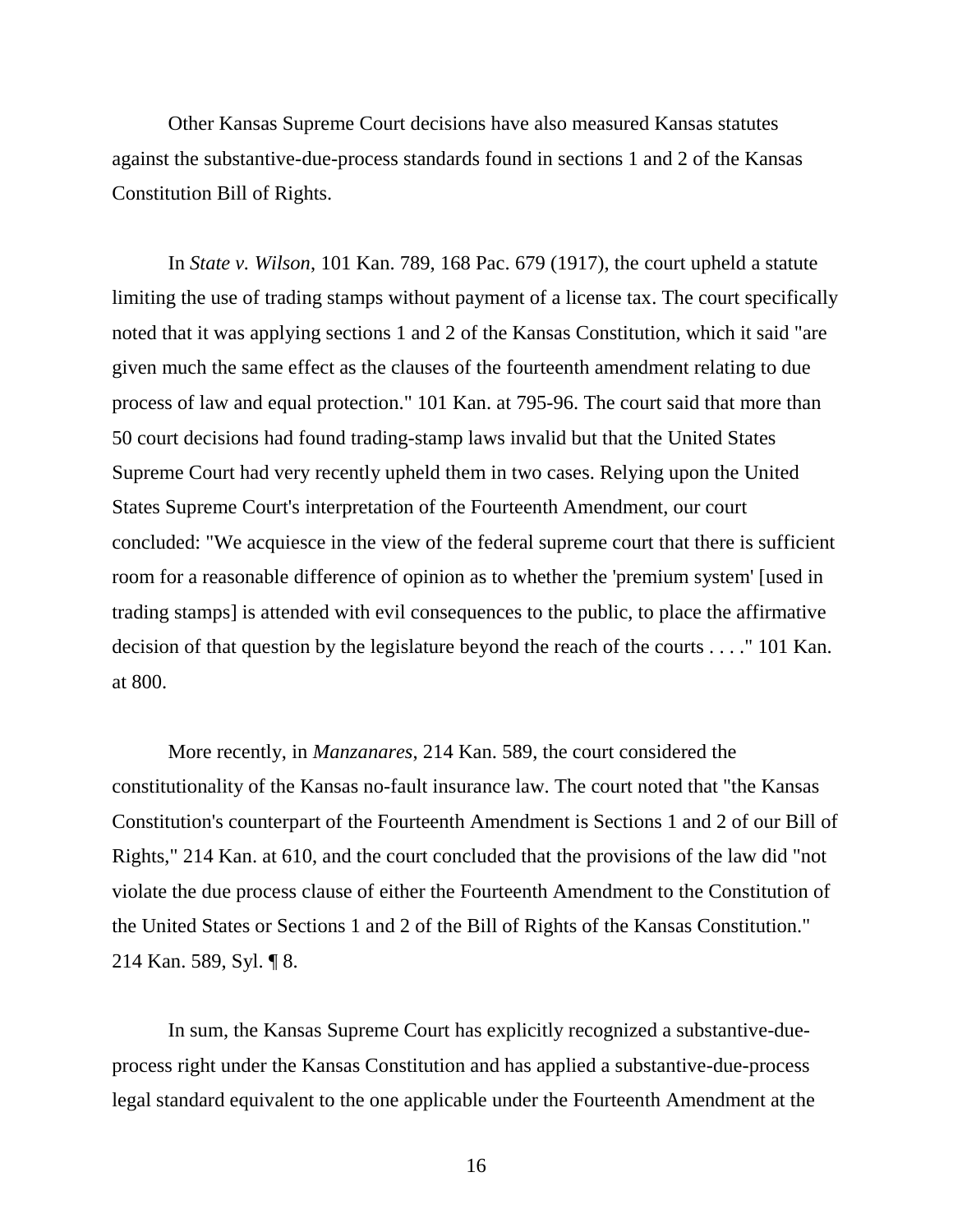Other Kansas Supreme Court decisions have also measured Kansas statutes against the substantive-due-process standards found in sections 1 and 2 of the Kansas Constitution Bill of Rights.

In *State v. Wilson*, 101 Kan. 789, 168 Pac. 679 (1917), the court upheld a statute limiting the use of trading stamps without payment of a license tax. The court specifically noted that it was applying sections 1 and 2 of the Kansas Constitution, which it said "are given much the same effect as the clauses of the fourteenth amendment relating to due process of law and equal protection." 101 Kan. at 795-96. The court said that more than 50 court decisions had found trading-stamp laws invalid but that the United States Supreme Court had very recently upheld them in two cases. Relying upon the United States Supreme Court's interpretation of the Fourteenth Amendment, our court concluded: "We acquiesce in the view of the federal supreme court that there is sufficient room for a reasonable difference of opinion as to whether the 'premium system' [used in trading stamps] is attended with evil consequences to the public, to place the affirmative decision of that question by the legislature beyond the reach of the courts . . . ." 101 Kan. at 800.

More recently, in *Manzanares*, 214 Kan. 589, the court considered the constitutionality of the Kansas no-fault insurance law. The court noted that "the Kansas Constitution's counterpart of the Fourteenth Amendment is Sections 1 and 2 of our Bill of Rights," 214 Kan. at 610, and the court concluded that the provisions of the law did "not violate the due process clause of either the Fourteenth Amendment to the Constitution of the United States or Sections 1 and 2 of the Bill of Rights of the Kansas Constitution." 214 Kan. 589, Syl. ¶ 8.

In sum, the Kansas Supreme Court has explicitly recognized a substantive-dueprocess right under the Kansas Constitution and has applied a substantive-due-process legal standard equivalent to the one applicable under the Fourteenth Amendment at the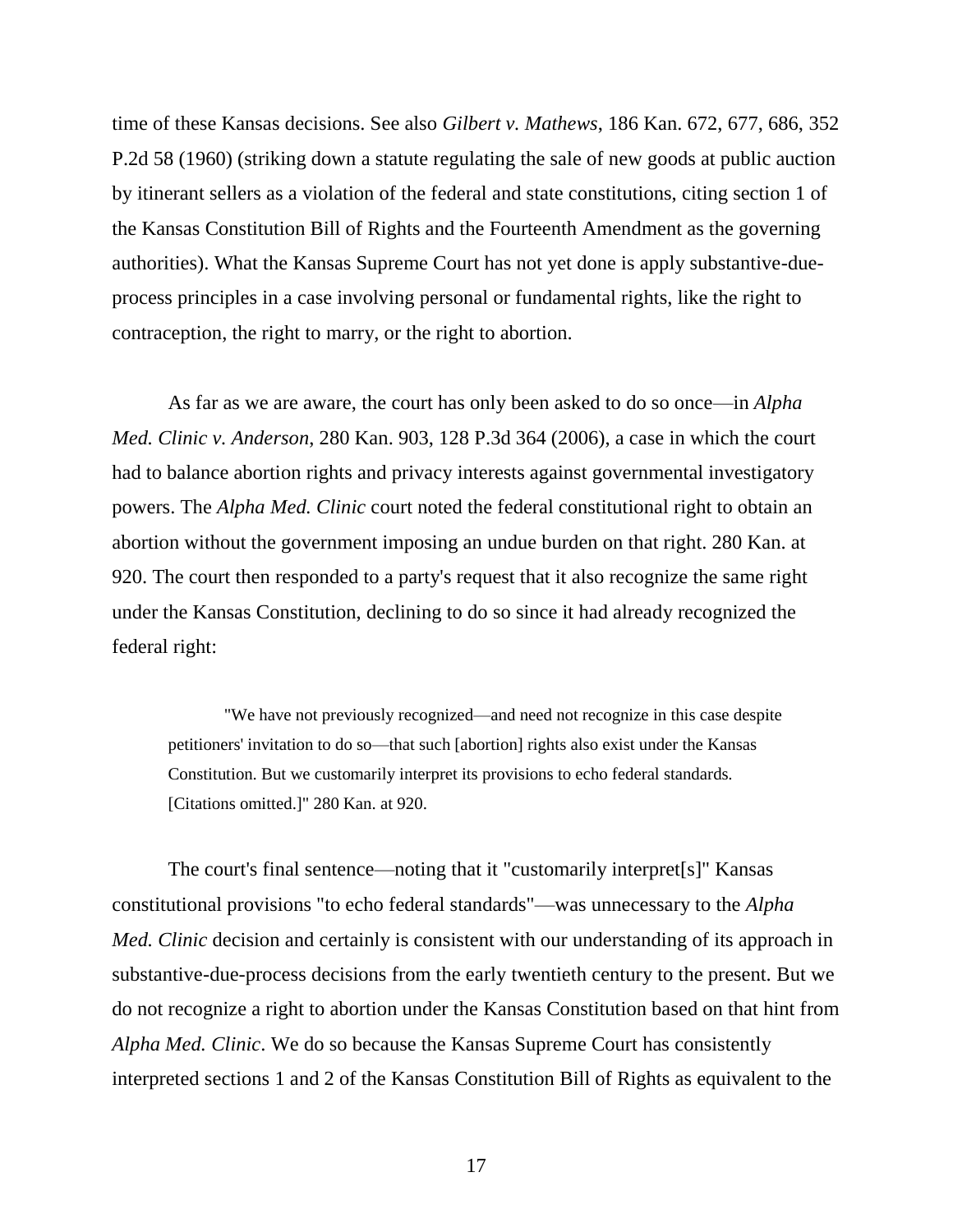time of these Kansas decisions. See also *Gilbert v. Mathews*, 186 Kan. 672, 677, 686, 352 P.2d 58 (1960) (striking down a statute regulating the sale of new goods at public auction by itinerant sellers as a violation of the federal and state constitutions, citing section 1 of the Kansas Constitution Bill of Rights and the Fourteenth Amendment as the governing authorities). What the Kansas Supreme Court has not yet done is apply substantive-dueprocess principles in a case involving personal or fundamental rights, like the right to contraception, the right to marry, or the right to abortion.

As far as we are aware, the court has only been asked to do so once—in *Alpha Med. Clinic v. Anderson*, 280 Kan. 903, 128 P.3d 364 (2006), a case in which the court had to balance abortion rights and privacy interests against governmental investigatory powers. The *Alpha Med. Clinic* court noted the federal constitutional right to obtain an abortion without the government imposing an undue burden on that right. 280 Kan. at 920. The court then responded to a party's request that it also recognize the same right under the Kansas Constitution, declining to do so since it had already recognized the federal right:

"We have not previously recognized—and need not recognize in this case despite petitioners' invitation to do so—that such [abortion] rights also exist under the Kansas Constitution. But we customarily interpret its provisions to echo federal standards. [Citations omitted.]" 280 Kan. at 920.

The court's final sentence—noting that it "customarily interpret[s]" Kansas constitutional provisions "to echo federal standards"—was unnecessary to the *Alpha Med. Clinic* decision and certainly is consistent with our understanding of its approach in substantive-due-process decisions from the early twentieth century to the present. But we do not recognize a right to abortion under the Kansas Constitution based on that hint from *Alpha Med. Clinic*. We do so because the Kansas Supreme Court has consistently interpreted sections 1 and 2 of the Kansas Constitution Bill of Rights as equivalent to the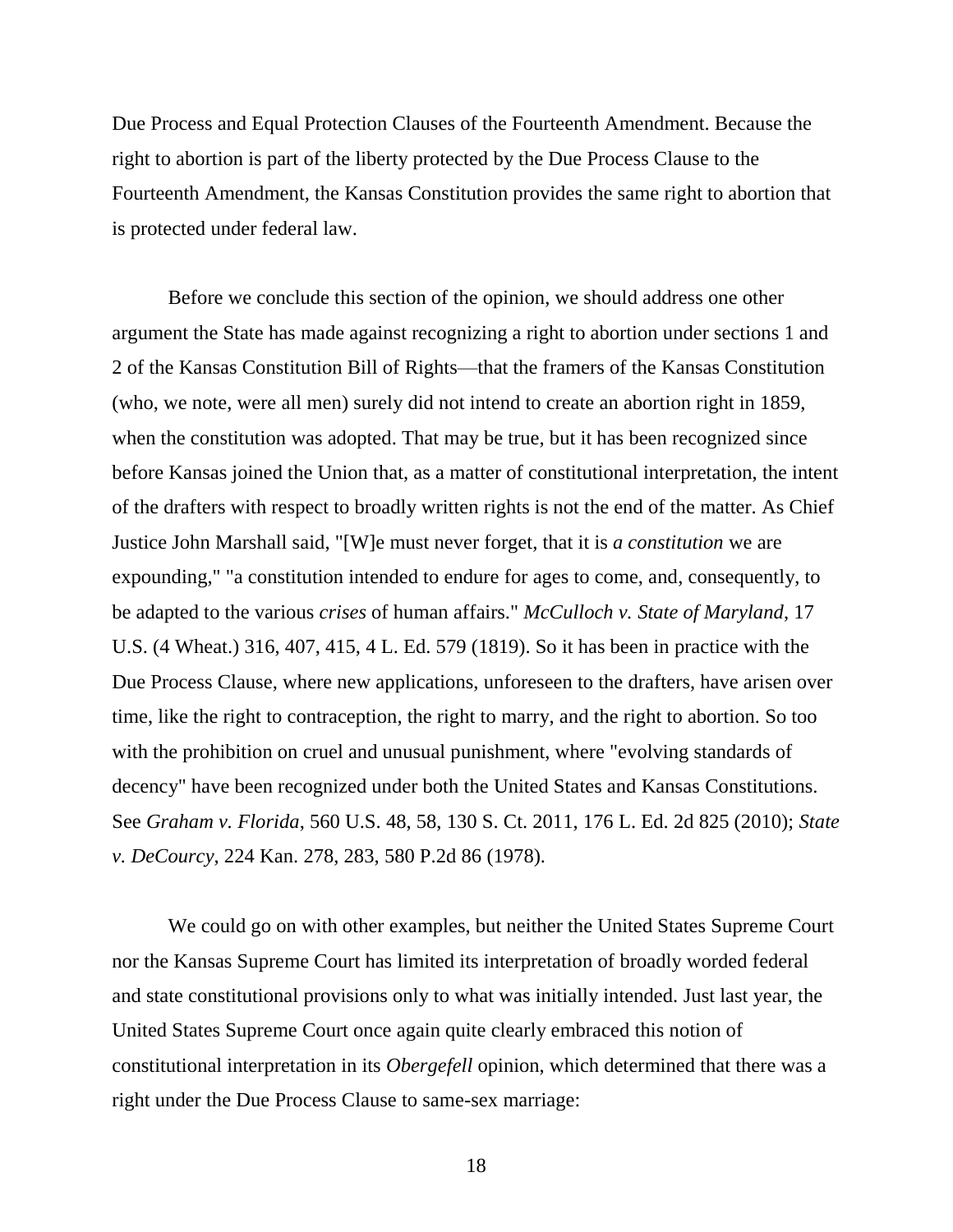Due Process and Equal Protection Clauses of the Fourteenth Amendment. Because the right to abortion is part of the liberty protected by the Due Process Clause to the Fourteenth Amendment, the Kansas Constitution provides the same right to abortion that is protected under federal law.

Before we conclude this section of the opinion, we should address one other argument the State has made against recognizing a right to abortion under sections 1 and 2 of the Kansas Constitution Bill of Rights—that the framers of the Kansas Constitution (who, we note, were all men) surely did not intend to create an abortion right in 1859, when the constitution was adopted. That may be true, but it has been recognized since before Kansas joined the Union that, as a matter of constitutional interpretation, the intent of the drafters with respect to broadly written rights is not the end of the matter. As Chief Justice John Marshall said, "[W]e must never forget, that it is *a constitution* we are expounding," "a constitution intended to endure for ages to come, and, consequently, to be adapted to the various *crises* of human affairs." *McCulloch v. State of Maryland*, 17 U.S. (4 Wheat.) 316, 407, 415, 4 L. Ed. 579 (1819). So it has been in practice with the Due Process Clause, where new applications, unforeseen to the drafters, have arisen over time, like the right to contraception, the right to marry, and the right to abortion. So too with the prohibition on cruel and unusual punishment, where "evolving standards of decency" have been recognized under both the United States and Kansas Constitutions. See *Graham v. Florida*, 560 U.S. 48, 58, 130 S. Ct. 2011, 176 L. Ed. 2d 825 (2010); *State v. DeCourcy*, 224 Kan. 278, 283, 580 P.2d 86 (1978).

We could go on with other examples, but neither the United States Supreme Court nor the Kansas Supreme Court has limited its interpretation of broadly worded federal and state constitutional provisions only to what was initially intended. Just last year, the United States Supreme Court once again quite clearly embraced this notion of constitutional interpretation in its *Obergefell* opinion, which determined that there was a right under the Due Process Clause to same-sex marriage: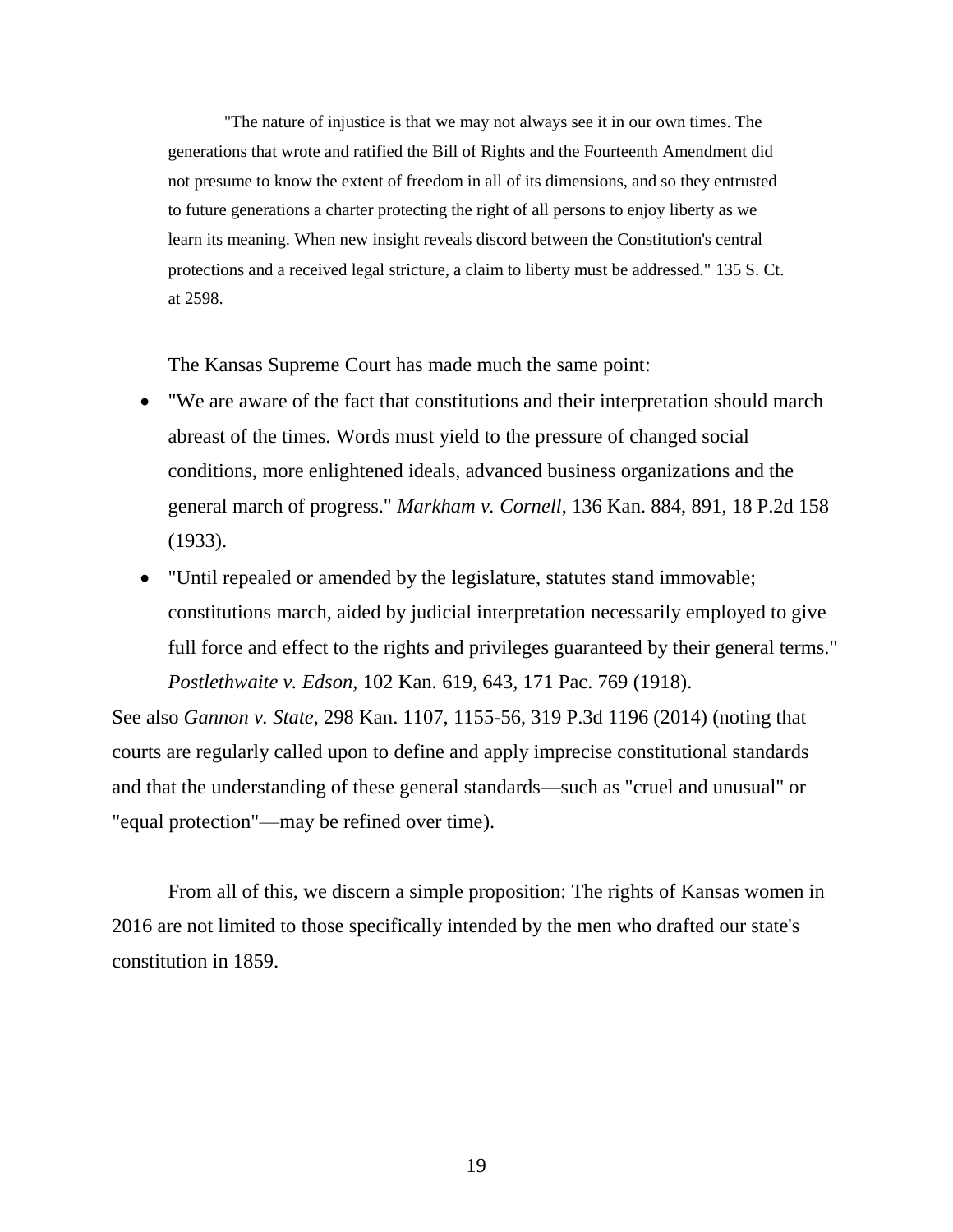"The nature of injustice is that we may not always see it in our own times. The generations that wrote and ratified the Bill of Rights and the Fourteenth Amendment did not presume to know the extent of freedom in all of its dimensions, and so they entrusted to future generations a charter protecting the right of all persons to enjoy liberty as we learn its meaning. When new insight reveals discord between the Constitution's central protections and a received legal stricture, a claim to liberty must be addressed." 135 S. Ct. at 2598.

The Kansas Supreme Court has made much the same point:

- "We are aware of the fact that constitutions and their interpretation should march abreast of the times. Words must yield to the pressure of changed social conditions, more enlightened ideals, advanced business organizations and the general march of progress." *Markham v. Cornell*, 136 Kan. 884, 891, 18 P.2d 158 (1933).
- "Until repealed or amended by the legislature, statutes stand immovable; constitutions march, aided by judicial interpretation necessarily employed to give full force and effect to the rights and privileges guaranteed by their general terms." *Postlethwaite v. Edson*, 102 Kan. 619, 643, 171 Pac. 769 (1918).

See also *Gannon v. State*, 298 Kan. 1107, 1155-56, 319 P.3d 1196 (2014) (noting that courts are regularly called upon to define and apply imprecise constitutional standards and that the understanding of these general standards—such as "cruel and unusual" or "equal protection"—may be refined over time).

From all of this, we discern a simple proposition: The rights of Kansas women in 2016 are not limited to those specifically intended by the men who drafted our state's constitution in 1859.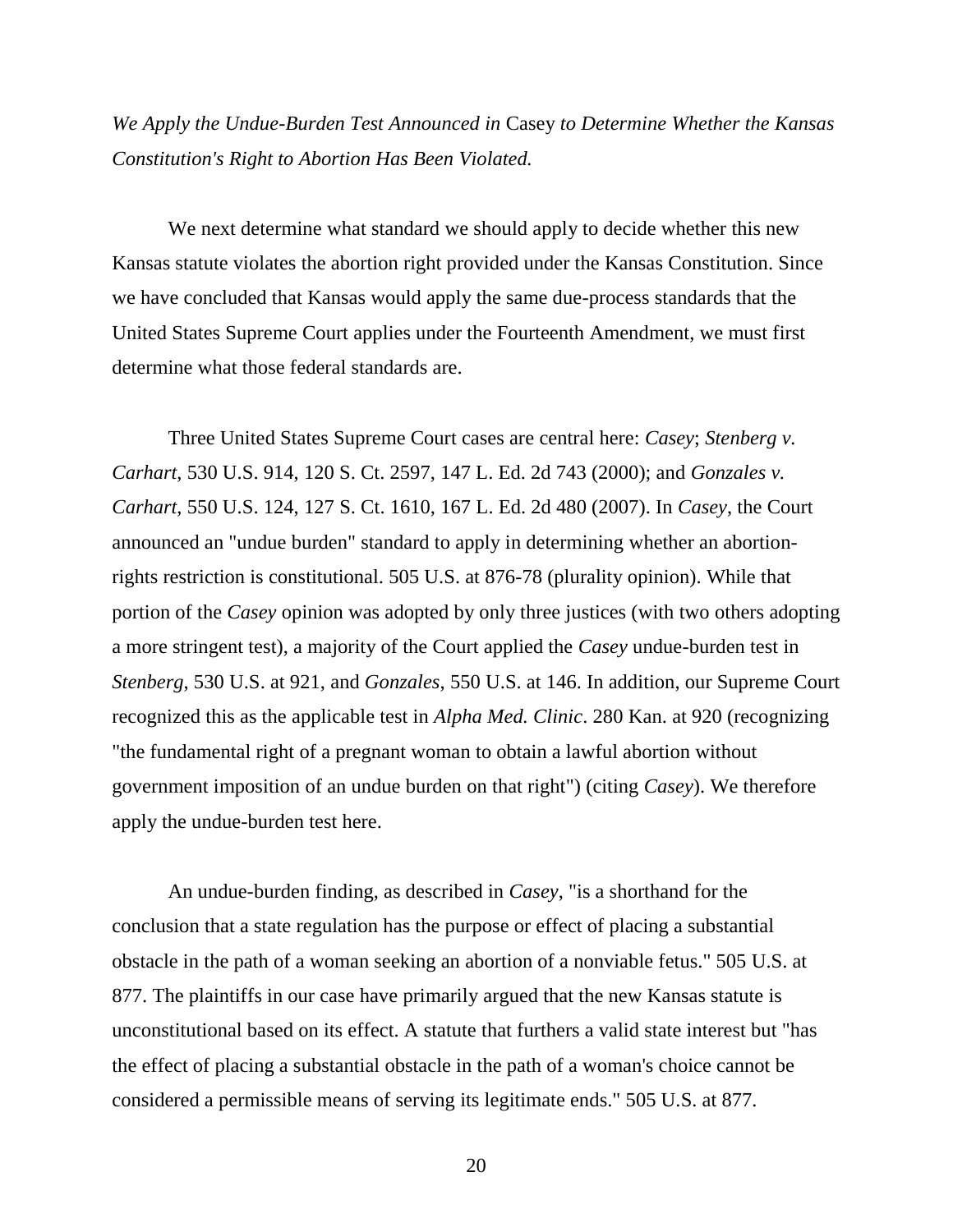*We Apply the Undue-Burden Test Announced in* Casey *to Determine Whether the Kansas Constitution's Right to Abortion Has Been Violated.* 

We next determine what standard we should apply to decide whether this new Kansas statute violates the abortion right provided under the Kansas Constitution. Since we have concluded that Kansas would apply the same due-process standards that the United States Supreme Court applies under the Fourteenth Amendment, we must first determine what those federal standards are.

Three United States Supreme Court cases are central here: *Casey*; *Stenberg v. Carhart*, 530 U.S. 914, 120 S. Ct. 2597, 147 L. Ed. 2d 743 (2000); and *Gonzales v. Carhart*, 550 U.S. 124, 127 S. Ct. 1610, 167 L. Ed. 2d 480 (2007). In *Casey*, the Court announced an "undue burden" standard to apply in determining whether an abortionrights restriction is constitutional. 505 U.S. at 876-78 (plurality opinion). While that portion of the *Casey* opinion was adopted by only three justices (with two others adopting a more stringent test), a majority of the Court applied the *Casey* undue-burden test in *Stenberg*, 530 U.S. at 921, and *Gonzales*, 550 U.S. at 146. In addition, our Supreme Court recognized this as the applicable test in *Alpha Med. Clinic*. 280 Kan. at 920 (recognizing "the fundamental right of a pregnant woman to obtain a lawful abortion without government imposition of an undue burden on that right") (citing *Casey*). We therefore apply the undue-burden test here.

An undue-burden finding, as described in *Casey*, "is a shorthand for the conclusion that a state regulation has the purpose or effect of placing a substantial obstacle in the path of a woman seeking an abortion of a nonviable fetus." 505 U.S. at 877. The plaintiffs in our case have primarily argued that the new Kansas statute is unconstitutional based on its effect. A statute that furthers a valid state interest but "has the effect of placing a substantial obstacle in the path of a woman's choice cannot be considered a permissible means of serving its legitimate ends." 505 U.S. at 877.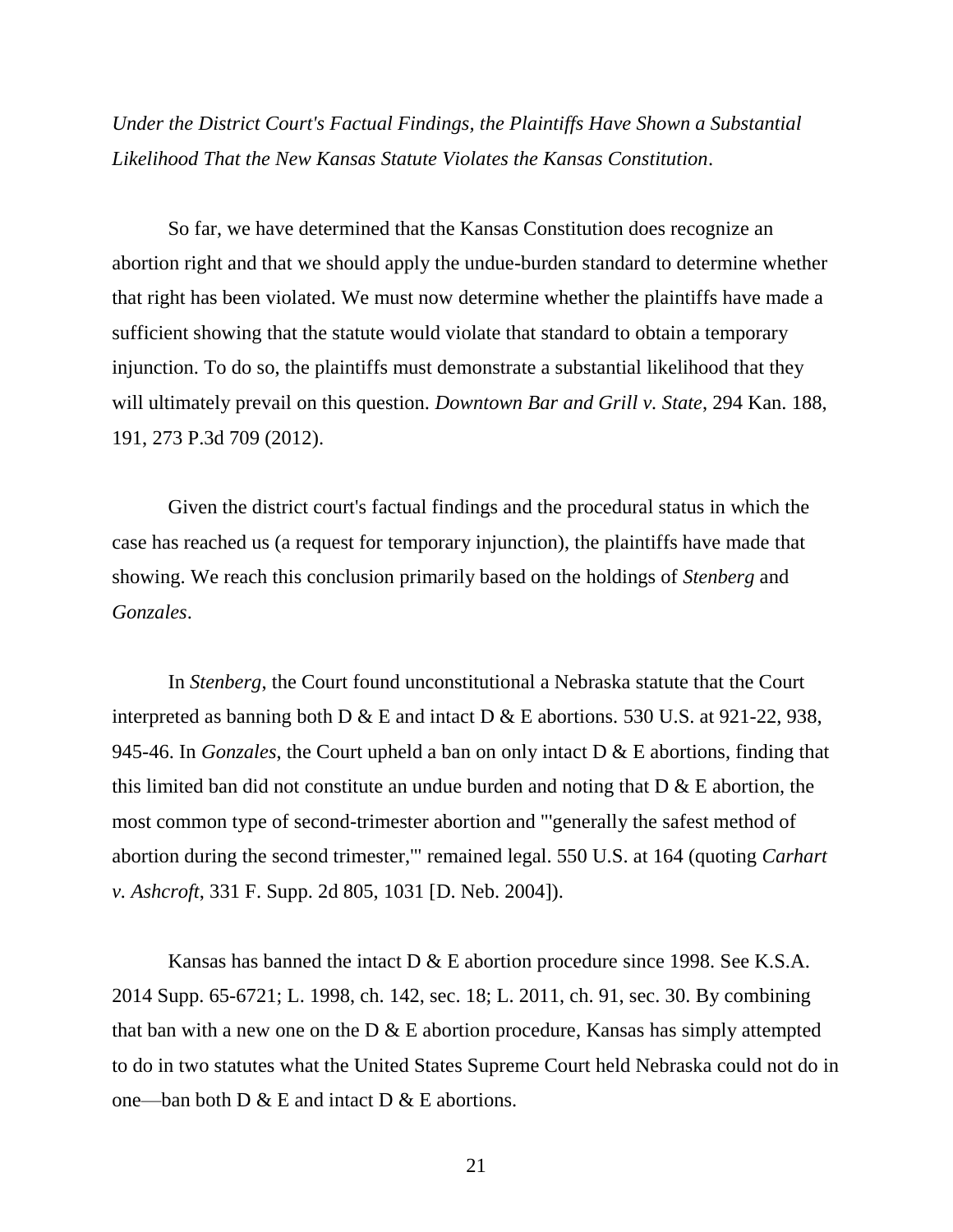*Under the District Court's Factual Findings, the Plaintiffs Have Shown a Substantial Likelihood That the New Kansas Statute Violates the Kansas Constitution*.

So far, we have determined that the Kansas Constitution does recognize an abortion right and that we should apply the undue-burden standard to determine whether that right has been violated. We must now determine whether the plaintiffs have made a sufficient showing that the statute would violate that standard to obtain a temporary injunction. To do so, the plaintiffs must demonstrate a substantial likelihood that they will ultimately prevail on this question. *Downtown Bar and Grill v. State*, 294 Kan. 188, 191, 273 P.3d 709 (2012).

Given the district court's factual findings and the procedural status in which the case has reached us (a request for temporary injunction), the plaintiffs have made that showing. We reach this conclusion primarily based on the holdings of *Stenberg* and *Gonzales*.

In *Stenberg*, the Court found unconstitutional a Nebraska statute that the Court interpreted as banning both D  $\&$  E and intact D  $\&$  E abortions. 530 U.S. at 921-22, 938, 945-46. In *Gonzales*, the Court upheld a ban on only intact D & E abortions, finding that this limited ban did not constitute an undue burden and noting that  $D \& E$  abortion, the most common type of second-trimester abortion and "'generally the safest method of abortion during the second trimester,'" remained legal. 550 U.S. at 164 (quoting *Carhart v. Ashcroft*, 331 F. Supp. 2d 805, 1031 [D. Neb. 2004]).

Kansas has banned the intact D & E abortion procedure since 1998. See K.S.A. 2014 Supp. 65-6721; L. 1998, ch. 142, sec. 18; L. 2011, ch. 91, sec. 30. By combining that ban with a new one on the  $D \& E$  abortion procedure, Kansas has simply attempted to do in two statutes what the United States Supreme Court held Nebraska could not do in one—ban both  $D \& E$  and intact  $D \& E$  abortions.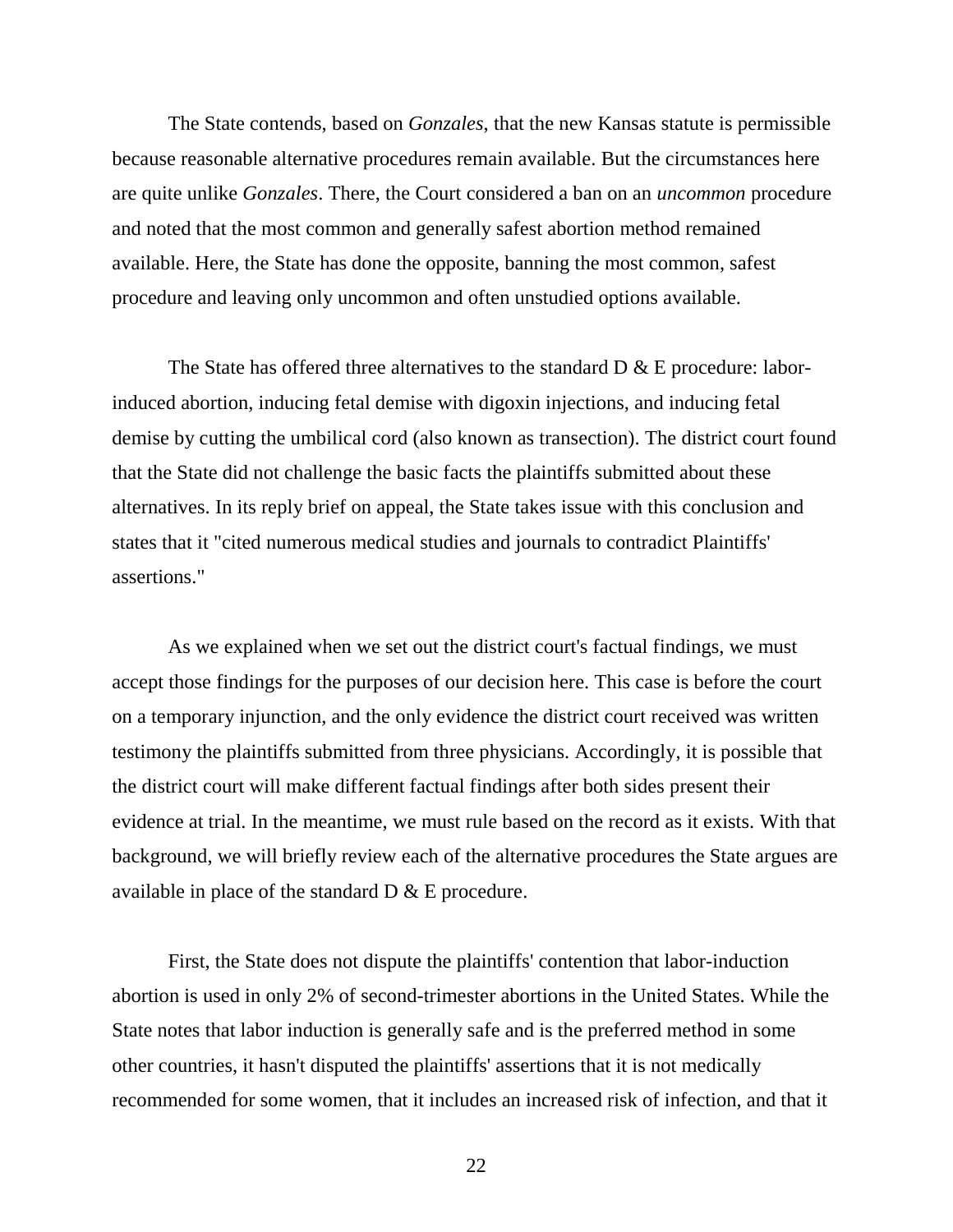The State contends, based on *Gonzales*, that the new Kansas statute is permissible because reasonable alternative procedures remain available. But the circumstances here are quite unlike *Gonzales*. There, the Court considered a ban on an *uncommon* procedure and noted that the most common and generally safest abortion method remained available. Here, the State has done the opposite, banning the most common, safest procedure and leaving only uncommon and often unstudied options available.

The State has offered three alternatives to the standard  $D \& E$  procedure: laborinduced abortion, inducing fetal demise with digoxin injections, and inducing fetal demise by cutting the umbilical cord (also known as transection). The district court found that the State did not challenge the basic facts the plaintiffs submitted about these alternatives. In its reply brief on appeal, the State takes issue with this conclusion and states that it "cited numerous medical studies and journals to contradict Plaintiffs' assertions."

As we explained when we set out the district court's factual findings, we must accept those findings for the purposes of our decision here. This case is before the court on a temporary injunction, and the only evidence the district court received was written testimony the plaintiffs submitted from three physicians. Accordingly, it is possible that the district court will make different factual findings after both sides present their evidence at trial. In the meantime, we must rule based on the record as it exists. With that background, we will briefly review each of the alternative procedures the State argues are available in place of the standard D & E procedure.

First, the State does not dispute the plaintiffs' contention that labor-induction abortion is used in only 2% of second-trimester abortions in the United States. While the State notes that labor induction is generally safe and is the preferred method in some other countries, it hasn't disputed the plaintiffs' assertions that it is not medically recommended for some women, that it includes an increased risk of infection, and that it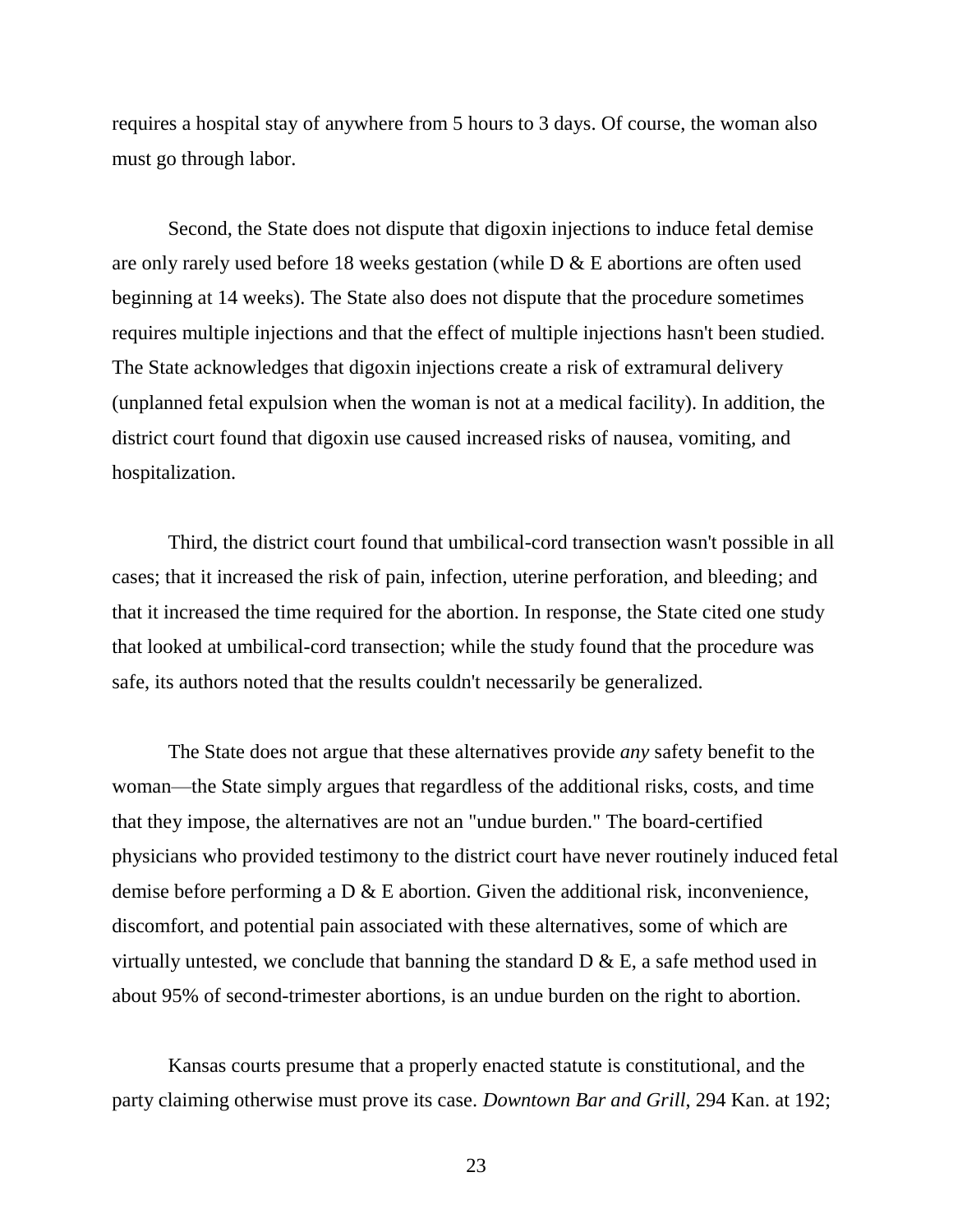requires a hospital stay of anywhere from 5 hours to 3 days. Of course, the woman also must go through labor.

Second, the State does not dispute that digoxin injections to induce fetal demise are only rarely used before 18 weeks gestation (while D & E abortions are often used beginning at 14 weeks). The State also does not dispute that the procedure sometimes requires multiple injections and that the effect of multiple injections hasn't been studied. The State acknowledges that digoxin injections create a risk of extramural delivery (unplanned fetal expulsion when the woman is not at a medical facility). In addition, the district court found that digoxin use caused increased risks of nausea, vomiting, and hospitalization.

Third, the district court found that umbilical-cord transection wasn't possible in all cases; that it increased the risk of pain, infection, uterine perforation, and bleeding; and that it increased the time required for the abortion. In response, the State cited one study that looked at umbilical-cord transection; while the study found that the procedure was safe, its authors noted that the results couldn't necessarily be generalized.

The State does not argue that these alternatives provide *any* safety benefit to the woman—the State simply argues that regardless of the additional risks, costs, and time that they impose, the alternatives are not an "undue burden." The board-certified physicians who provided testimony to the district court have never routinely induced fetal demise before performing a D & E abortion. Given the additional risk, inconvenience, discomfort, and potential pain associated with these alternatives, some of which are virtually untested, we conclude that banning the standard  $D \& E$ , a safe method used in about 95% of second-trimester abortions, is an undue burden on the right to abortion.

Kansas courts presume that a properly enacted statute is constitutional, and the party claiming otherwise must prove its case. *Downtown Bar and Grill*, 294 Kan. at 192;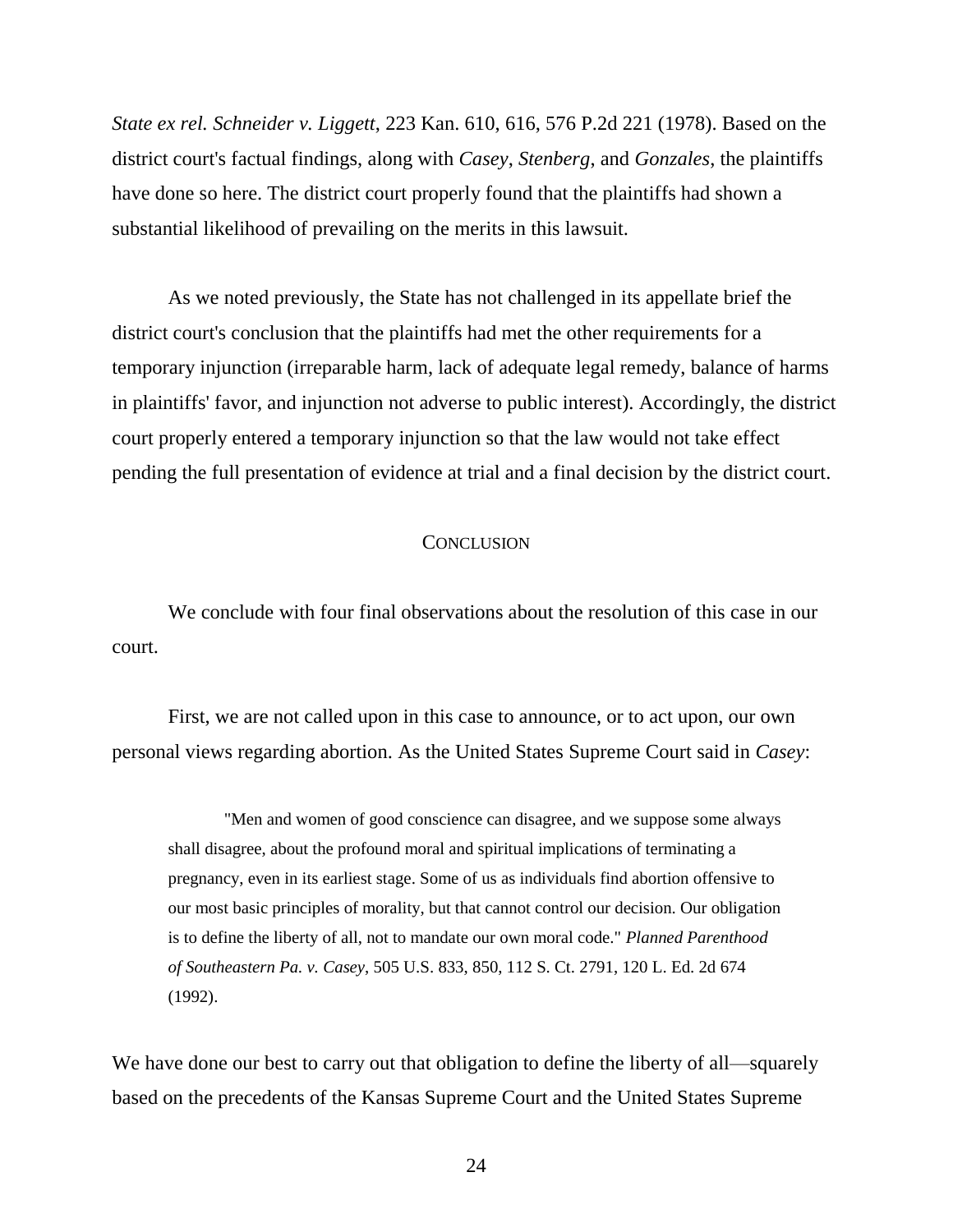*State ex rel. Schneider v. Liggett*, 223 Kan. 610, 616, 576 P.2d 221 (1978). Based on the district court's factual findings, along with *Casey*, *Stenberg*, and *Gonzales*, the plaintiffs have done so here. The district court properly found that the plaintiffs had shown a substantial likelihood of prevailing on the merits in this lawsuit.

As we noted previously, the State has not challenged in its appellate brief the district court's conclusion that the plaintiffs had met the other requirements for a temporary injunction (irreparable harm, lack of adequate legal remedy, balance of harms in plaintiffs' favor, and injunction not adverse to public interest). Accordingly, the district court properly entered a temporary injunction so that the law would not take effect pending the full presentation of evidence at trial and a final decision by the district court.

### **CONCLUSION**

We conclude with four final observations about the resolution of this case in our court.

First, we are not called upon in this case to announce, or to act upon, our own personal views regarding abortion. As the United States Supreme Court said in *Casey*:

"Men and women of good conscience can disagree, and we suppose some always shall disagree, about the profound moral and spiritual implications of terminating a pregnancy, even in its earliest stage. Some of us as individuals find abortion offensive to our most basic principles of morality, but that cannot control our decision. Our obligation is to define the liberty of all, not to mandate our own moral code." *Planned Parenthood of Southeastern Pa. v. Casey*, 505 U.S. 833, 850, 112 S. Ct. 2791, 120 L. Ed. 2d 674 (1992).

We have done our best to carry out that obligation to define the liberty of all—squarely based on the precedents of the Kansas Supreme Court and the United States Supreme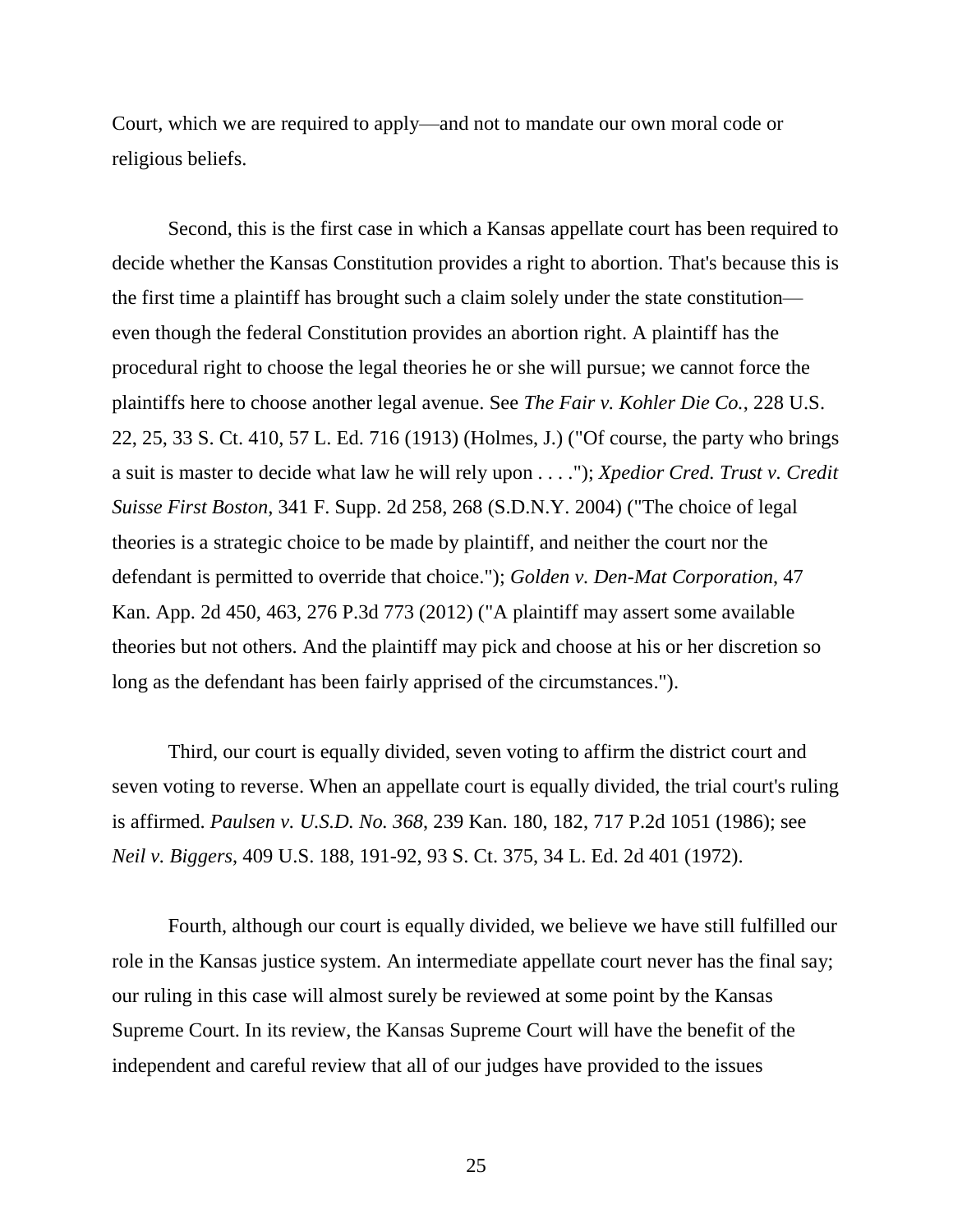Court, which we are required to apply—and not to mandate our own moral code or religious beliefs.

Second, this is the first case in which a Kansas appellate court has been required to decide whether the Kansas Constitution provides a right to abortion. That's because this is the first time a plaintiff has brought such a claim solely under the state constitution even though the federal Constitution provides an abortion right. A plaintiff has the procedural right to choose the legal theories he or she will pursue; we cannot force the plaintiffs here to choose another legal avenue. See *The Fair v. Kohler Die Co.*, 228 U.S. 22, 25, 33 S. Ct. 410, 57 L. Ed. 716 (1913) (Holmes, J.) ("Of course, the party who brings a suit is master to decide what law he will rely upon . . . ."); *Xpedior Cred. Trust v. Credit Suisse First Boston*, 341 F. Supp. 2d 258, 268 (S.D.N.Y. 2004) ("The choice of legal theories is a strategic choice to be made by plaintiff, and neither the court nor the defendant is permitted to override that choice."); *Golden v. Den-Mat Corporation*, 47 Kan. App. 2d 450, 463, 276 P.3d 773 (2012) ("A plaintiff may assert some available theories but not others. And the plaintiff may pick and choose at his or her discretion so long as the defendant has been fairly apprised of the circumstances.").

Third, our court is equally divided, seven voting to affirm the district court and seven voting to reverse. When an appellate court is equally divided, the trial court's ruling is affirmed. *Paulsen v. U.S.D. No. 368*, 239 Kan. 180, 182, 717 P.2d 1051 (1986); see *Neil v. Biggers*, 409 U.S. 188, 191-92, 93 S. Ct. 375, 34 L. Ed. 2d 401 (1972).

Fourth, although our court is equally divided, we believe we have still fulfilled our role in the Kansas justice system. An intermediate appellate court never has the final say; our ruling in this case will almost surely be reviewed at some point by the Kansas Supreme Court. In its review, the Kansas Supreme Court will have the benefit of the independent and careful review that all of our judges have provided to the issues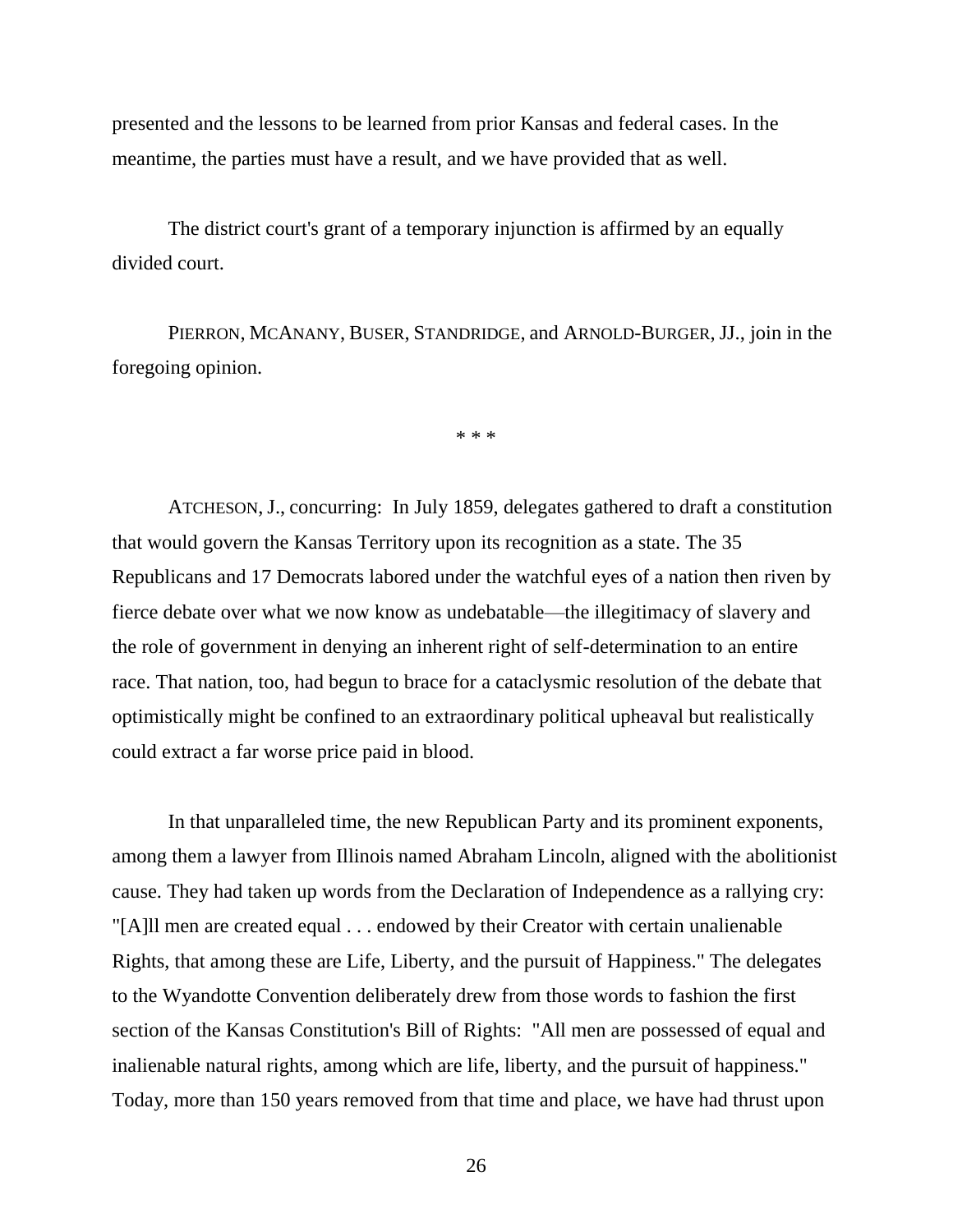presented and the lessons to be learned from prior Kansas and federal cases. In the meantime, the parties must have a result, and we have provided that as well.

The district court's grant of a temporary injunction is affirmed by an equally divided court.

PIERRON, MCANANY, BUSER, STANDRIDGE, and ARNOLD-BURGER, JJ., join in the foregoing opinion.

\* \* \*

ATCHESON, J., concurring: In July 1859, delegates gathered to draft a constitution that would govern the Kansas Territory upon its recognition as a state. The 35 Republicans and 17 Democrats labored under the watchful eyes of a nation then riven by fierce debate over what we now know as undebatable—the illegitimacy of slavery and the role of government in denying an inherent right of self-determination to an entire race. That nation, too, had begun to brace for a cataclysmic resolution of the debate that optimistically might be confined to an extraordinary political upheaval but realistically could extract a far worse price paid in blood.

In that unparalleled time, the new Republican Party and its prominent exponents, among them a lawyer from Illinois named Abraham Lincoln, aligned with the abolitionist cause. They had taken up words from the Declaration of Independence as a rallying cry: "[A]ll men are created equal . . . endowed by their Creator with certain unalienable Rights, that among these are Life, Liberty, and the pursuit of Happiness." The delegates to the Wyandotte Convention deliberately drew from those words to fashion the first section of the Kansas Constitution's Bill of Rights: "All men are possessed of equal and inalienable natural rights, among which are life, liberty, and the pursuit of happiness." Today, more than 150 years removed from that time and place, we have had thrust upon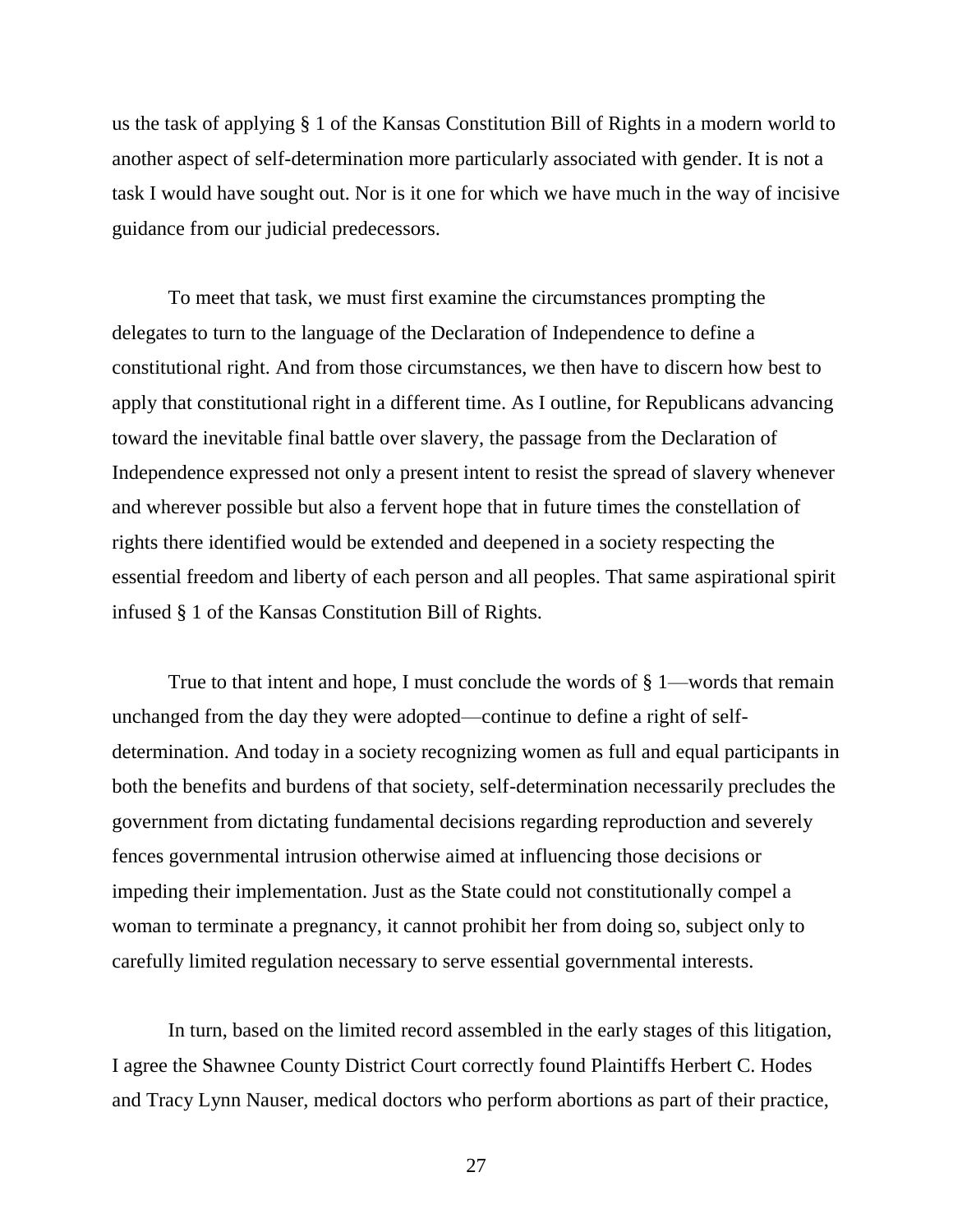us the task of applying § 1 of the Kansas Constitution Bill of Rights in a modern world to another aspect of self-determination more particularly associated with gender. It is not a task I would have sought out. Nor is it one for which we have much in the way of incisive guidance from our judicial predecessors.

To meet that task, we must first examine the circumstances prompting the delegates to turn to the language of the Declaration of Independence to define a constitutional right. And from those circumstances, we then have to discern how best to apply that constitutional right in a different time. As I outline, for Republicans advancing toward the inevitable final battle over slavery, the passage from the Declaration of Independence expressed not only a present intent to resist the spread of slavery whenever and wherever possible but also a fervent hope that in future times the constellation of rights there identified would be extended and deepened in a society respecting the essential freedom and liberty of each person and all peoples. That same aspirational spirit infused § 1 of the Kansas Constitution Bill of Rights.

True to that intent and hope, I must conclude the words of § 1—words that remain unchanged from the day they were adopted—continue to define a right of selfdetermination. And today in a society recognizing women as full and equal participants in both the benefits and burdens of that society, self-determination necessarily precludes the government from dictating fundamental decisions regarding reproduction and severely fences governmental intrusion otherwise aimed at influencing those decisions or impeding their implementation. Just as the State could not constitutionally compel a woman to terminate a pregnancy, it cannot prohibit her from doing so, subject only to carefully limited regulation necessary to serve essential governmental interests.

In turn, based on the limited record assembled in the early stages of this litigation, I agree the Shawnee County District Court correctly found Plaintiffs Herbert C. Hodes and Tracy Lynn Nauser, medical doctors who perform abortions as part of their practice,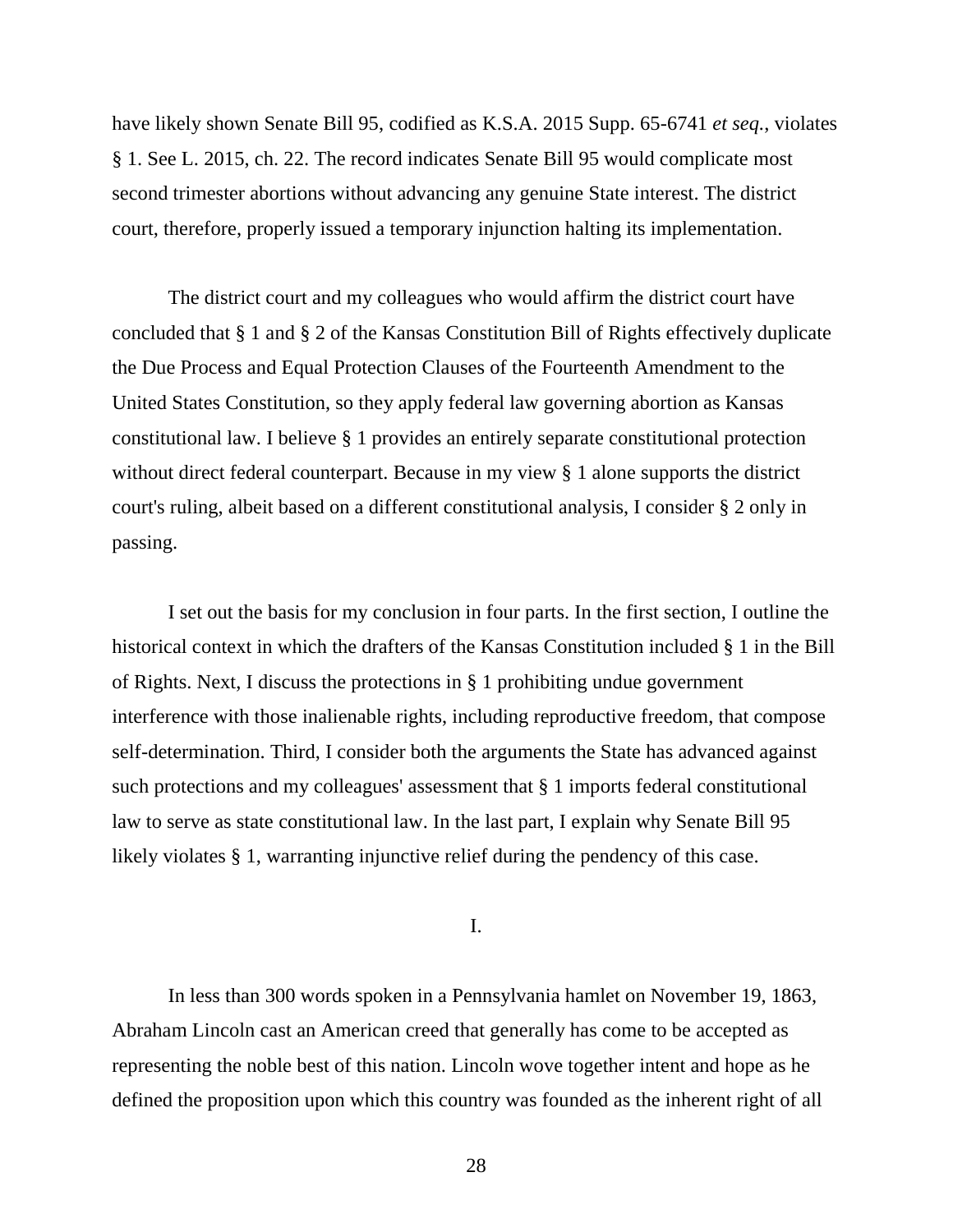have likely shown Senate Bill 95, codified as K.S.A. 2015 Supp. 65-6741 *et seq.*, violates § 1. See L. 2015, ch. 22. The record indicates Senate Bill 95 would complicate most second trimester abortions without advancing any genuine State interest. The district court, therefore, properly issued a temporary injunction halting its implementation.

The district court and my colleagues who would affirm the district court have concluded that § 1 and § 2 of the Kansas Constitution Bill of Rights effectively duplicate the Due Process and Equal Protection Clauses of the Fourteenth Amendment to the United States Constitution, so they apply federal law governing abortion as Kansas constitutional law. I believe § 1 provides an entirely separate constitutional protection without direct federal counterpart. Because in my view § 1 alone supports the district court's ruling, albeit based on a different constitutional analysis, I consider § 2 only in passing.

I set out the basis for my conclusion in four parts. In the first section, I outline the historical context in which the drafters of the Kansas Constitution included § 1 in the Bill of Rights. Next, I discuss the protections in § 1 prohibiting undue government interference with those inalienable rights, including reproductive freedom, that compose self-determination. Third, I consider both the arguments the State has advanced against such protections and my colleagues' assessment that § 1 imports federal constitutional law to serve as state constitutional law. In the last part, I explain why Senate Bill 95 likely violates § 1, warranting injunctive relief during the pendency of this case.

# I.

In less than 300 words spoken in a Pennsylvania hamlet on November 19, 1863, Abraham Lincoln cast an American creed that generally has come to be accepted as representing the noble best of this nation. Lincoln wove together intent and hope as he defined the proposition upon which this country was founded as the inherent right of all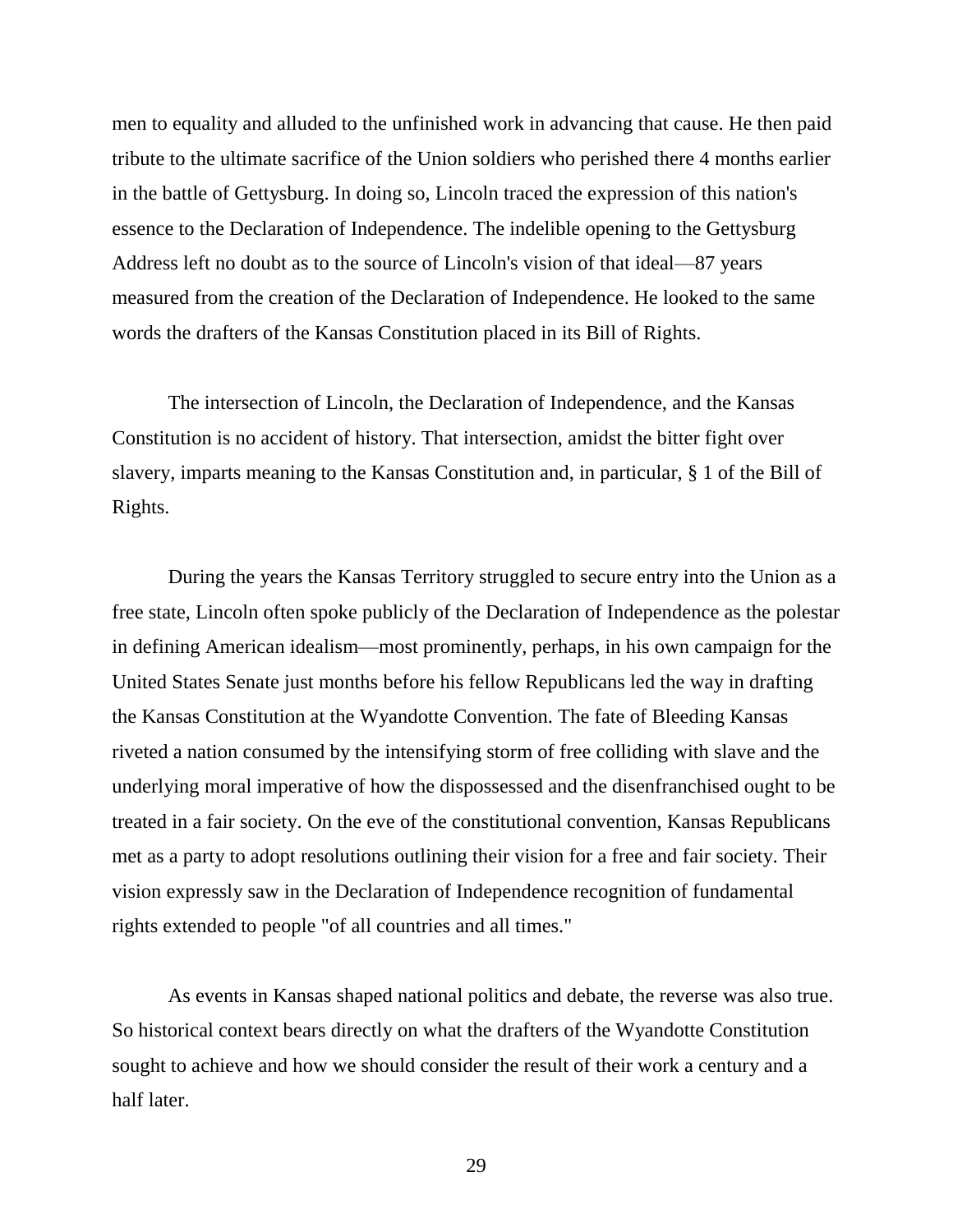men to equality and alluded to the unfinished work in advancing that cause. He then paid tribute to the ultimate sacrifice of the Union soldiers who perished there 4 months earlier in the battle of Gettysburg. In doing so, Lincoln traced the expression of this nation's essence to the Declaration of Independence. The indelible opening to the Gettysburg Address left no doubt as to the source of Lincoln's vision of that ideal—87 years measured from the creation of the Declaration of Independence. He looked to the same words the drafters of the Kansas Constitution placed in its Bill of Rights.

The intersection of Lincoln, the Declaration of Independence, and the Kansas Constitution is no accident of history. That intersection, amidst the bitter fight over slavery, imparts meaning to the Kansas Constitution and, in particular, § 1 of the Bill of Rights.

During the years the Kansas Territory struggled to secure entry into the Union as a free state, Lincoln often spoke publicly of the Declaration of Independence as the polestar in defining American idealism—most prominently, perhaps, in his own campaign for the United States Senate just months before his fellow Republicans led the way in drafting the Kansas Constitution at the Wyandotte Convention. The fate of Bleeding Kansas riveted a nation consumed by the intensifying storm of free colliding with slave and the underlying moral imperative of how the dispossessed and the disenfranchised ought to be treated in a fair society. On the eve of the constitutional convention, Kansas Republicans met as a party to adopt resolutions outlining their vision for a free and fair society. Their vision expressly saw in the Declaration of Independence recognition of fundamental rights extended to people "of all countries and all times."

As events in Kansas shaped national politics and debate, the reverse was also true. So historical context bears directly on what the drafters of the Wyandotte Constitution sought to achieve and how we should consider the result of their work a century and a half later.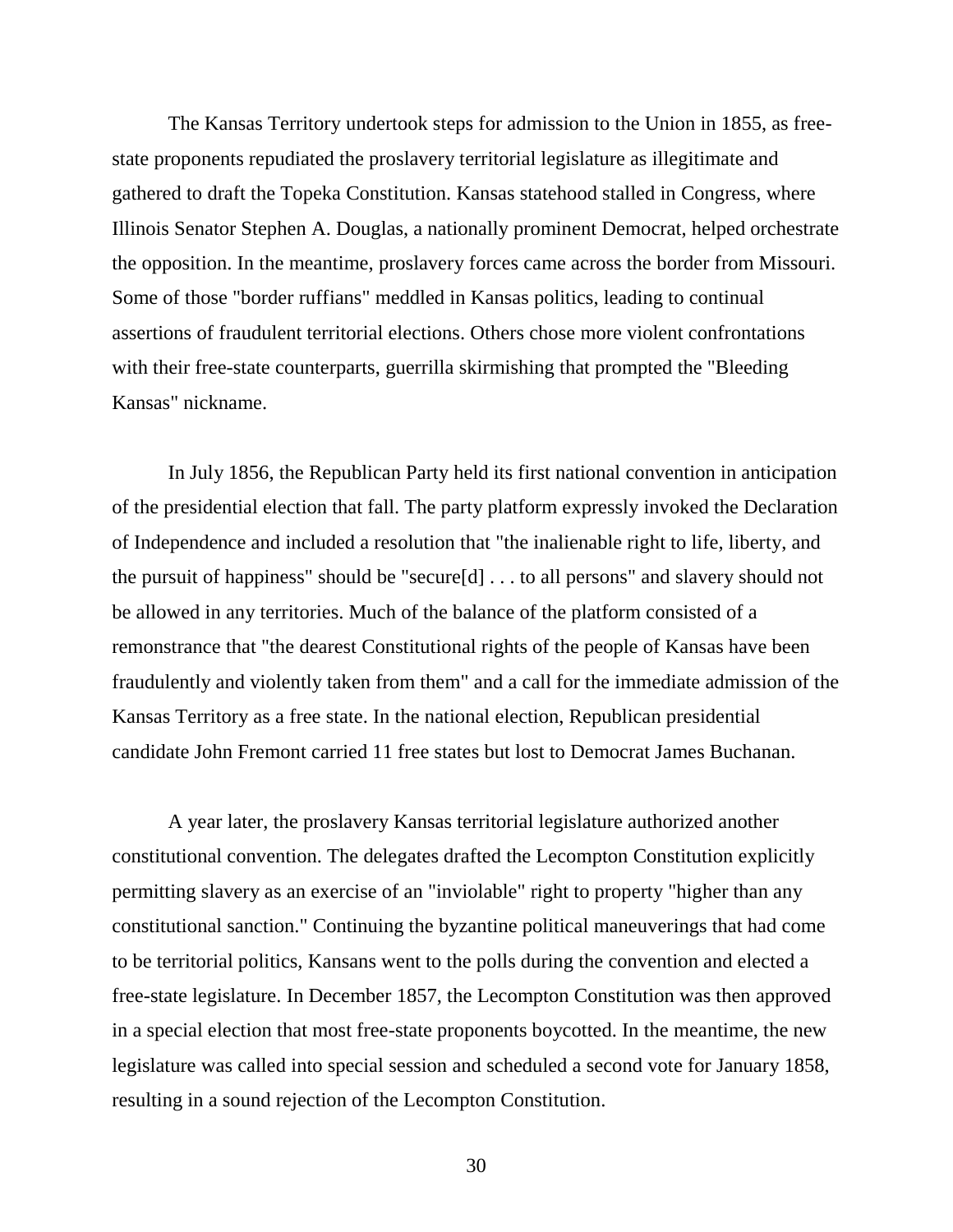The Kansas Territory undertook steps for admission to the Union in 1855, as freestate proponents repudiated the proslavery territorial legislature as illegitimate and gathered to draft the Topeka Constitution. Kansas statehood stalled in Congress, where Illinois Senator Stephen A. Douglas, a nationally prominent Democrat, helped orchestrate the opposition. In the meantime, proslavery forces came across the border from Missouri. Some of those "border ruffians" meddled in Kansas politics, leading to continual assertions of fraudulent territorial elections. Others chose more violent confrontations with their free-state counterparts, guerrilla skirmishing that prompted the "Bleeding Kansas" nickname.

In July 1856, the Republican Party held its first national convention in anticipation of the presidential election that fall. The party platform expressly invoked the Declaration of Independence and included a resolution that "the inalienable right to life, liberty, and the pursuit of happiness" should be "secure[d] . . . to all persons" and slavery should not be allowed in any territories. Much of the balance of the platform consisted of a remonstrance that "the dearest Constitutional rights of the people of Kansas have been fraudulently and violently taken from them" and a call for the immediate admission of the Kansas Territory as a free state. In the national election, Republican presidential candidate John Fremont carried 11 free states but lost to Democrat James Buchanan.

A year later, the proslavery Kansas territorial legislature authorized another constitutional convention. The delegates drafted the Lecompton Constitution explicitly permitting slavery as an exercise of an "inviolable" right to property "higher than any constitutional sanction." Continuing the byzantine political maneuverings that had come to be territorial politics, Kansans went to the polls during the convention and elected a free-state legislature. In December 1857, the Lecompton Constitution was then approved in a special election that most free-state proponents boycotted. In the meantime, the new legislature was called into special session and scheduled a second vote for January 1858, resulting in a sound rejection of the Lecompton Constitution.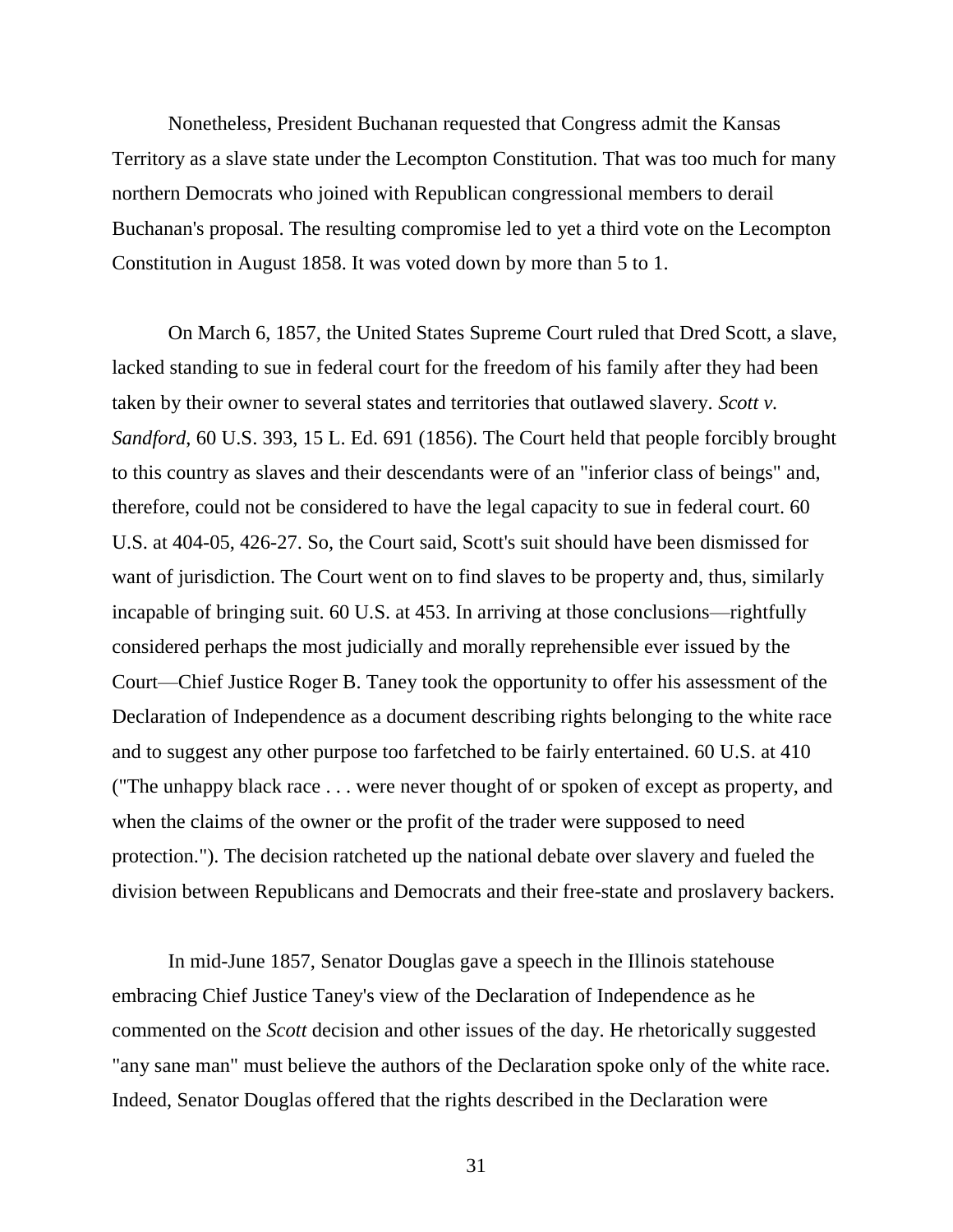Nonetheless, President Buchanan requested that Congress admit the Kansas Territory as a slave state under the Lecompton Constitution. That was too much for many northern Democrats who joined with Republican congressional members to derail Buchanan's proposal. The resulting compromise led to yet a third vote on the Lecompton Constitution in August 1858. It was voted down by more than 5 to 1.

On March 6, 1857, the United States Supreme Court ruled that Dred Scott, a slave, lacked standing to sue in federal court for the freedom of his family after they had been taken by their owner to several states and territories that outlawed slavery. *Scott v. Sandford*, 60 U.S. 393, 15 L. Ed. 691 (1856). The Court held that people forcibly brought to this country as slaves and their descendants were of an "inferior class of beings" and, therefore, could not be considered to have the legal capacity to sue in federal court. 60 U.S. at 404-05, 426-27. So, the Court said, Scott's suit should have been dismissed for want of jurisdiction. The Court went on to find slaves to be property and, thus, similarly incapable of bringing suit. 60 U.S. at 453. In arriving at those conclusions—rightfully considered perhaps the most judicially and morally reprehensible ever issued by the Court—Chief Justice Roger B. Taney took the opportunity to offer his assessment of the Declaration of Independence as a document describing rights belonging to the white race and to suggest any other purpose too farfetched to be fairly entertained. 60 U.S. at 410 ("The unhappy black race . . . were never thought of or spoken of except as property, and when the claims of the owner or the profit of the trader were supposed to need protection."). The decision ratcheted up the national debate over slavery and fueled the division between Republicans and Democrats and their free-state and proslavery backers.

In mid-June 1857, Senator Douglas gave a speech in the Illinois statehouse embracing Chief Justice Taney's view of the Declaration of Independence as he commented on the *Scott* decision and other issues of the day. He rhetorically suggested "any sane man" must believe the authors of the Declaration spoke only of the white race. Indeed, Senator Douglas offered that the rights described in the Declaration were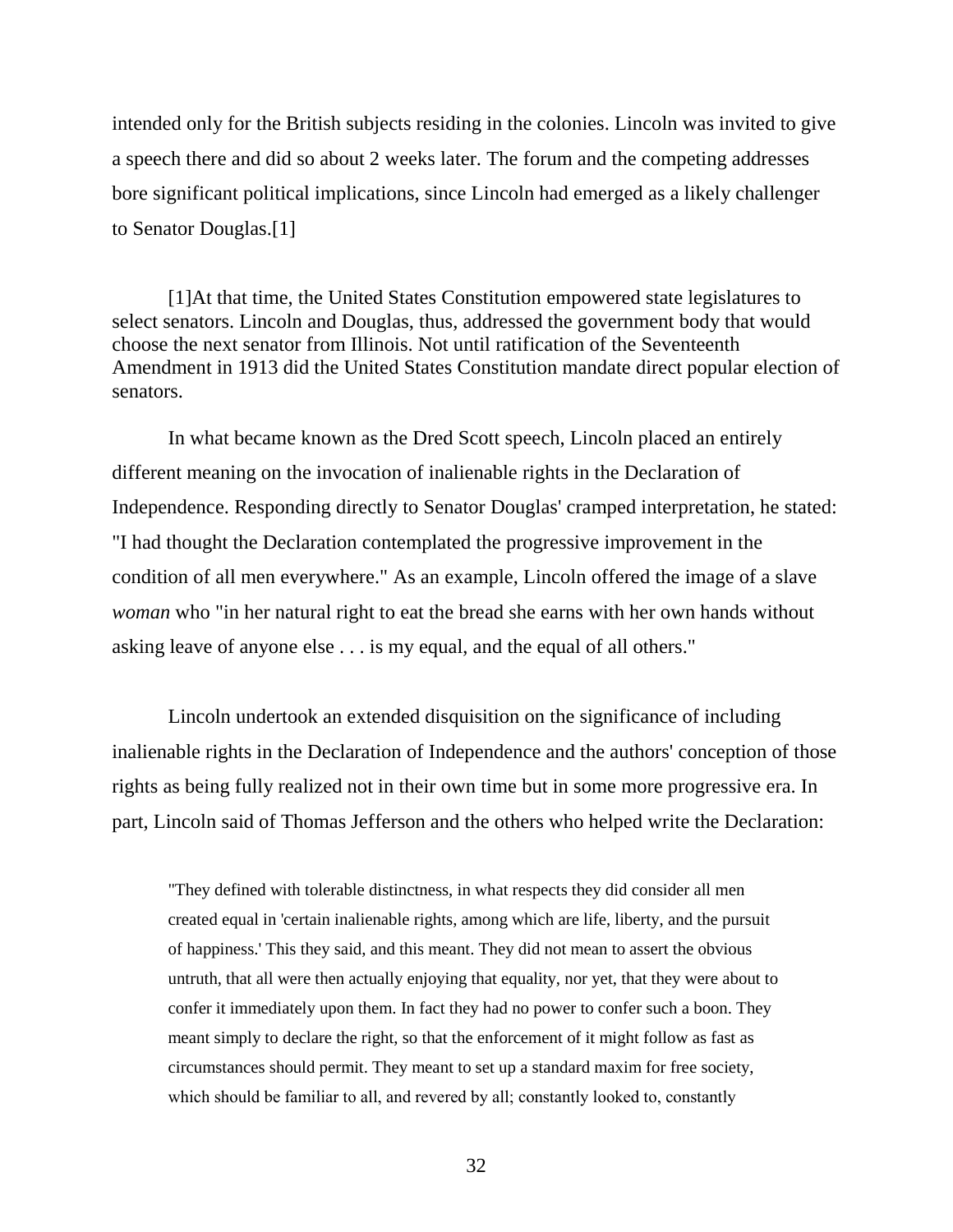intended only for the British subjects residing in the colonies. Lincoln was invited to give a speech there and did so about 2 weeks later. The forum and the competing addresses bore significant political implications, since Lincoln had emerged as a likely challenger to Senator Douglas.[1]

[1]At that time, the United States Constitution empowered state legislatures to select senators. Lincoln and Douglas, thus, addressed the government body that would choose the next senator from Illinois. Not until ratification of the Seventeenth Amendment in 1913 did the United States Constitution mandate direct popular election of senators.

In what became known as the Dred Scott speech, Lincoln placed an entirely different meaning on the invocation of inalienable rights in the Declaration of Independence. Responding directly to Senator Douglas' cramped interpretation, he stated: "I had thought the Declaration contemplated the progressive improvement in the condition of all men everywhere." As an example, Lincoln offered the image of a slave *woman* who "in her natural right to eat the bread she earns with her own hands without asking leave of anyone else . . . is my equal, and the equal of all others."

Lincoln undertook an extended disquisition on the significance of including inalienable rights in the Declaration of Independence and the authors' conception of those rights as being fully realized not in their own time but in some more progressive era. In part, Lincoln said of Thomas Jefferson and the others who helped write the Declaration:

"They defined with tolerable distinctness, in what respects they did consider all men created equal in 'certain inalienable rights, among which are life, liberty, and the pursuit of happiness.' This they said, and this meant. They did not mean to assert the obvious untruth, that all were then actually enjoying that equality, nor yet, that they were about to confer it immediately upon them. In fact they had no power to confer such a boon. They meant simply to declare the right, so that the enforcement of it might follow as fast as circumstances should permit. They meant to set up a standard maxim for free society, which should be familiar to all, and revered by all; constantly looked to, constantly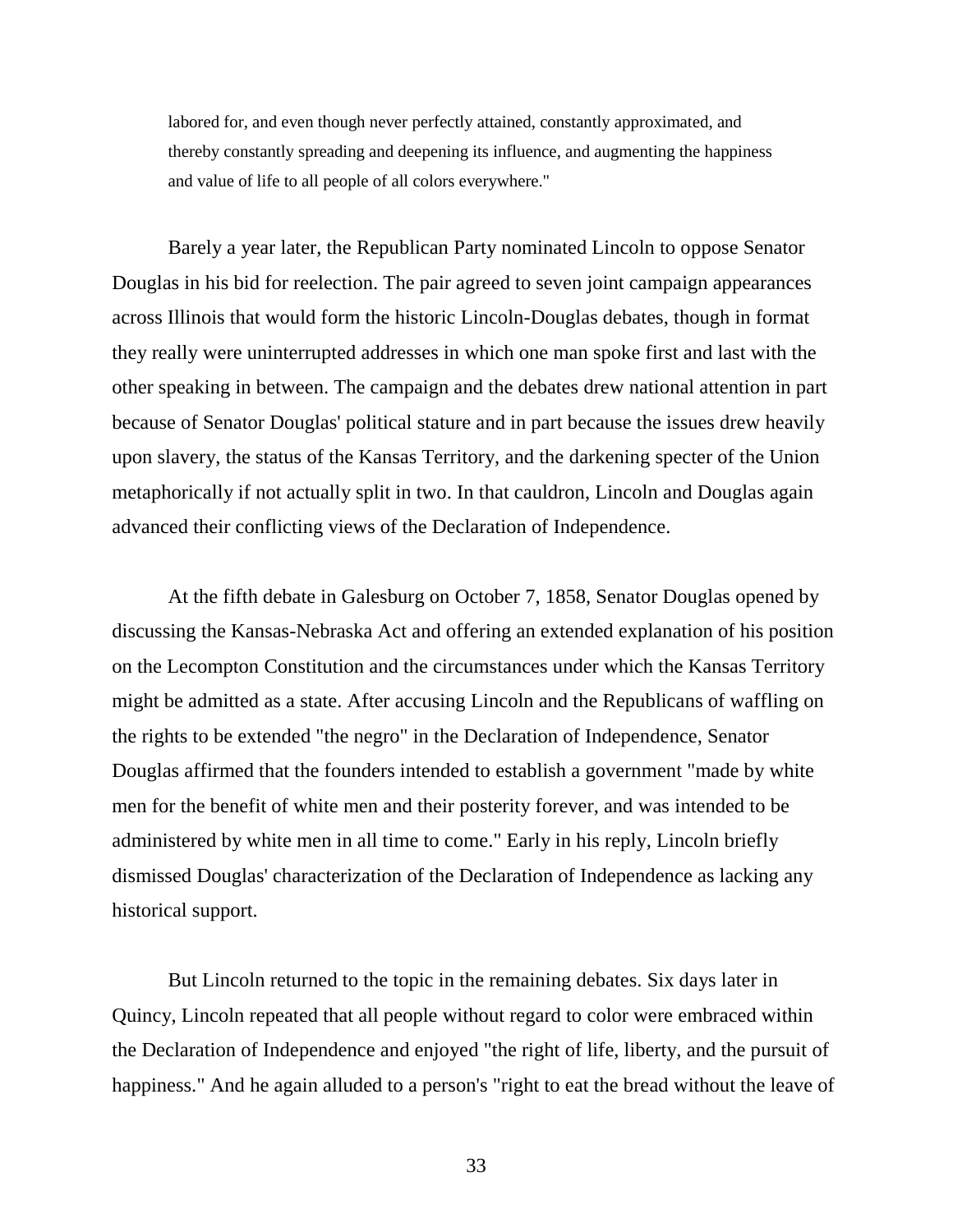labored for, and even though never perfectly attained, constantly approximated, and thereby constantly spreading and deepening its influence, and augmenting the happiness and value of life to all people of all colors everywhere."

Barely a year later, the Republican Party nominated Lincoln to oppose Senator Douglas in his bid for reelection. The pair agreed to seven joint campaign appearances across Illinois that would form the historic Lincoln-Douglas debates, though in format they really were uninterrupted addresses in which one man spoke first and last with the other speaking in between. The campaign and the debates drew national attention in part because of Senator Douglas' political stature and in part because the issues drew heavily upon slavery, the status of the Kansas Territory, and the darkening specter of the Union metaphorically if not actually split in two. In that cauldron, Lincoln and Douglas again advanced their conflicting views of the Declaration of Independence.

At the fifth debate in Galesburg on October 7, 1858, Senator Douglas opened by discussing the Kansas-Nebraska Act and offering an extended explanation of his position on the Lecompton Constitution and the circumstances under which the Kansas Territory might be admitted as a state. After accusing Lincoln and the Republicans of waffling on the rights to be extended "the negro" in the Declaration of Independence, Senator Douglas affirmed that the founders intended to establish a government "made by white men for the benefit of white men and their posterity forever, and was intended to be administered by white men in all time to come." Early in his reply, Lincoln briefly dismissed Douglas' characterization of the Declaration of Independence as lacking any historical support.

But Lincoln returned to the topic in the remaining debates. Six days later in Quincy, Lincoln repeated that all people without regard to color were embraced within the Declaration of Independence and enjoyed "the right of life, liberty, and the pursuit of happiness." And he again alluded to a person's "right to eat the bread without the leave of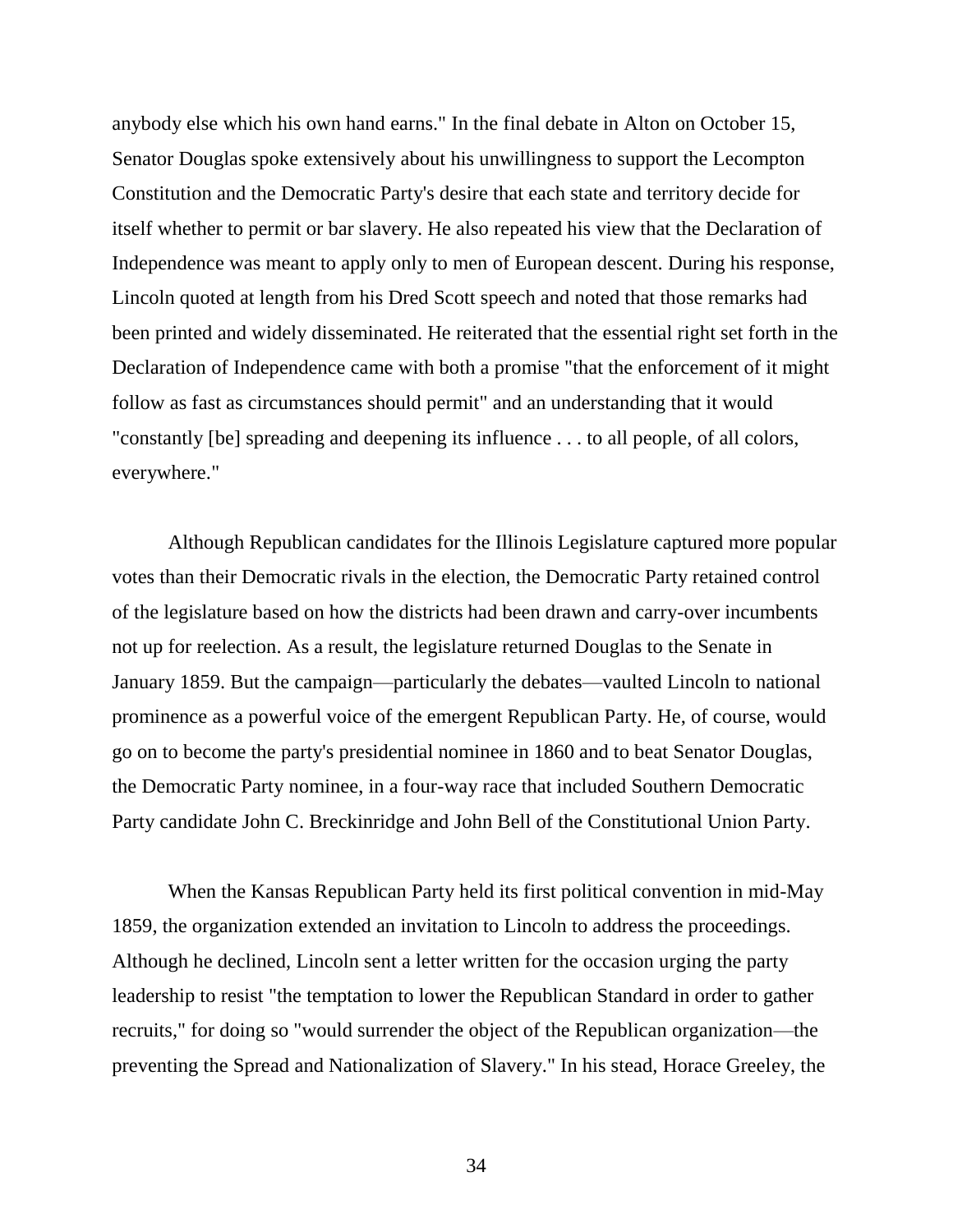anybody else which his own hand earns." In the final debate in Alton on October 15, Senator Douglas spoke extensively about his unwillingness to support the Lecompton Constitution and the Democratic Party's desire that each state and territory decide for itself whether to permit or bar slavery. He also repeated his view that the Declaration of Independence was meant to apply only to men of European descent. During his response, Lincoln quoted at length from his Dred Scott speech and noted that those remarks had been printed and widely disseminated. He reiterated that the essential right set forth in the Declaration of Independence came with both a promise "that the enforcement of it might follow as fast as circumstances should permit" and an understanding that it would "constantly [be] spreading and deepening its influence . . . to all people, of all colors, everywhere."

Although Republican candidates for the Illinois Legislature captured more popular votes than their Democratic rivals in the election, the Democratic Party retained control of the legislature based on how the districts had been drawn and carry-over incumbents not up for reelection. As a result, the legislature returned Douglas to the Senate in January 1859. But the campaign—particularly the debates—vaulted Lincoln to national prominence as a powerful voice of the emergent Republican Party. He, of course, would go on to become the party's presidential nominee in 1860 and to beat Senator Douglas, the Democratic Party nominee, in a four-way race that included Southern Democratic Party candidate John C. Breckinridge and John Bell of the Constitutional Union Party.

When the Kansas Republican Party held its first political convention in mid-May 1859, the organization extended an invitation to Lincoln to address the proceedings. Although he declined, Lincoln sent a letter written for the occasion urging the party leadership to resist "the temptation to lower the Republican Standard in order to gather recruits," for doing so "would surrender the object of the Republican organization—the preventing the Spread and Nationalization of Slavery." In his stead, Horace Greeley, the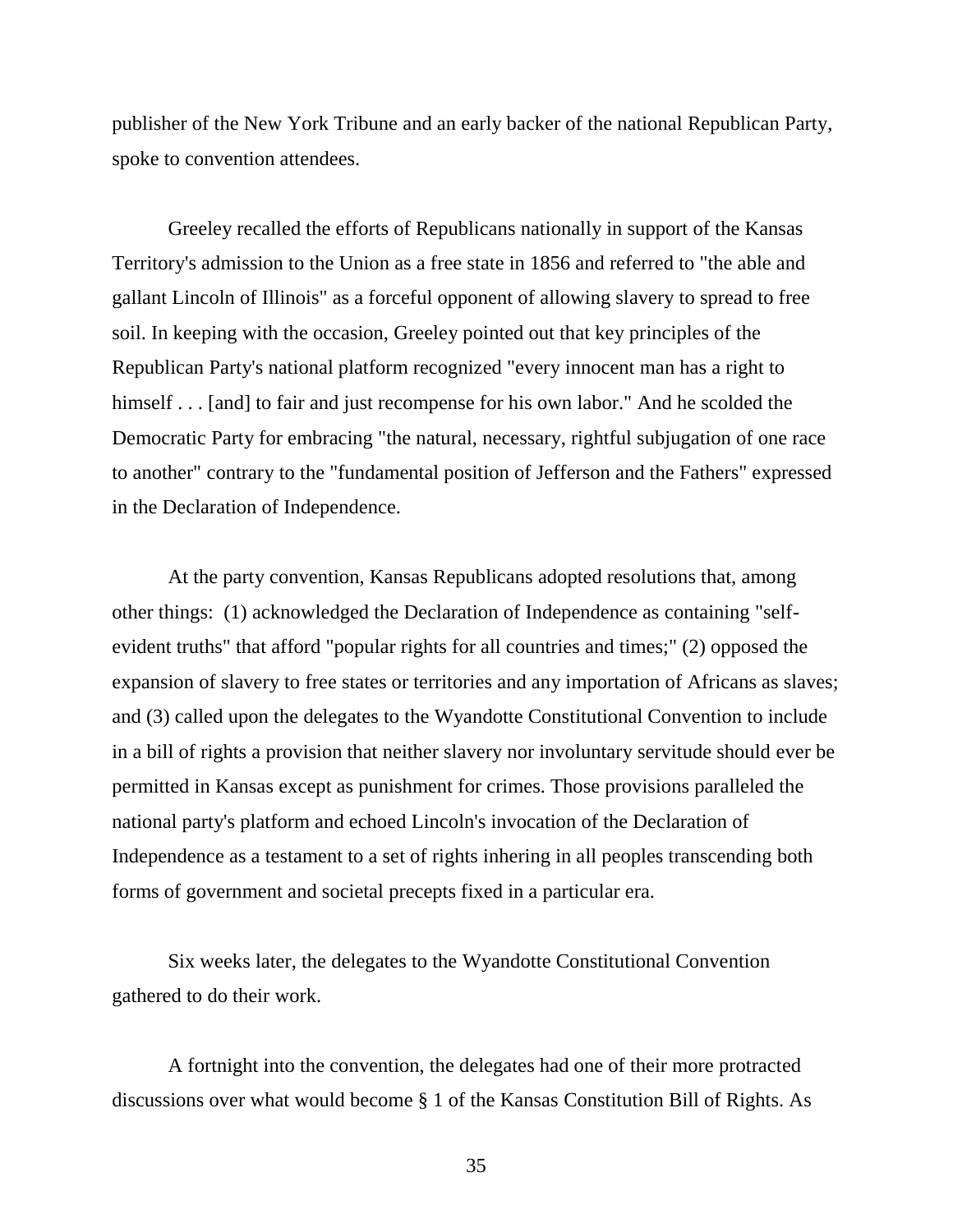publisher of the New York Tribune and an early backer of the national Republican Party, spoke to convention attendees.

Greeley recalled the efforts of Republicans nationally in support of the Kansas Territory's admission to the Union as a free state in 1856 and referred to "the able and gallant Lincoln of Illinois" as a forceful opponent of allowing slavery to spread to free soil. In keeping with the occasion, Greeley pointed out that key principles of the Republican Party's national platform recognized "every innocent man has a right to himself . . . [and] to fair and just recompense for his own labor." And he scolded the Democratic Party for embracing "the natural, necessary, rightful subjugation of one race to another" contrary to the "fundamental position of Jefferson and the Fathers" expressed in the Declaration of Independence.

At the party convention, Kansas Republicans adopted resolutions that, among other things: (1) acknowledged the Declaration of Independence as containing "selfevident truths" that afford "popular rights for all countries and times;" (2) opposed the expansion of slavery to free states or territories and any importation of Africans as slaves; and (3) called upon the delegates to the Wyandotte Constitutional Convention to include in a bill of rights a provision that neither slavery nor involuntary servitude should ever be permitted in Kansas except as punishment for crimes. Those provisions paralleled the national party's platform and echoed Lincoln's invocation of the Declaration of Independence as a testament to a set of rights inhering in all peoples transcending both forms of government and societal precepts fixed in a particular era.

Six weeks later, the delegates to the Wyandotte Constitutional Convention gathered to do their work.

A fortnight into the convention, the delegates had one of their more protracted discussions over what would become § 1 of the Kansas Constitution Bill of Rights. As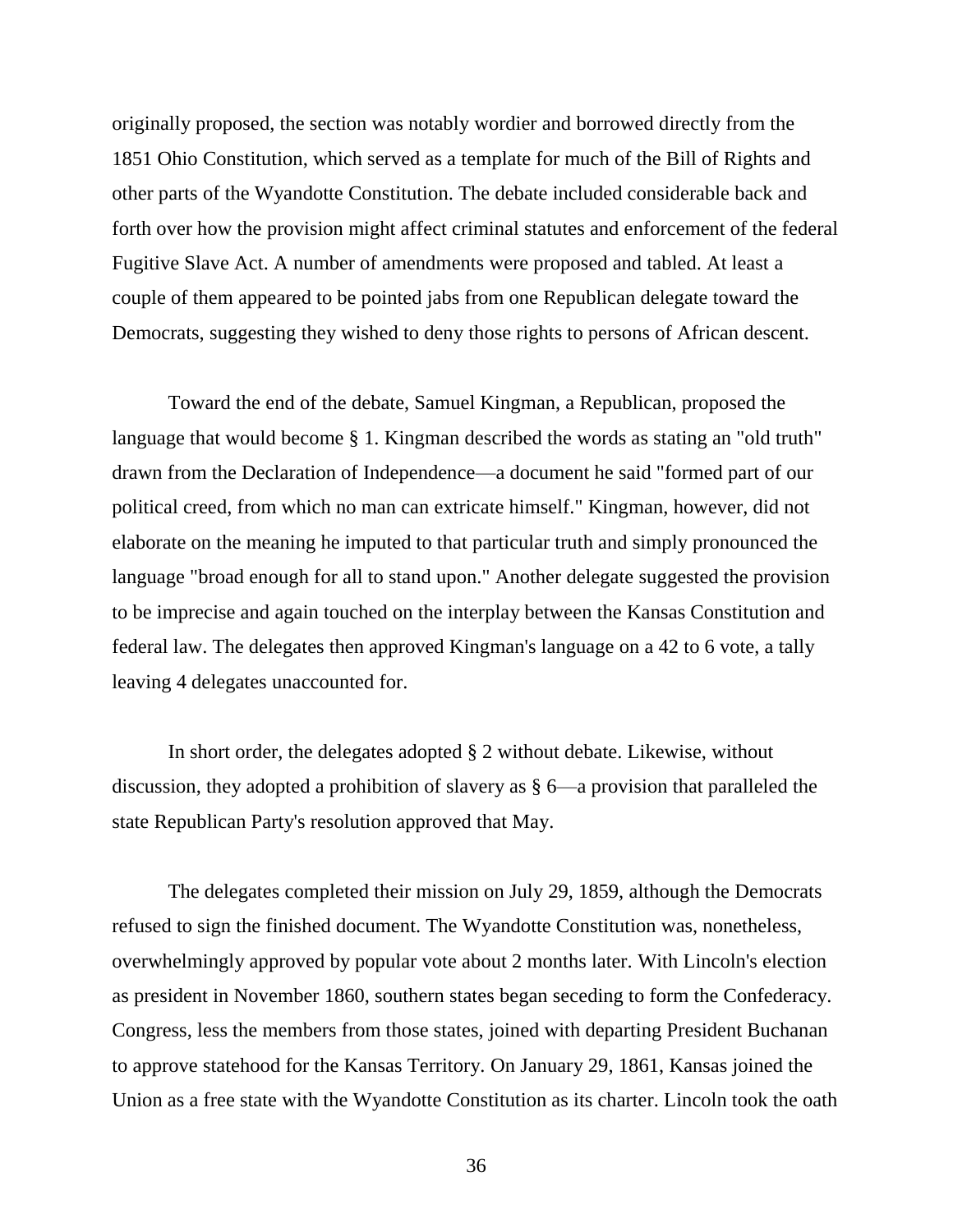originally proposed, the section was notably wordier and borrowed directly from the 1851 Ohio Constitution, which served as a template for much of the Bill of Rights and other parts of the Wyandotte Constitution. The debate included considerable back and forth over how the provision might affect criminal statutes and enforcement of the federal Fugitive Slave Act. A number of amendments were proposed and tabled. At least a couple of them appeared to be pointed jabs from one Republican delegate toward the Democrats, suggesting they wished to deny those rights to persons of African descent.

Toward the end of the debate, Samuel Kingman, a Republican, proposed the language that would become § 1. Kingman described the words as stating an "old truth" drawn from the Declaration of Independence—a document he said "formed part of our political creed, from which no man can extricate himself." Kingman, however, did not elaborate on the meaning he imputed to that particular truth and simply pronounced the language "broad enough for all to stand upon." Another delegate suggested the provision to be imprecise and again touched on the interplay between the Kansas Constitution and federal law. The delegates then approved Kingman's language on a 42 to 6 vote, a tally leaving 4 delegates unaccounted for.

In short order, the delegates adopted § 2 without debate. Likewise, without discussion, they adopted a prohibition of slavery as § 6—a provision that paralleled the state Republican Party's resolution approved that May.

The delegates completed their mission on July 29, 1859, although the Democrats refused to sign the finished document. The Wyandotte Constitution was, nonetheless, overwhelmingly approved by popular vote about 2 months later. With Lincoln's election as president in November 1860, southern states began seceding to form the Confederacy. Congress, less the members from those states, joined with departing President Buchanan to approve statehood for the Kansas Territory. On January 29, 1861, Kansas joined the Union as a free state with the Wyandotte Constitution as its charter. Lincoln took the oath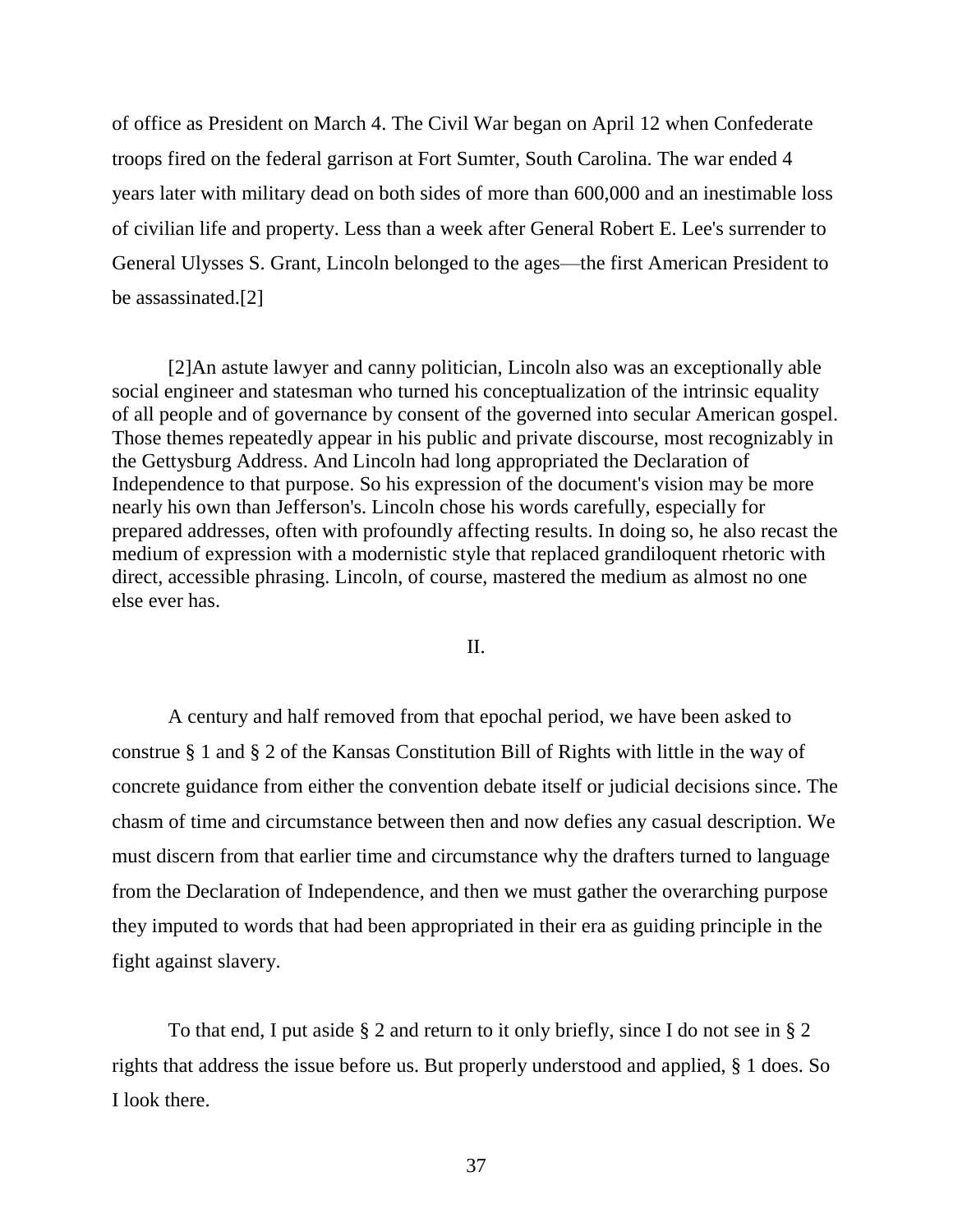of office as President on March 4. The Civil War began on April 12 when Confederate troops fired on the federal garrison at Fort Sumter, South Carolina. The war ended 4 years later with military dead on both sides of more than 600,000 and an inestimable loss of civilian life and property. Less than a week after General Robert E. Lee's surrender to General Ulysses S. Grant, Lincoln belonged to the ages—the first American President to be assassinated.[2]

[2]An astute lawyer and canny politician, Lincoln also was an exceptionally able social engineer and statesman who turned his conceptualization of the intrinsic equality of all people and of governance by consent of the governed into secular American gospel. Those themes repeatedly appear in his public and private discourse, most recognizably in the Gettysburg Address. And Lincoln had long appropriated the Declaration of Independence to that purpose. So his expression of the document's vision may be more nearly his own than Jefferson's. Lincoln chose his words carefully, especially for prepared addresses, often with profoundly affecting results. In doing so, he also recast the medium of expression with a modernistic style that replaced grandiloquent rhetoric with direct, accessible phrasing. Lincoln, of course, mastered the medium as almost no one else ever has.

### II.

A century and half removed from that epochal period, we have been asked to construe § 1 and § 2 of the Kansas Constitution Bill of Rights with little in the way of concrete guidance from either the convention debate itself or judicial decisions since. The chasm of time and circumstance between then and now defies any casual description. We must discern from that earlier time and circumstance why the drafters turned to language from the Declaration of Independence, and then we must gather the overarching purpose they imputed to words that had been appropriated in their era as guiding principle in the fight against slavery.

To that end, I put aside § 2 and return to it only briefly, since I do not see in § 2 rights that address the issue before us. But properly understood and applied, § 1 does. So I look there.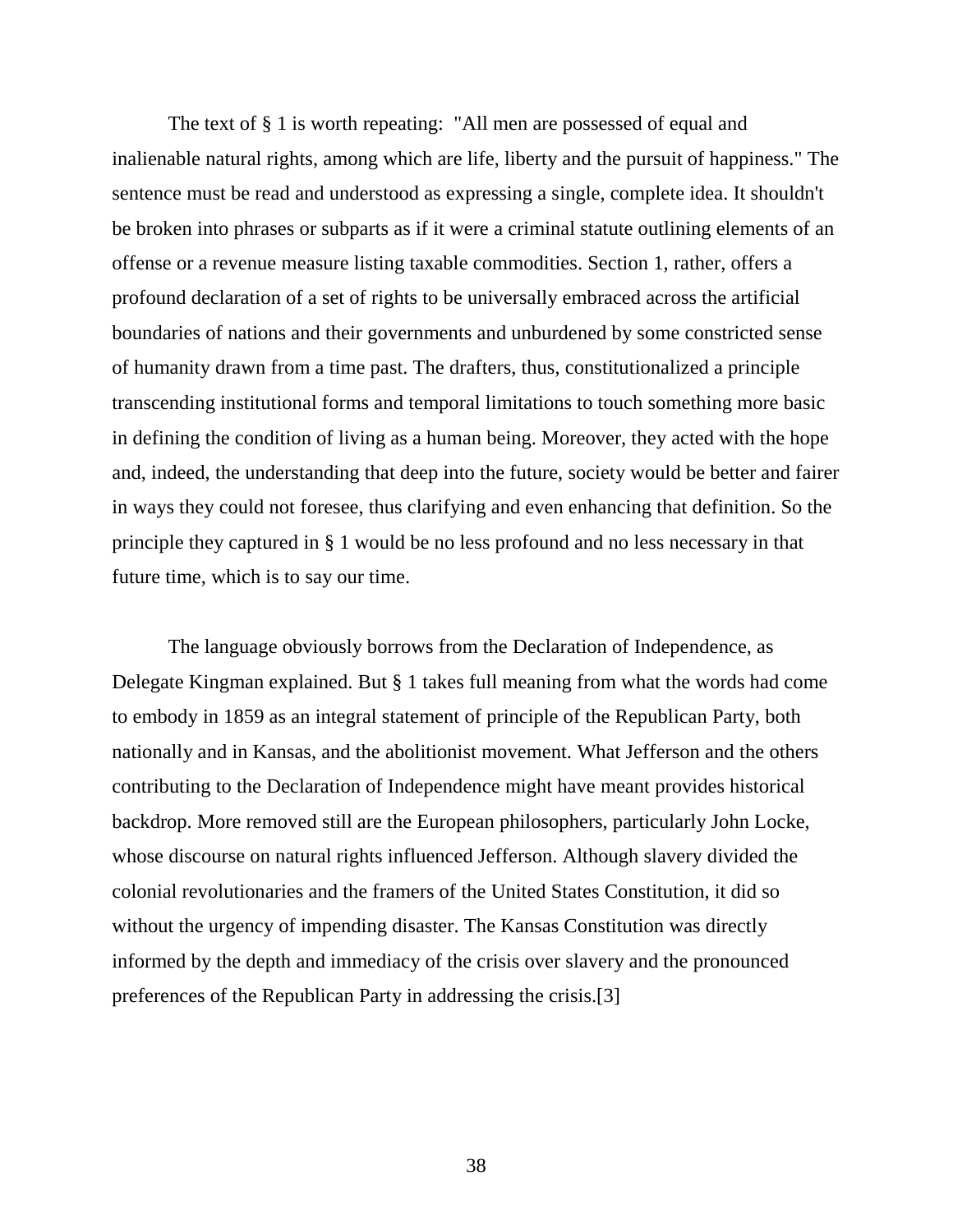The text of § 1 is worth repeating: "All men are possessed of equal and inalienable natural rights, among which are life, liberty and the pursuit of happiness." The sentence must be read and understood as expressing a single, complete idea. It shouldn't be broken into phrases or subparts as if it were a criminal statute outlining elements of an offense or a revenue measure listing taxable commodities. Section 1, rather, offers a profound declaration of a set of rights to be universally embraced across the artificial boundaries of nations and their governments and unburdened by some constricted sense of humanity drawn from a time past. The drafters, thus, constitutionalized a principle transcending institutional forms and temporal limitations to touch something more basic in defining the condition of living as a human being. Moreover, they acted with the hope and, indeed, the understanding that deep into the future, society would be better and fairer in ways they could not foresee, thus clarifying and even enhancing that definition. So the principle they captured in § 1 would be no less profound and no less necessary in that future time, which is to say our time.

The language obviously borrows from the Declaration of Independence, as Delegate Kingman explained. But § 1 takes full meaning from what the words had come to embody in 1859 as an integral statement of principle of the Republican Party, both nationally and in Kansas, and the abolitionist movement. What Jefferson and the others contributing to the Declaration of Independence might have meant provides historical backdrop. More removed still are the European philosophers, particularly John Locke, whose discourse on natural rights influenced Jefferson. Although slavery divided the colonial revolutionaries and the framers of the United States Constitution, it did so without the urgency of impending disaster. The Kansas Constitution was directly informed by the depth and immediacy of the crisis over slavery and the pronounced preferences of the Republican Party in addressing the crisis.[3]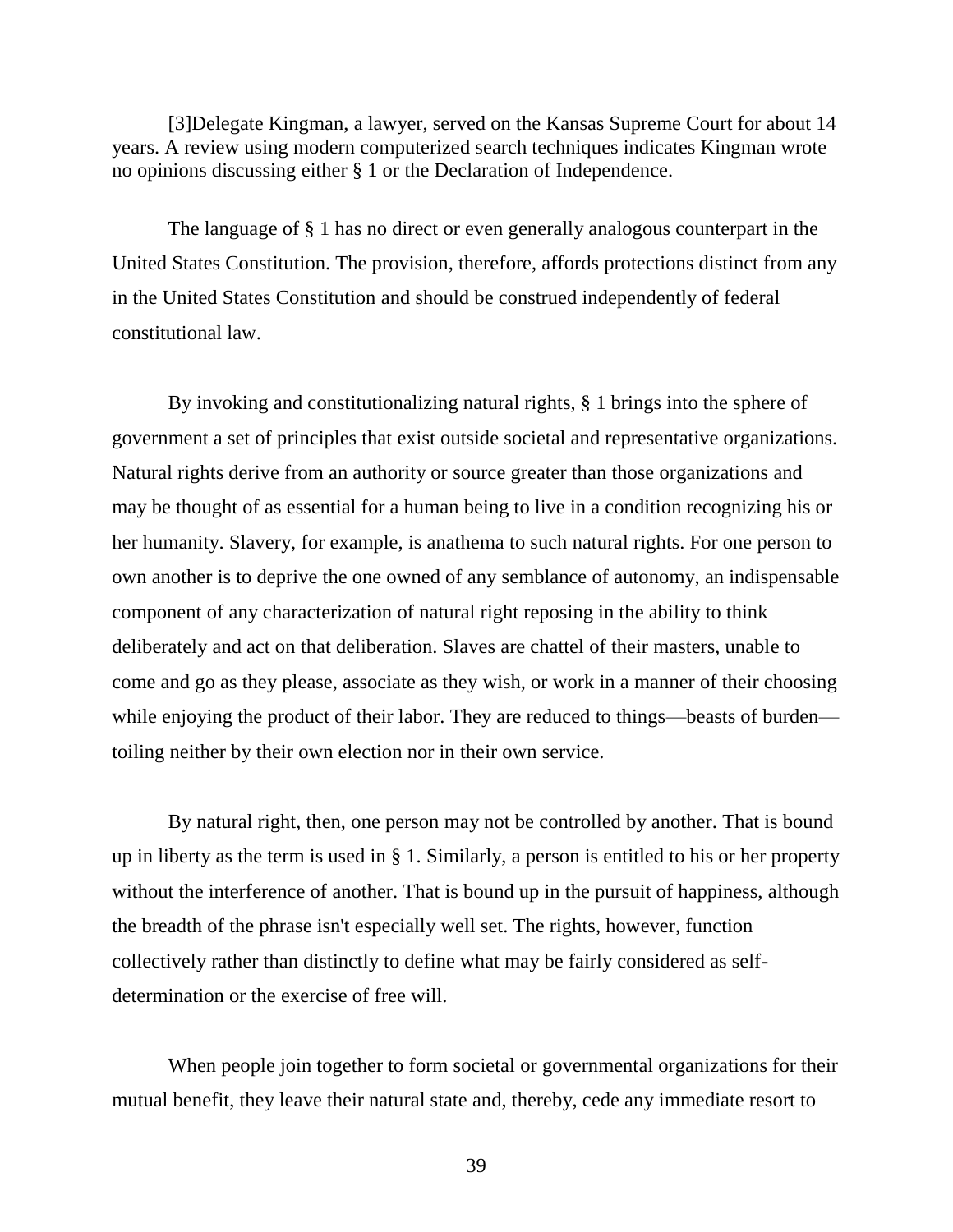[3]Delegate Kingman, a lawyer, served on the Kansas Supreme Court for about 14 years. A review using modern computerized search techniques indicates Kingman wrote no opinions discussing either § 1 or the Declaration of Independence.

The language of § 1 has no direct or even generally analogous counterpart in the United States Constitution. The provision, therefore, affords protections distinct from any in the United States Constitution and should be construed independently of federal constitutional law.

By invoking and constitutionalizing natural rights, § 1 brings into the sphere of government a set of principles that exist outside societal and representative organizations. Natural rights derive from an authority or source greater than those organizations and may be thought of as essential for a human being to live in a condition recognizing his or her humanity. Slavery, for example, is anathema to such natural rights. For one person to own another is to deprive the one owned of any semblance of autonomy, an indispensable component of any characterization of natural right reposing in the ability to think deliberately and act on that deliberation. Slaves are chattel of their masters, unable to come and go as they please, associate as they wish, or work in a manner of their choosing while enjoying the product of their labor. They are reduced to things—beasts of burden toiling neither by their own election nor in their own service.

By natural right, then, one person may not be controlled by another. That is bound up in liberty as the term is used in § 1. Similarly, a person is entitled to his or her property without the interference of another. That is bound up in the pursuit of happiness, although the breadth of the phrase isn't especially well set. The rights, however, function collectively rather than distinctly to define what may be fairly considered as selfdetermination or the exercise of free will.

When people join together to form societal or governmental organizations for their mutual benefit, they leave their natural state and, thereby, cede any immediate resort to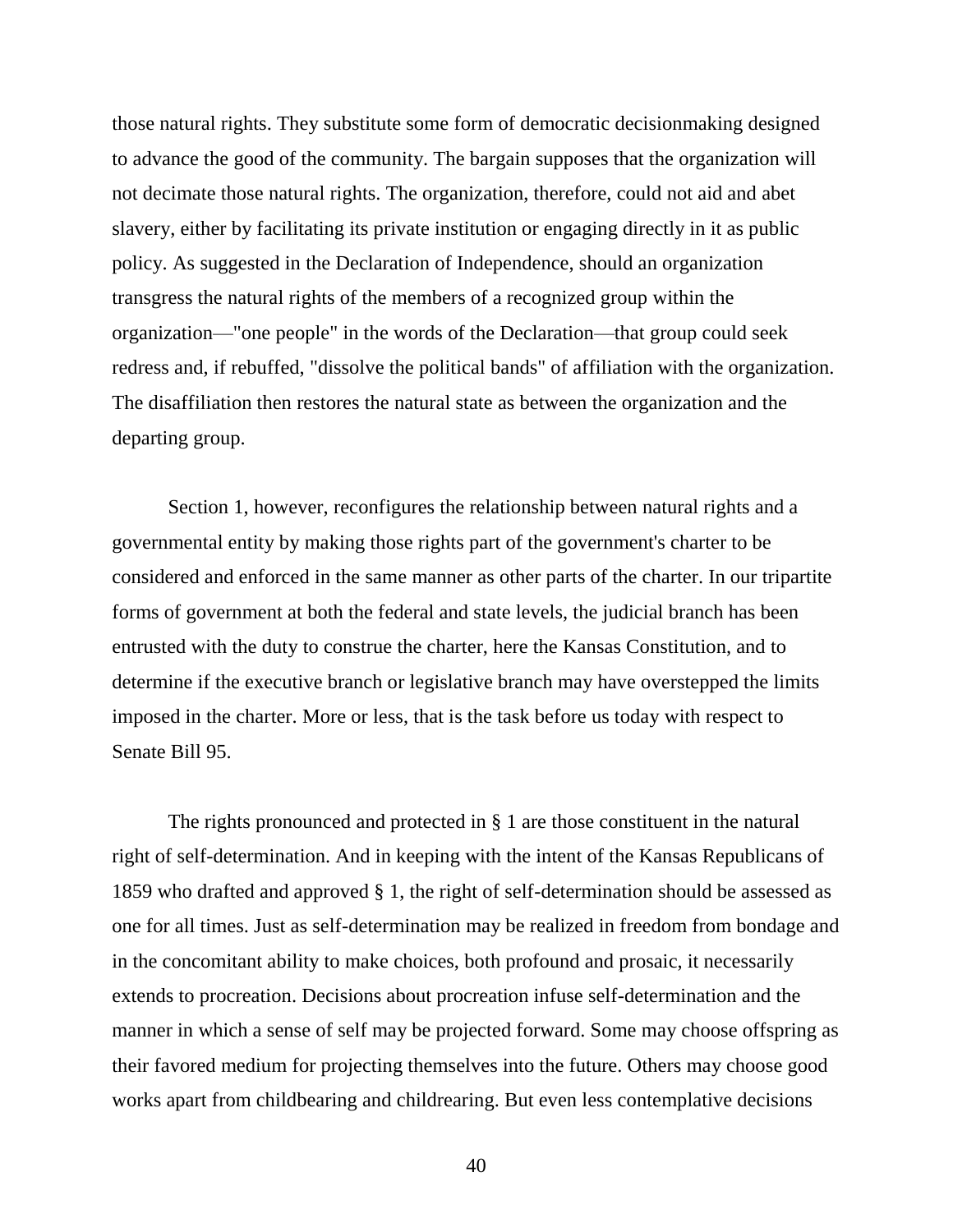those natural rights. They substitute some form of democratic decisionmaking designed to advance the good of the community. The bargain supposes that the organization will not decimate those natural rights. The organization, therefore, could not aid and abet slavery, either by facilitating its private institution or engaging directly in it as public policy. As suggested in the Declaration of Independence, should an organization transgress the natural rights of the members of a recognized group within the organization—"one people" in the words of the Declaration—that group could seek redress and, if rebuffed, "dissolve the political bands" of affiliation with the organization. The disaffiliation then restores the natural state as between the organization and the departing group.

Section 1, however, reconfigures the relationship between natural rights and a governmental entity by making those rights part of the government's charter to be considered and enforced in the same manner as other parts of the charter. In our tripartite forms of government at both the federal and state levels, the judicial branch has been entrusted with the duty to construe the charter, here the Kansas Constitution, and to determine if the executive branch or legislative branch may have overstepped the limits imposed in the charter. More or less, that is the task before us today with respect to Senate Bill 95.

The rights pronounced and protected in § 1 are those constituent in the natural right of self-determination. And in keeping with the intent of the Kansas Republicans of 1859 who drafted and approved § 1, the right of self-determination should be assessed as one for all times. Just as self-determination may be realized in freedom from bondage and in the concomitant ability to make choices, both profound and prosaic, it necessarily extends to procreation. Decisions about procreation infuse self-determination and the manner in which a sense of self may be projected forward. Some may choose offspring as their favored medium for projecting themselves into the future. Others may choose good works apart from childbearing and childrearing. But even less contemplative decisions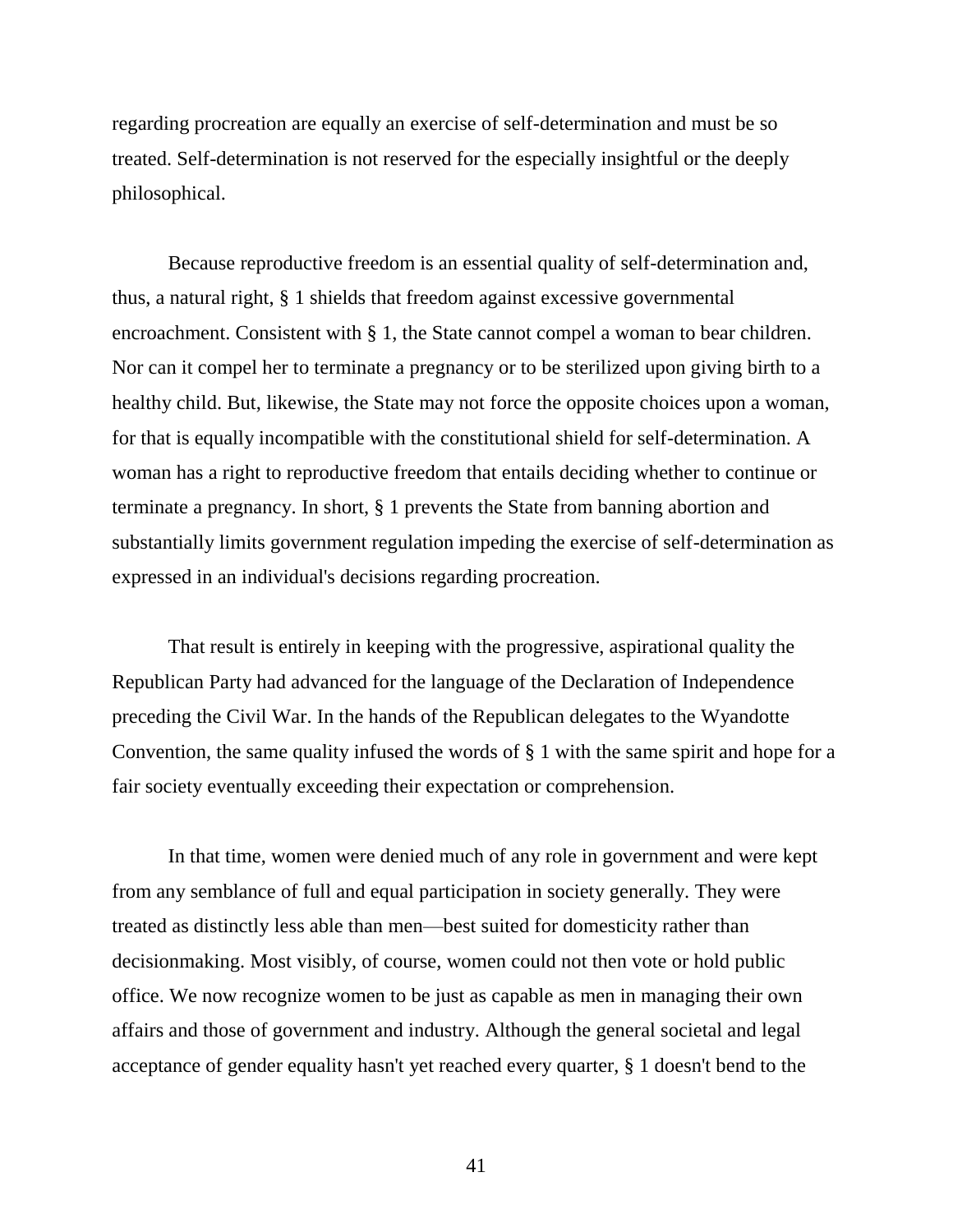regarding procreation are equally an exercise of self-determination and must be so treated. Self-determination is not reserved for the especially insightful or the deeply philosophical.

Because reproductive freedom is an essential quality of self-determination and, thus, a natural right, § 1 shields that freedom against excessive governmental encroachment. Consistent with § 1, the State cannot compel a woman to bear children. Nor can it compel her to terminate a pregnancy or to be sterilized upon giving birth to a healthy child. But, likewise, the State may not force the opposite choices upon a woman, for that is equally incompatible with the constitutional shield for self-determination. A woman has a right to reproductive freedom that entails deciding whether to continue or terminate a pregnancy. In short, § 1 prevents the State from banning abortion and substantially limits government regulation impeding the exercise of self-determination as expressed in an individual's decisions regarding procreation.

That result is entirely in keeping with the progressive, aspirational quality the Republican Party had advanced for the language of the Declaration of Independence preceding the Civil War. In the hands of the Republican delegates to the Wyandotte Convention, the same quality infused the words of § 1 with the same spirit and hope for a fair society eventually exceeding their expectation or comprehension.

In that time, women were denied much of any role in government and were kept from any semblance of full and equal participation in society generally. They were treated as distinctly less able than men—best suited for domesticity rather than decisionmaking. Most visibly, of course, women could not then vote or hold public office. We now recognize women to be just as capable as men in managing their own affairs and those of government and industry. Although the general societal and legal acceptance of gender equality hasn't yet reached every quarter, § 1 doesn't bend to the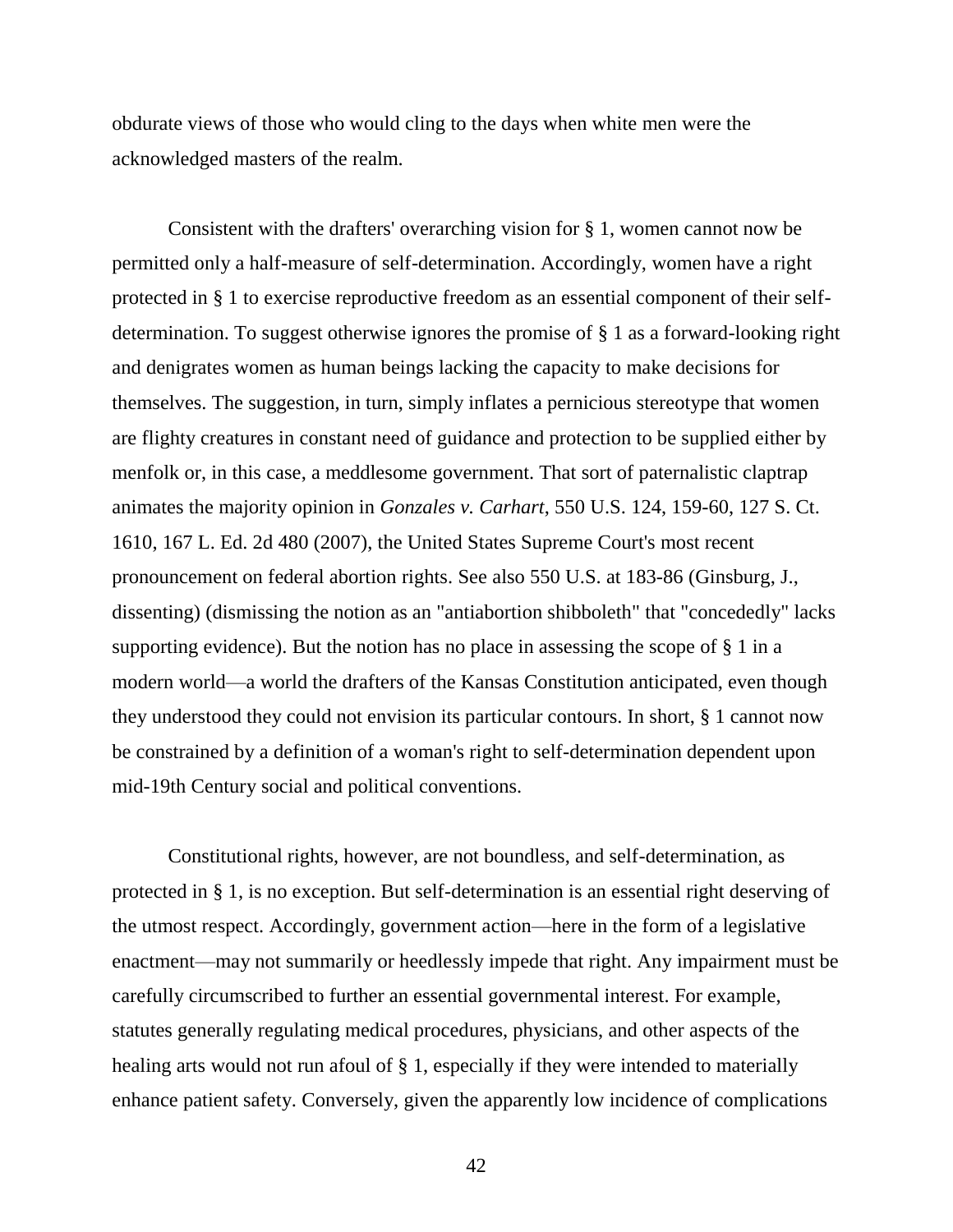obdurate views of those who would cling to the days when white men were the acknowledged masters of the realm.

Consistent with the drafters' overarching vision for § 1, women cannot now be permitted only a half-measure of self-determination. Accordingly, women have a right protected in § 1 to exercise reproductive freedom as an essential component of their selfdetermination. To suggest otherwise ignores the promise of § 1 as a forward-looking right and denigrates women as human beings lacking the capacity to make decisions for themselves. The suggestion, in turn, simply inflates a pernicious stereotype that women are flighty creatures in constant need of guidance and protection to be supplied either by menfolk or, in this case, a meddlesome government. That sort of paternalistic claptrap animates the majority opinion in *Gonzales v. Carhart*, 550 U.S. 124, 159-60, 127 S. Ct. 1610, 167 L. Ed. 2d 480 (2007), the United States Supreme Court's most recent pronouncement on federal abortion rights. See also 550 U.S. at 183-86 (Ginsburg, J., dissenting) (dismissing the notion as an "antiabortion shibboleth" that "concededly" lacks supporting evidence). But the notion has no place in assessing the scope of § 1 in a modern world—a world the drafters of the Kansas Constitution anticipated, even though they understood they could not envision its particular contours. In short, § 1 cannot now be constrained by a definition of a woman's right to self-determination dependent upon mid-19th Century social and political conventions.

Constitutional rights, however, are not boundless, and self-determination, as protected in § 1, is no exception. But self-determination is an essential right deserving of the utmost respect. Accordingly, government action—here in the form of a legislative enactment—may not summarily or heedlessly impede that right. Any impairment must be carefully circumscribed to further an essential governmental interest. For example, statutes generally regulating medical procedures, physicians, and other aspects of the healing arts would not run afoul of § 1, especially if they were intended to materially enhance patient safety. Conversely, given the apparently low incidence of complications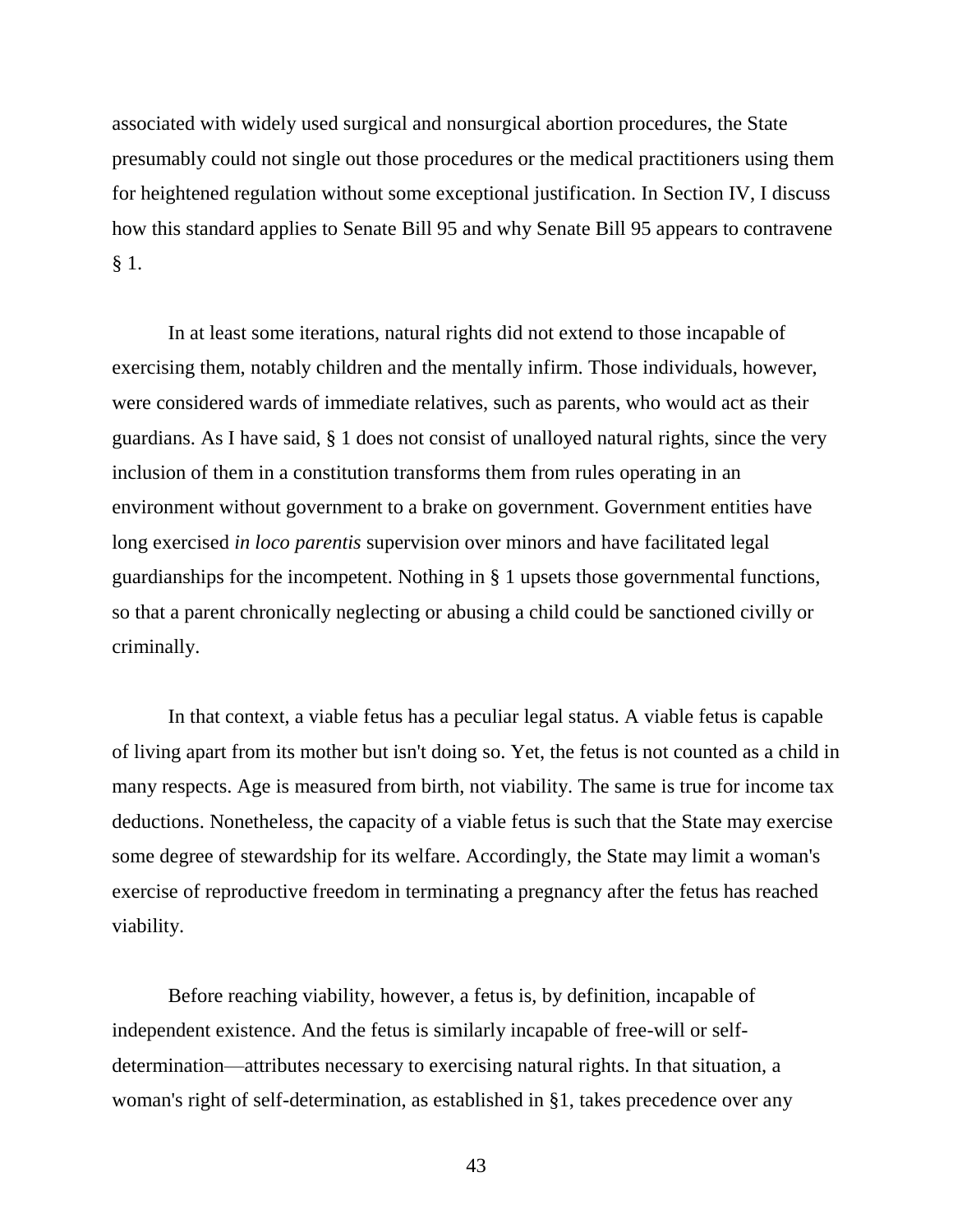associated with widely used surgical and nonsurgical abortion procedures, the State presumably could not single out those procedures or the medical practitioners using them for heightened regulation without some exceptional justification. In Section IV, I discuss how this standard applies to Senate Bill 95 and why Senate Bill 95 appears to contravene § 1.

In at least some iterations, natural rights did not extend to those incapable of exercising them, notably children and the mentally infirm. Those individuals, however, were considered wards of immediate relatives, such as parents, who would act as their guardians. As I have said, § 1 does not consist of unalloyed natural rights, since the very inclusion of them in a constitution transforms them from rules operating in an environment without government to a brake on government. Government entities have long exercised *in loco parentis* supervision over minors and have facilitated legal guardianships for the incompetent. Nothing in § 1 upsets those governmental functions, so that a parent chronically neglecting or abusing a child could be sanctioned civilly or criminally.

In that context, a viable fetus has a peculiar legal status. A viable fetus is capable of living apart from its mother but isn't doing so. Yet, the fetus is not counted as a child in many respects. Age is measured from birth, not viability. The same is true for income tax deductions. Nonetheless, the capacity of a viable fetus is such that the State may exercise some degree of stewardship for its welfare. Accordingly, the State may limit a woman's exercise of reproductive freedom in terminating a pregnancy after the fetus has reached viability.

Before reaching viability, however, a fetus is, by definition, incapable of independent existence. And the fetus is similarly incapable of free-will or selfdetermination—attributes necessary to exercising natural rights. In that situation, a woman's right of self-determination, as established in §1, takes precedence over any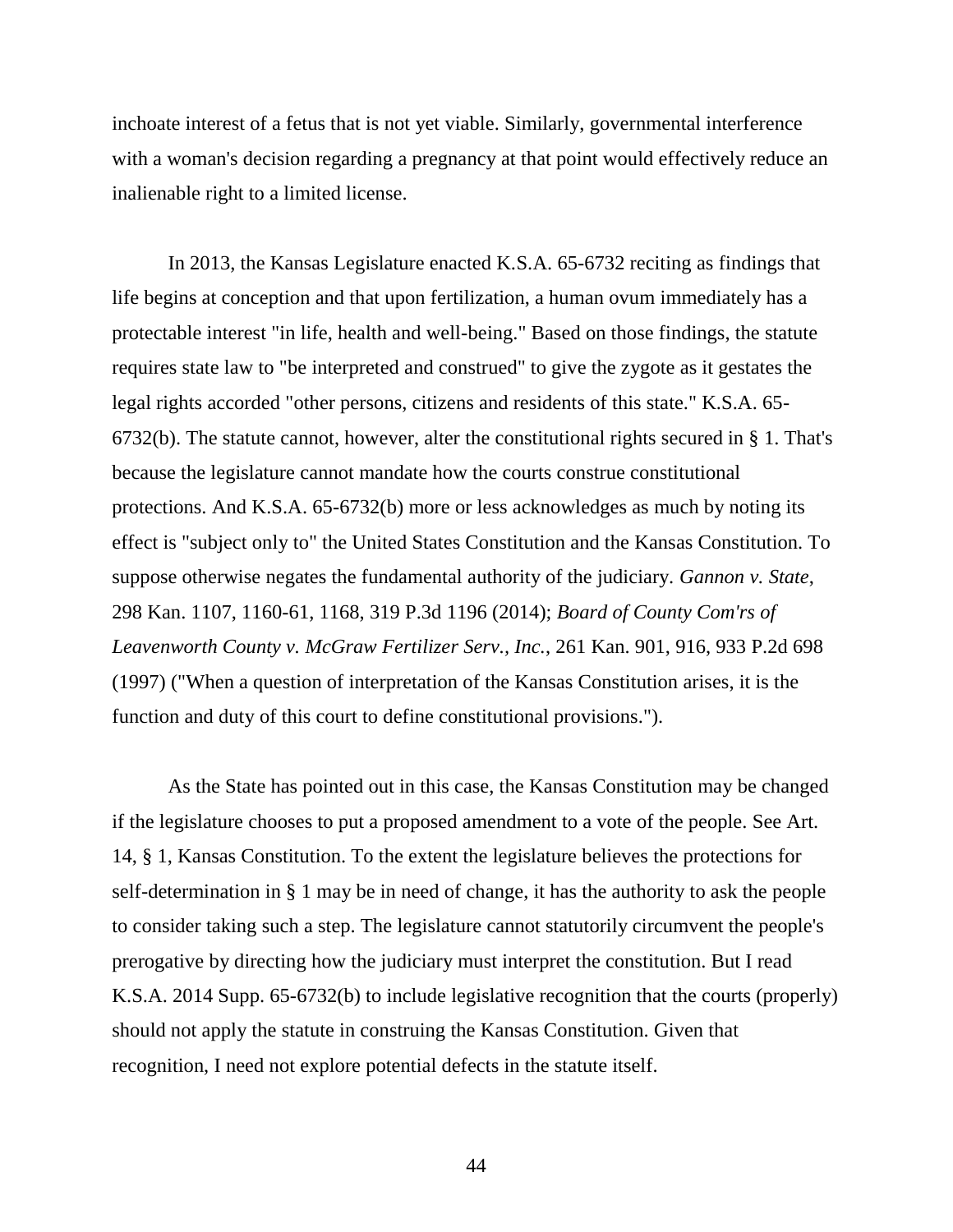inchoate interest of a fetus that is not yet viable. Similarly, governmental interference with a woman's decision regarding a pregnancy at that point would effectively reduce an inalienable right to a limited license.

In 2013, the Kansas Legislature enacted K.S.A. 65-6732 reciting as findings that life begins at conception and that upon fertilization, a human ovum immediately has a protectable interest "in life, health and well-being." Based on those findings, the statute requires state law to "be interpreted and construed" to give the zygote as it gestates the legal rights accorded "other persons, citizens and residents of this state." K.S.A. 65- 6732(b). The statute cannot, however, alter the constitutional rights secured in § 1. That's because the legislature cannot mandate how the courts construe constitutional protections. And K.S.A. 65-6732(b) more or less acknowledges as much by noting its effect is "subject only to" the United States Constitution and the Kansas Constitution. To suppose otherwise negates the fundamental authority of the judiciary. *Gannon v. State*, 298 Kan. 1107, 1160-61, 1168, 319 P.3d 1196 (2014); *Board of County Com'rs of Leavenworth County v. McGraw Fertilizer Serv., Inc.*, 261 Kan. 901, 916, 933 P.2d 698 (1997) ("When a question of interpretation of the Kansas Constitution arises, it is the function and duty of this court to define constitutional provisions.").

As the State has pointed out in this case, the Kansas Constitution may be changed if the legislature chooses to put a proposed amendment to a vote of the people. See Art. 14, § 1, Kansas Constitution. To the extent the legislature believes the protections for self-determination in § 1 may be in need of change, it has the authority to ask the people to consider taking such a step. The legislature cannot statutorily circumvent the people's prerogative by directing how the judiciary must interpret the constitution. But I read K.S.A. 2014 Supp. 65-6732(b) to include legislative recognition that the courts (properly) should not apply the statute in construing the Kansas Constitution. Given that recognition, I need not explore potential defects in the statute itself.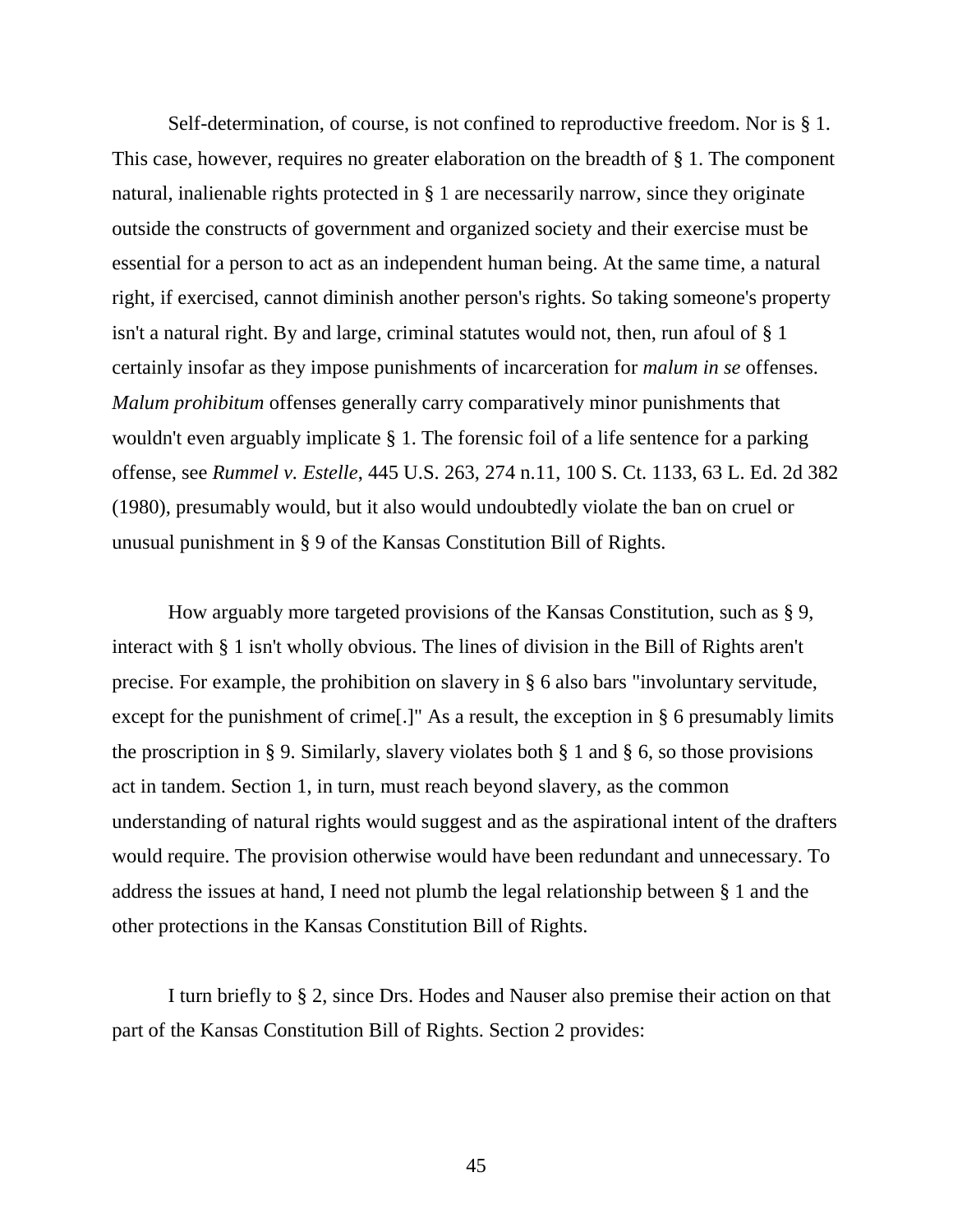Self-determination, of course, is not confined to reproductive freedom. Nor is § 1. This case, however, requires no greater elaboration on the breadth of § 1. The component natural, inalienable rights protected in § 1 are necessarily narrow, since they originate outside the constructs of government and organized society and their exercise must be essential for a person to act as an independent human being. At the same time, a natural right, if exercised, cannot diminish another person's rights. So taking someone's property isn't a natural right. By and large, criminal statutes would not, then, run afoul of § 1 certainly insofar as they impose punishments of incarceration for *malum in se* offenses. *Malum prohibitum* offenses generally carry comparatively minor punishments that wouldn't even arguably implicate § 1. The forensic foil of a life sentence for a parking offense, see *Rummel v. Estelle*, 445 U.S. 263, 274 n.11, 100 S. Ct. 1133, 63 L. Ed. 2d 382 (1980), presumably would, but it also would undoubtedly violate the ban on cruel or unusual punishment in § 9 of the Kansas Constitution Bill of Rights.

How arguably more targeted provisions of the Kansas Constitution, such as § 9, interact with § 1 isn't wholly obvious. The lines of division in the Bill of Rights aren't precise. For example, the prohibition on slavery in § 6 also bars "involuntary servitude, except for the punishment of crime[.]" As a result, the exception in § 6 presumably limits the proscription in § 9. Similarly, slavery violates both § 1 and § 6, so those provisions act in tandem. Section 1, in turn, must reach beyond slavery, as the common understanding of natural rights would suggest and as the aspirational intent of the drafters would require. The provision otherwise would have been redundant and unnecessary. To address the issues at hand, I need not plumb the legal relationship between § 1 and the other protections in the Kansas Constitution Bill of Rights.

I turn briefly to § 2, since Drs. Hodes and Nauser also premise their action on that part of the Kansas Constitution Bill of Rights. Section 2 provides: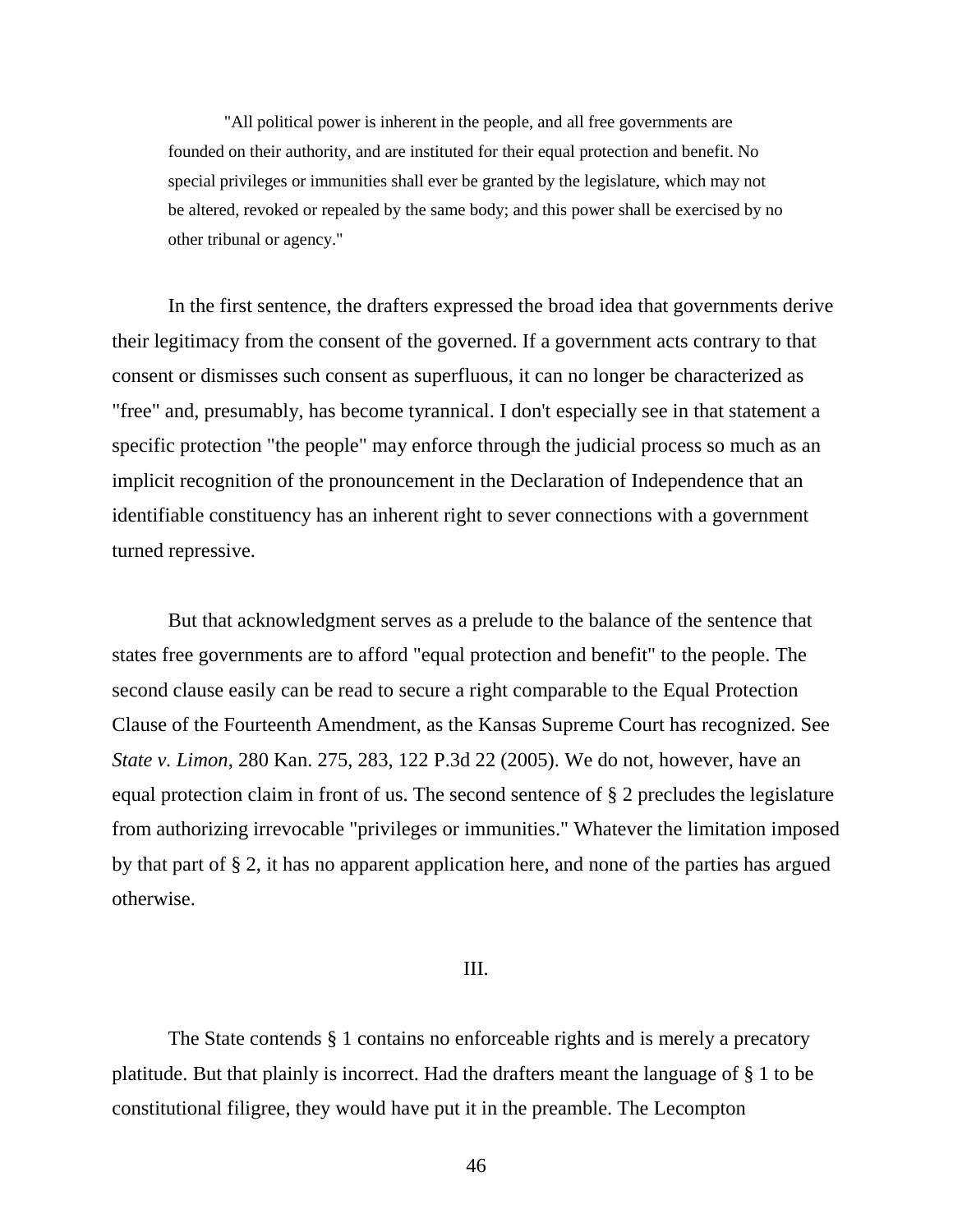"All political power is inherent in the people, and all free governments are founded on their authority, and are instituted for their equal protection and benefit. No special privileges or immunities shall ever be granted by the legislature, which may not be altered, revoked or repealed by the same body; and this power shall be exercised by no other tribunal or agency."

In the first sentence, the drafters expressed the broad idea that governments derive their legitimacy from the consent of the governed. If a government acts contrary to that consent or dismisses such consent as superfluous, it can no longer be characterized as "free" and, presumably, has become tyrannical. I don't especially see in that statement a specific protection "the people" may enforce through the judicial process so much as an implicit recognition of the pronouncement in the Declaration of Independence that an identifiable constituency has an inherent right to sever connections with a government turned repressive.

But that acknowledgment serves as a prelude to the balance of the sentence that states free governments are to afford "equal protection and benefit" to the people. The second clause easily can be read to secure a right comparable to the Equal Protection Clause of the Fourteenth Amendment, as the Kansas Supreme Court has recognized. See *State v. Limon*, 280 Kan. 275, 283, 122 P.3d 22 (2005). We do not, however, have an equal protection claim in front of us. The second sentence of § 2 precludes the legislature from authorizing irrevocable "privileges or immunities." Whatever the limitation imposed by that part of § 2, it has no apparent application here, and none of the parties has argued otherwise.

### III.

The State contends § 1 contains no enforceable rights and is merely a precatory platitude. But that plainly is incorrect. Had the drafters meant the language of § 1 to be constitutional filigree, they would have put it in the preamble. The Lecompton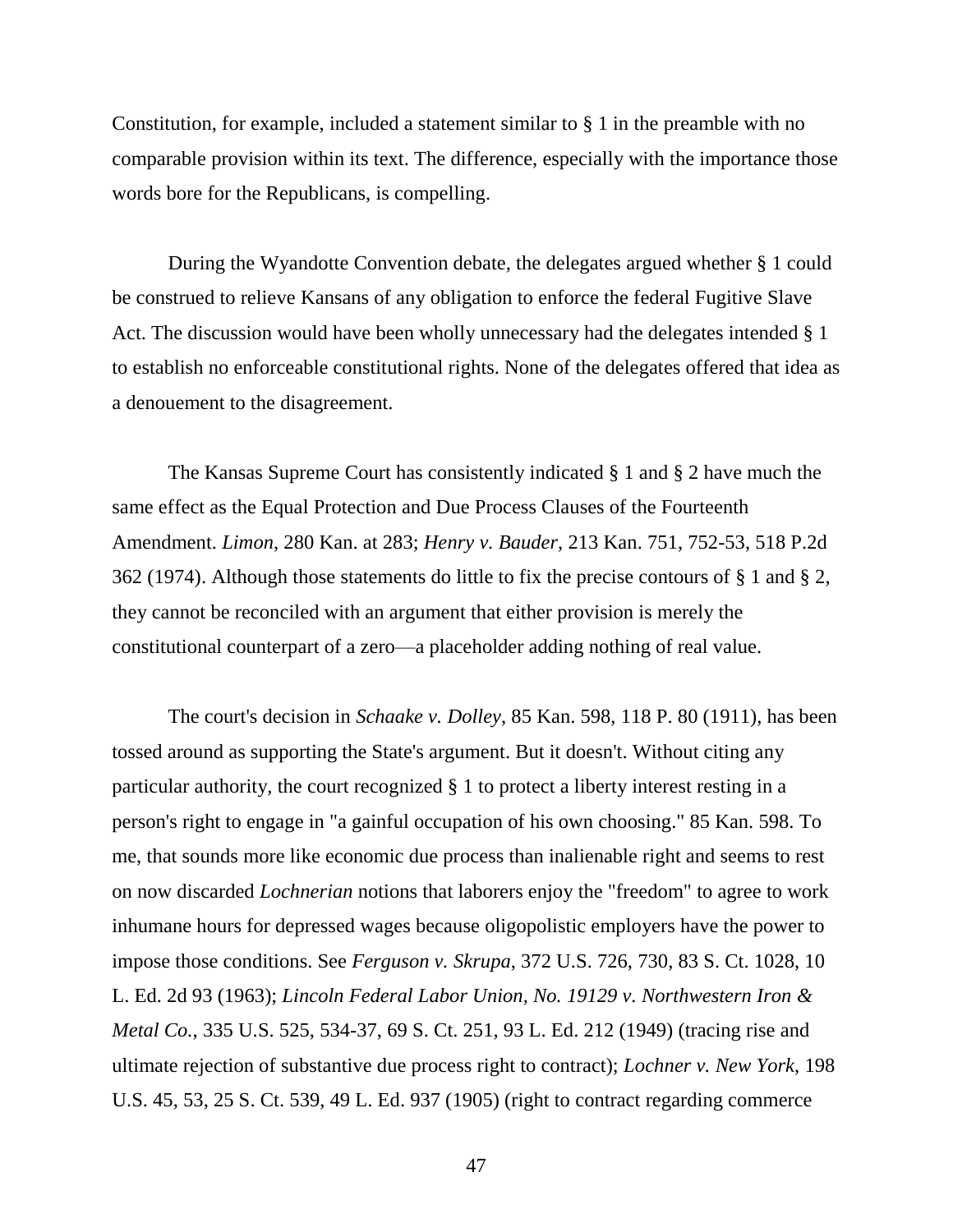Constitution, for example, included a statement similar to § 1 in the preamble with no comparable provision within its text. The difference, especially with the importance those words bore for the Republicans, is compelling.

During the Wyandotte Convention debate, the delegates argued whether § 1 could be construed to relieve Kansans of any obligation to enforce the federal Fugitive Slave Act. The discussion would have been wholly unnecessary had the delegates intended § 1 to establish no enforceable constitutional rights. None of the delegates offered that idea as a denouement to the disagreement.

The Kansas Supreme Court has consistently indicated § 1 and § 2 have much the same effect as the Equal Protection and Due Process Clauses of the Fourteenth Amendment. *Limon*, 280 Kan. at 283; *Henry v. Bauder*, 213 Kan. 751, 752-53, 518 P.2d 362 (1974). Although those statements do little to fix the precise contours of § 1 and § 2, they cannot be reconciled with an argument that either provision is merely the constitutional counterpart of a zero—a placeholder adding nothing of real value.

The court's decision in *Schaake v. Dolley*, 85 Kan. 598, 118 P. 80 (1911), has been tossed around as supporting the State's argument. But it doesn't. Without citing any particular authority, the court recognized § 1 to protect a liberty interest resting in a person's right to engage in "a gainful occupation of his own choosing." 85 Kan. 598. To me, that sounds more like economic due process than inalienable right and seems to rest on now discarded *Lochnerian* notions that laborers enjoy the "freedom" to agree to work inhumane hours for depressed wages because oligopolistic employers have the power to impose those conditions. See *Ferguson v. Skrupa*, 372 U.S. 726, 730, 83 S. Ct. 1028, 10 L. Ed. 2d 93 (1963); *Lincoln Federal Labor Union, No. 19129 v. Northwestern Iron & Metal Co.*, 335 U.S. 525, 534-37, 69 S. Ct. 251, 93 L. Ed. 212 (1949) (tracing rise and ultimate rejection of substantive due process right to contract); *Lochner v. New York*, 198 U.S. 45, 53, 25 S. Ct. 539, 49 L. Ed. 937 (1905) (right to contract regarding commerce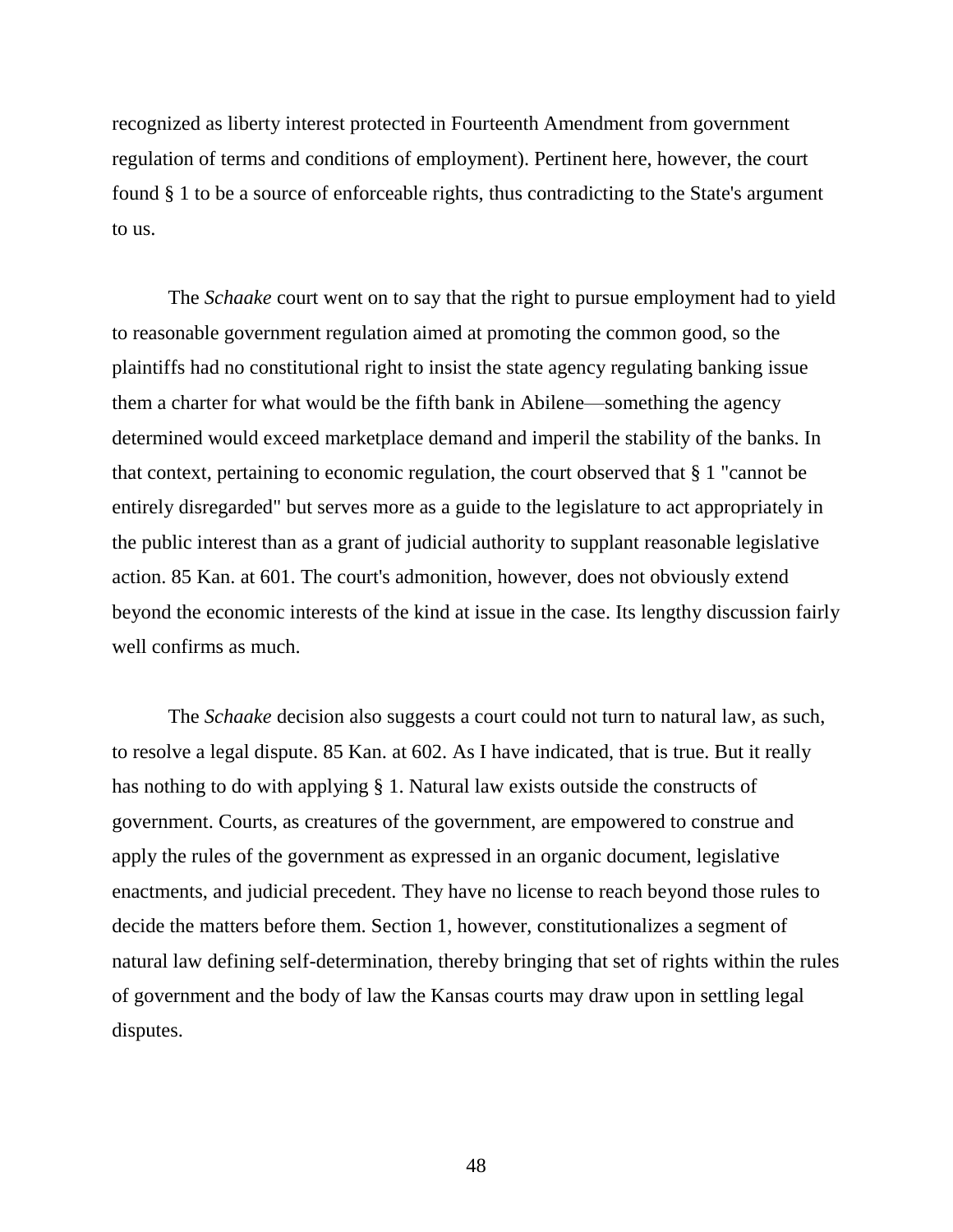recognized as liberty interest protected in Fourteenth Amendment from government regulation of terms and conditions of employment). Pertinent here, however, the court found § 1 to be a source of enforceable rights, thus contradicting to the State's argument to us.

The *Schaake* court went on to say that the right to pursue employment had to yield to reasonable government regulation aimed at promoting the common good, so the plaintiffs had no constitutional right to insist the state agency regulating banking issue them a charter for what would be the fifth bank in Abilene—something the agency determined would exceed marketplace demand and imperil the stability of the banks. In that context, pertaining to economic regulation, the court observed that § 1 "cannot be entirely disregarded" but serves more as a guide to the legislature to act appropriately in the public interest than as a grant of judicial authority to supplant reasonable legislative action. 85 Kan. at 601. The court's admonition, however, does not obviously extend beyond the economic interests of the kind at issue in the case. Its lengthy discussion fairly well confirms as much.

The *Schaake* decision also suggests a court could not turn to natural law, as such, to resolve a legal dispute. 85 Kan. at 602. As I have indicated, that is true. But it really has nothing to do with applying § 1. Natural law exists outside the constructs of government. Courts, as creatures of the government, are empowered to construe and apply the rules of the government as expressed in an organic document, legislative enactments, and judicial precedent. They have no license to reach beyond those rules to decide the matters before them. Section 1, however, constitutionalizes a segment of natural law defining self-determination, thereby bringing that set of rights within the rules of government and the body of law the Kansas courts may draw upon in settling legal disputes.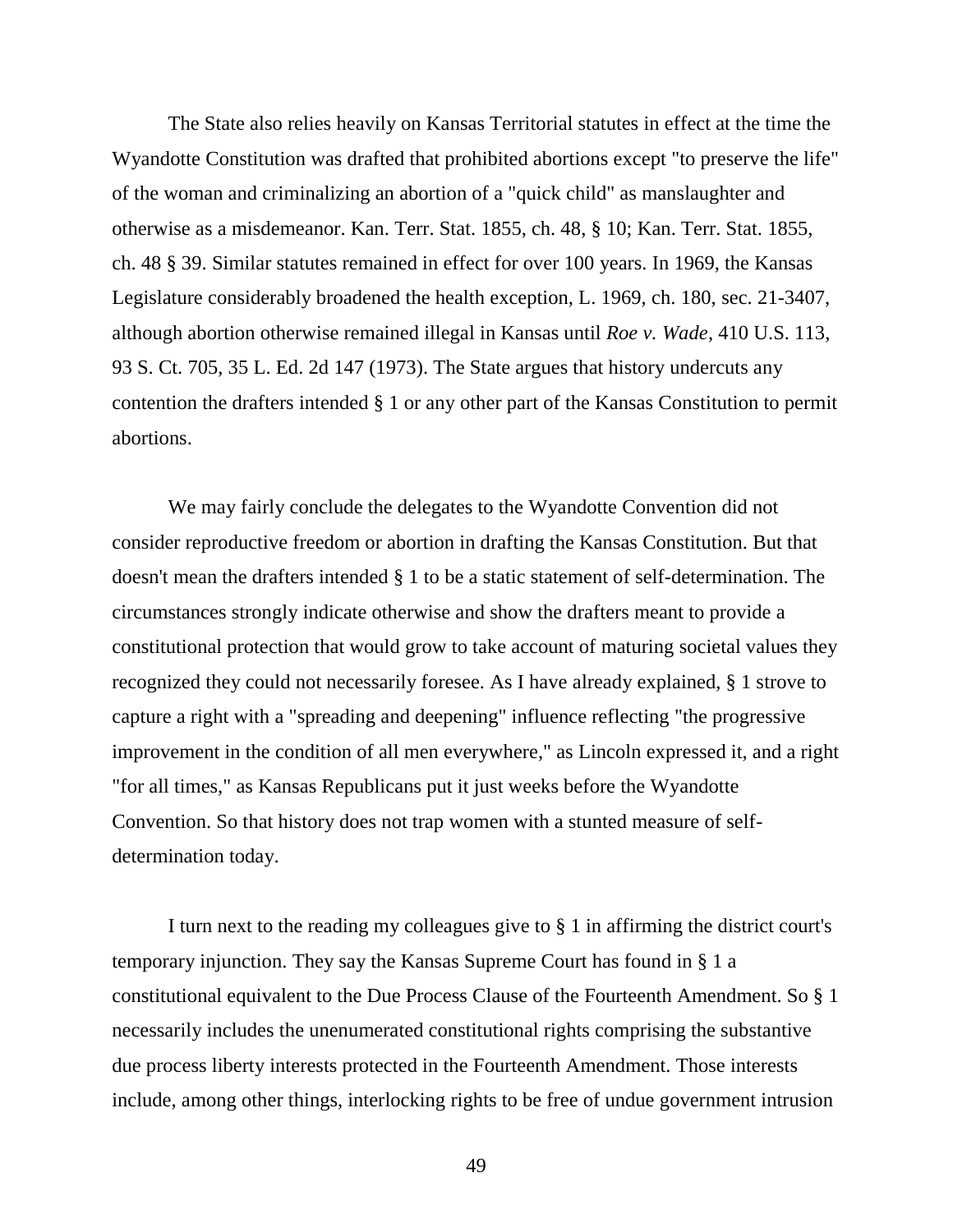The State also relies heavily on Kansas Territorial statutes in effect at the time the Wyandotte Constitution was drafted that prohibited abortions except "to preserve the life" of the woman and criminalizing an abortion of a "quick child" as manslaughter and otherwise as a misdemeanor. Kan. Terr. Stat. 1855, ch. 48, § 10; Kan. Terr. Stat. 1855, ch. 48 § 39. Similar statutes remained in effect for over 100 years. In 1969, the Kansas Legislature considerably broadened the health exception, L. 1969, ch. 180, sec. 21-3407, although abortion otherwise remained illegal in Kansas until *Roe v. Wade*, 410 U.S. 113, 93 S. Ct. 705, 35 L. Ed. 2d 147 (1973). The State argues that history undercuts any contention the drafters intended § 1 or any other part of the Kansas Constitution to permit abortions.

We may fairly conclude the delegates to the Wyandotte Convention did not consider reproductive freedom or abortion in drafting the Kansas Constitution. But that doesn't mean the drafters intended § 1 to be a static statement of self-determination. The circumstances strongly indicate otherwise and show the drafters meant to provide a constitutional protection that would grow to take account of maturing societal values they recognized they could not necessarily foresee. As I have already explained, § 1 strove to capture a right with a "spreading and deepening" influence reflecting "the progressive improvement in the condition of all men everywhere," as Lincoln expressed it, and a right "for all times," as Kansas Republicans put it just weeks before the Wyandotte Convention. So that history does not trap women with a stunted measure of selfdetermination today.

I turn next to the reading my colleagues give to § 1 in affirming the district court's temporary injunction. They say the Kansas Supreme Court has found in § 1 a constitutional equivalent to the Due Process Clause of the Fourteenth Amendment. So § 1 necessarily includes the unenumerated constitutional rights comprising the substantive due process liberty interests protected in the Fourteenth Amendment. Those interests include, among other things, interlocking rights to be free of undue government intrusion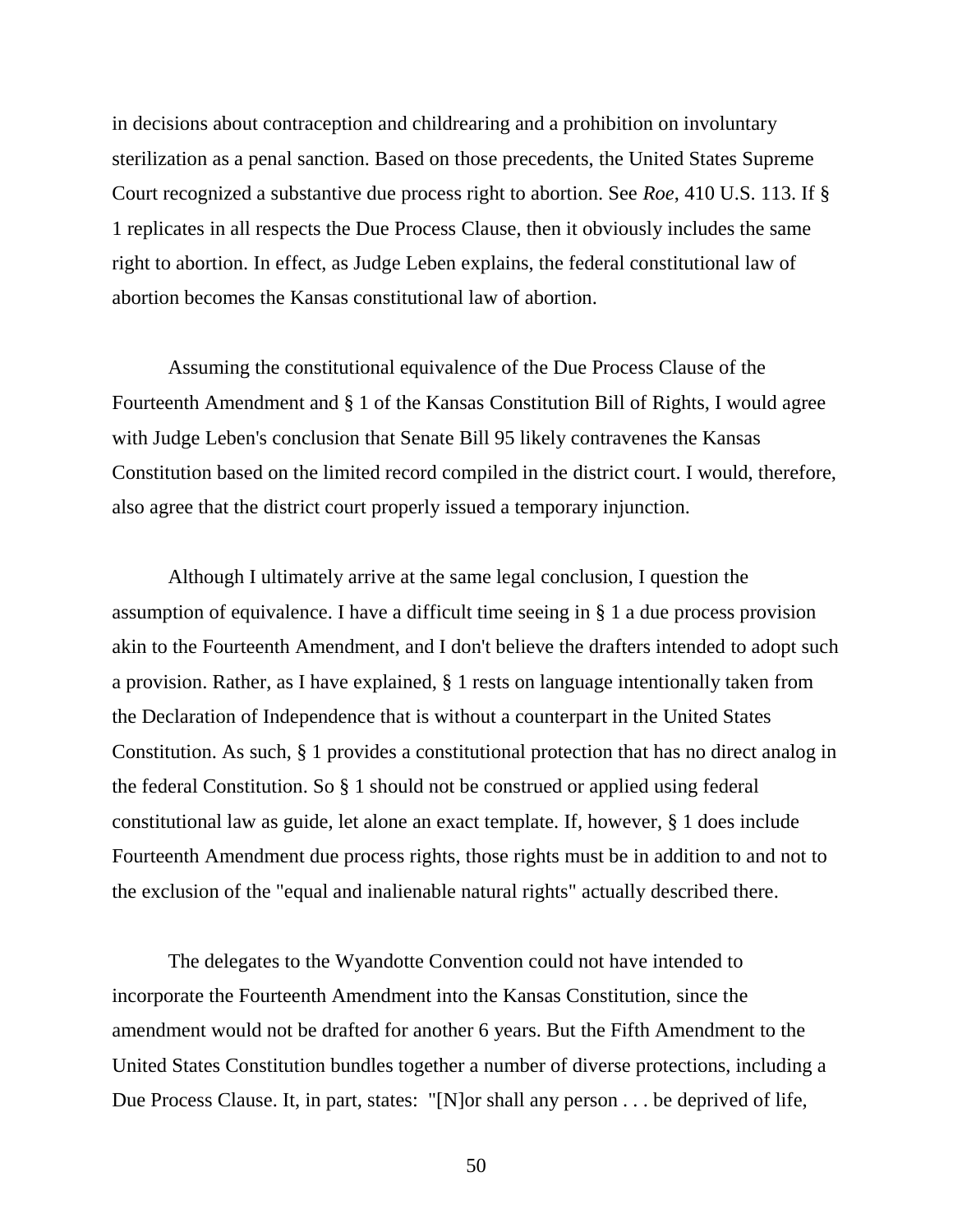in decisions about contraception and childrearing and a prohibition on involuntary sterilization as a penal sanction. Based on those precedents, the United States Supreme Court recognized a substantive due process right to abortion. See *Roe*, 410 U.S. 113. If § 1 replicates in all respects the Due Process Clause, then it obviously includes the same right to abortion. In effect, as Judge Leben explains, the federal constitutional law of abortion becomes the Kansas constitutional law of abortion.

Assuming the constitutional equivalence of the Due Process Clause of the Fourteenth Amendment and § 1 of the Kansas Constitution Bill of Rights, I would agree with Judge Leben's conclusion that Senate Bill 95 likely contravenes the Kansas Constitution based on the limited record compiled in the district court. I would, therefore, also agree that the district court properly issued a temporary injunction.

Although I ultimately arrive at the same legal conclusion, I question the assumption of equivalence. I have a difficult time seeing in § 1 a due process provision akin to the Fourteenth Amendment, and I don't believe the drafters intended to adopt such a provision. Rather, as I have explained, § 1 rests on language intentionally taken from the Declaration of Independence that is without a counterpart in the United States Constitution. As such, § 1 provides a constitutional protection that has no direct analog in the federal Constitution. So § 1 should not be construed or applied using federal constitutional law as guide, let alone an exact template. If, however, § 1 does include Fourteenth Amendment due process rights, those rights must be in addition to and not to the exclusion of the "equal and inalienable natural rights" actually described there.

The delegates to the Wyandotte Convention could not have intended to incorporate the Fourteenth Amendment into the Kansas Constitution, since the amendment would not be drafted for another 6 years. But the Fifth Amendment to the United States Constitution bundles together a number of diverse protections, including a Due Process Clause. It, in part, states: "[N]or shall any person . . . be deprived of life,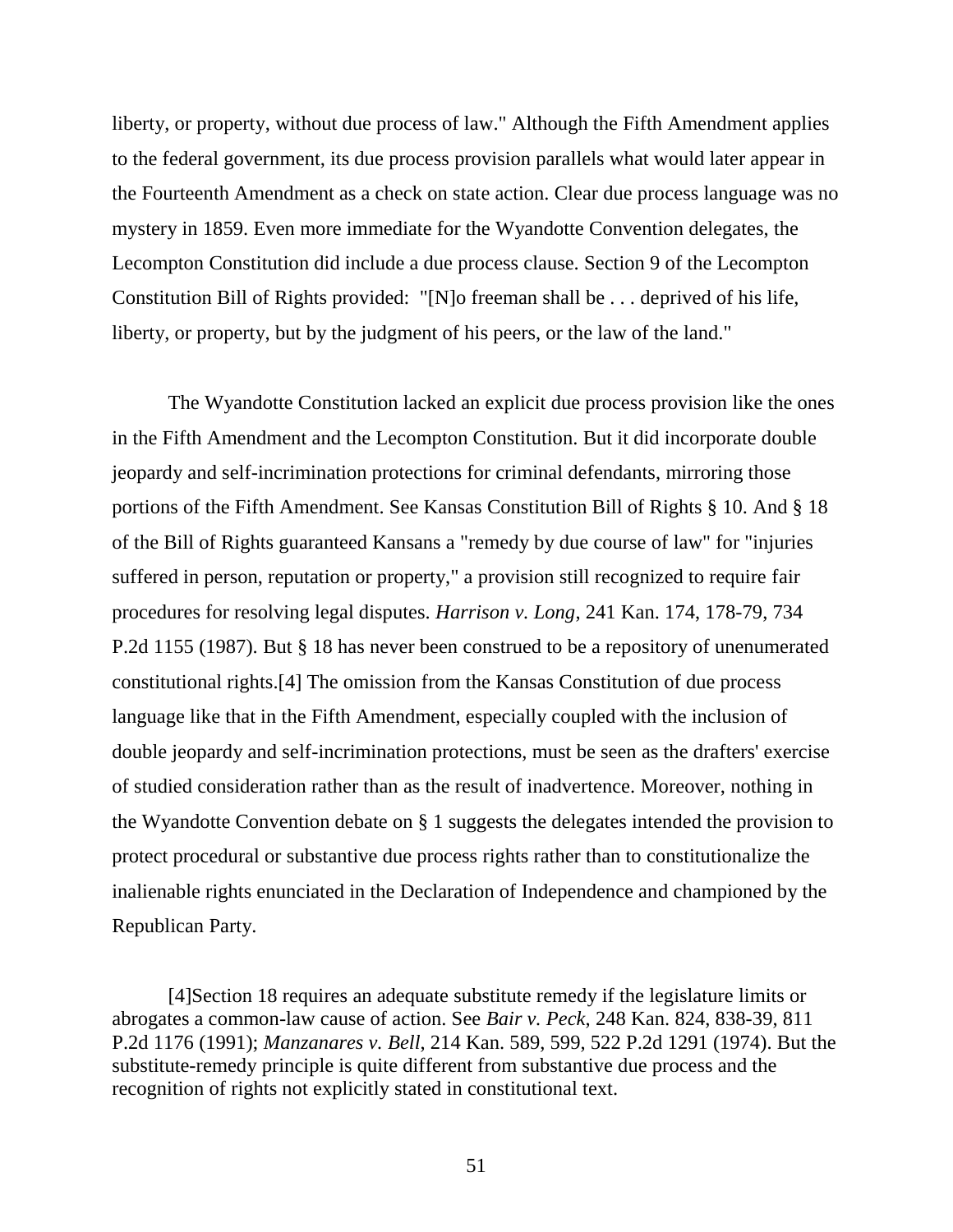liberty, or property, without due process of law." Although the Fifth Amendment applies to the federal government, its due process provision parallels what would later appear in the Fourteenth Amendment as a check on state action. Clear due process language was no mystery in 1859. Even more immediate for the Wyandotte Convention delegates, the Lecompton Constitution did include a due process clause. Section 9 of the Lecompton Constitution Bill of Rights provided: "[N]o freeman shall be . . . deprived of his life, liberty, or property, but by the judgment of his peers, or the law of the land."

The Wyandotte Constitution lacked an explicit due process provision like the ones in the Fifth Amendment and the Lecompton Constitution. But it did incorporate double jeopardy and self-incrimination protections for criminal defendants, mirroring those portions of the Fifth Amendment. See Kansas Constitution Bill of Rights § 10. And § 18 of the Bill of Rights guaranteed Kansans a "remedy by due course of law" for "injuries suffered in person, reputation or property," a provision still recognized to require fair procedures for resolving legal disputes. *Harrison v. Long*, 241 Kan. 174, 178-79, 734 P.2d 1155 (1987). But § 18 has never been construed to be a repository of unenumerated constitutional rights.[4] The omission from the Kansas Constitution of due process language like that in the Fifth Amendment, especially coupled with the inclusion of double jeopardy and self-incrimination protections, must be seen as the drafters' exercise of studied consideration rather than as the result of inadvertence. Moreover, nothing in the Wyandotte Convention debate on § 1 suggests the delegates intended the provision to protect procedural or substantive due process rights rather than to constitutionalize the inalienable rights enunciated in the Declaration of Independence and championed by the Republican Party.

[4]Section 18 requires an adequate substitute remedy if the legislature limits or abrogates a common-law cause of action. See *Bair v. Peck*, 248 Kan. 824, 838-39, 811 P.2d 1176 (1991); *Manzanares v. Bell*, 214 Kan. 589, 599, 522 P.2d 1291 (1974). But the substitute-remedy principle is quite different from substantive due process and the recognition of rights not explicitly stated in constitutional text.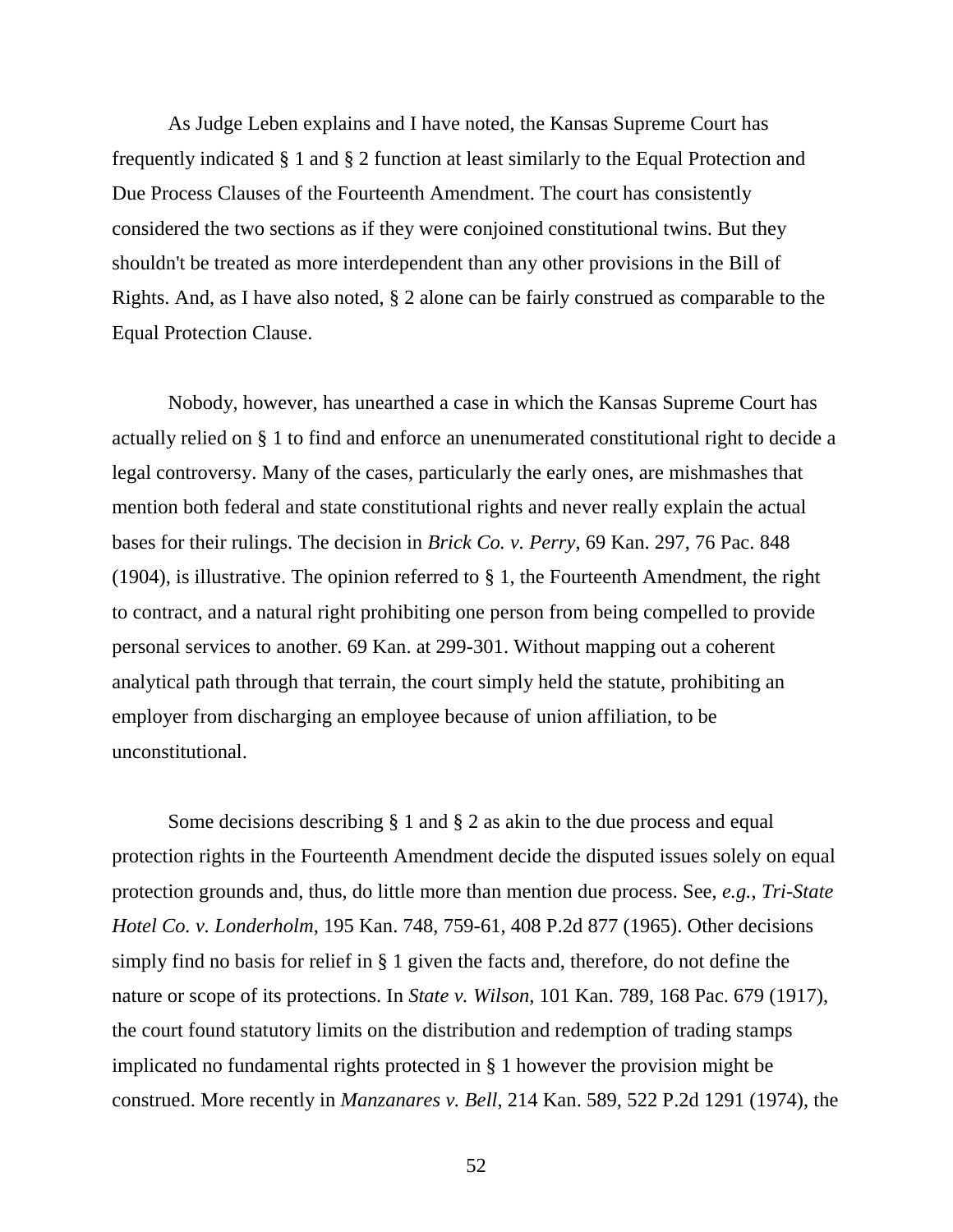As Judge Leben explains and I have noted, the Kansas Supreme Court has frequently indicated § 1 and § 2 function at least similarly to the Equal Protection and Due Process Clauses of the Fourteenth Amendment. The court has consistently considered the two sections as if they were conjoined constitutional twins. But they shouldn't be treated as more interdependent than any other provisions in the Bill of Rights. And, as I have also noted, § 2 alone can be fairly construed as comparable to the Equal Protection Clause.

Nobody, however, has unearthed a case in which the Kansas Supreme Court has actually relied on § 1 to find and enforce an unenumerated constitutional right to decide a legal controversy. Many of the cases, particularly the early ones, are mishmashes that mention both federal and state constitutional rights and never really explain the actual bases for their rulings. The decision in *Brick Co. v. Perry*, 69 Kan. 297, 76 Pac. 848 (1904), is illustrative. The opinion referred to § 1, the Fourteenth Amendment, the right to contract, and a natural right prohibiting one person from being compelled to provide personal services to another. 69 Kan. at 299-301. Without mapping out a coherent analytical path through that terrain, the court simply held the statute, prohibiting an employer from discharging an employee because of union affiliation, to be unconstitutional.

Some decisions describing  $\S 1$  and  $\S 2$  as akin to the due process and equal protection rights in the Fourteenth Amendment decide the disputed issues solely on equal protection grounds and, thus, do little more than mention due process. See, *e.g.*, *Tri-State Hotel Co. v. Londerholm*, 195 Kan. 748, 759-61, 408 P.2d 877 (1965). Other decisions simply find no basis for relief in § 1 given the facts and, therefore, do not define the nature or scope of its protections. In *State v. Wilson*, 101 Kan. 789, 168 Pac. 679 (1917), the court found statutory limits on the distribution and redemption of trading stamps implicated no fundamental rights protected in § 1 however the provision might be construed. More recently in *Manzanares v. Bell*, 214 Kan. 589, 522 P.2d 1291 (1974), the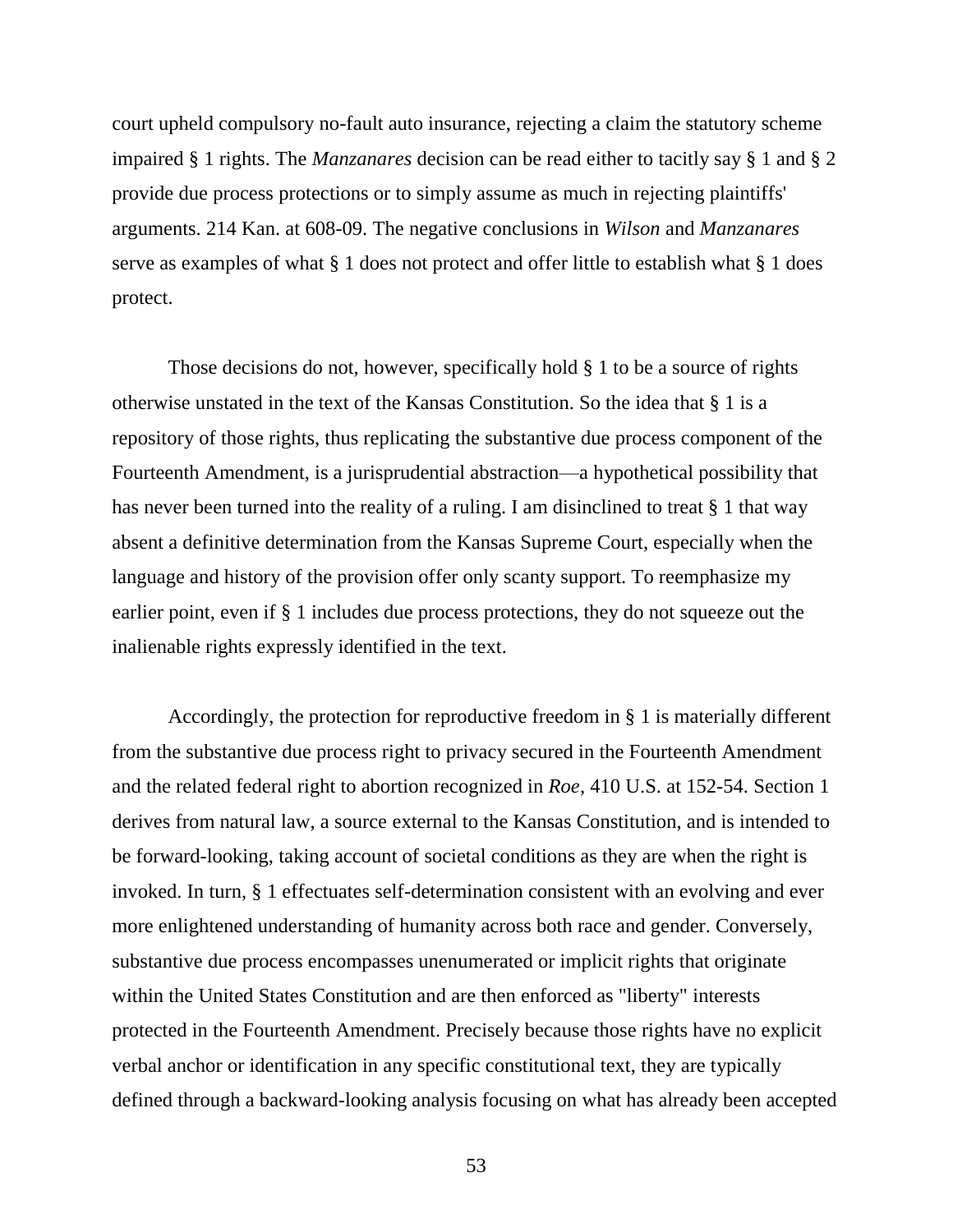court upheld compulsory no-fault auto insurance, rejecting a claim the statutory scheme impaired § 1 rights. The *Manzanares* decision can be read either to tacitly say § 1 and § 2 provide due process protections or to simply assume as much in rejecting plaintiffs' arguments. 214 Kan. at 608-09. The negative conclusions in *Wilson* and *Manzanares* serve as examples of what  $\S 1$  does not protect and offer little to establish what  $\S 1$  does protect.

Those decisions do not, however, specifically hold § 1 to be a source of rights otherwise unstated in the text of the Kansas Constitution. So the idea that § 1 is a repository of those rights, thus replicating the substantive due process component of the Fourteenth Amendment, is a jurisprudential abstraction—a hypothetical possibility that has never been turned into the reality of a ruling. I am disinclined to treat § 1 that way absent a definitive determination from the Kansas Supreme Court, especially when the language and history of the provision offer only scanty support. To reemphasize my earlier point, even if § 1 includes due process protections, they do not squeeze out the inalienable rights expressly identified in the text.

Accordingly, the protection for reproductive freedom in § 1 is materially different from the substantive due process right to privacy secured in the Fourteenth Amendment and the related federal right to abortion recognized in *Roe*, 410 U.S. at 152-54. Section 1 derives from natural law, a source external to the Kansas Constitution, and is intended to be forward-looking, taking account of societal conditions as they are when the right is invoked. In turn, § 1 effectuates self-determination consistent with an evolving and ever more enlightened understanding of humanity across both race and gender. Conversely, substantive due process encompasses unenumerated or implicit rights that originate within the United States Constitution and are then enforced as "liberty" interests protected in the Fourteenth Amendment. Precisely because those rights have no explicit verbal anchor or identification in any specific constitutional text, they are typically defined through a backward-looking analysis focusing on what has already been accepted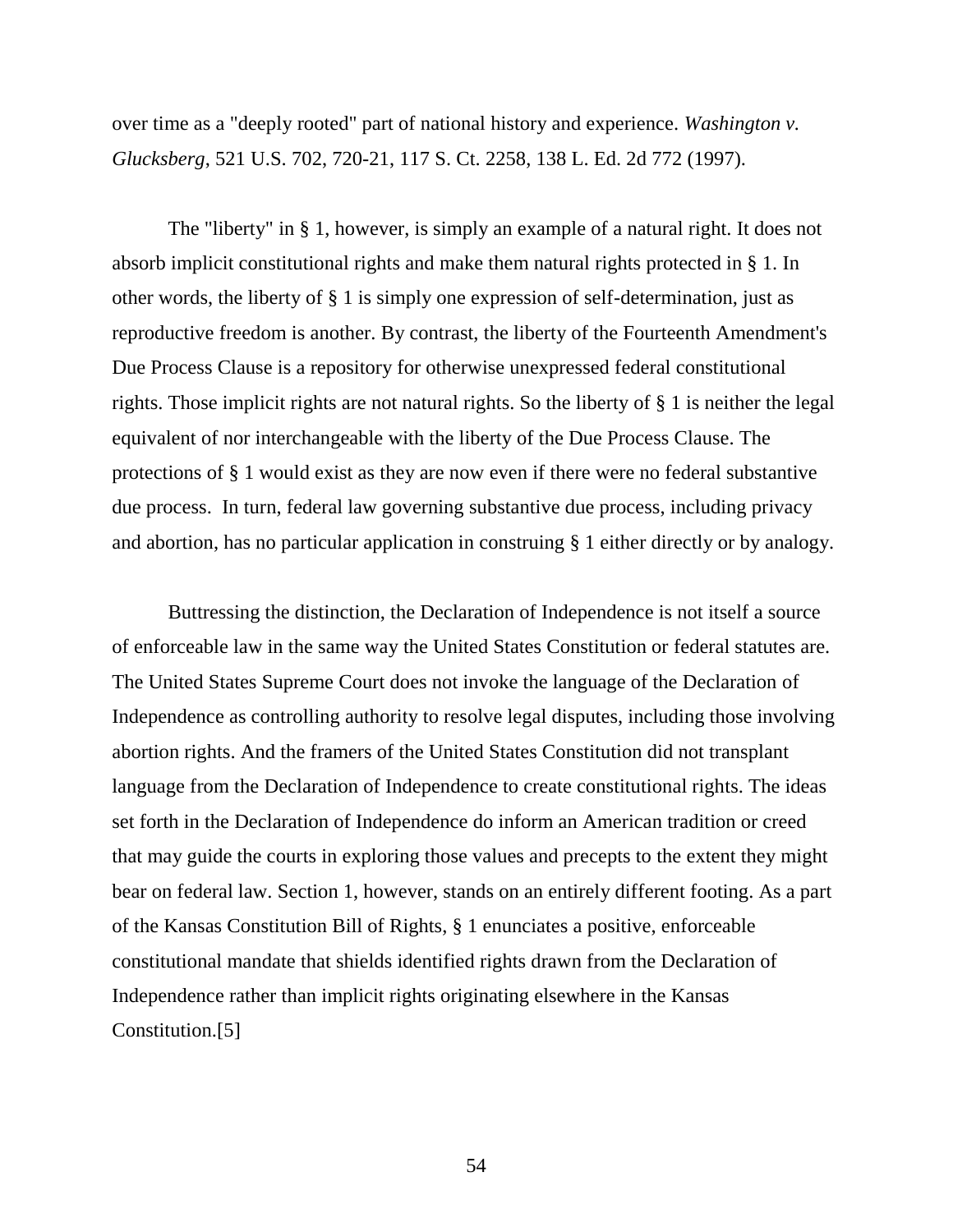over time as a "deeply rooted" part of national history and experience. *Washington v. Glucksberg*, 521 U.S. 702, 720-21, 117 S. Ct. 2258, 138 L. Ed. 2d 772 (1997).

The "liberty" in § 1, however, is simply an example of a natural right. It does not absorb implicit constitutional rights and make them natural rights protected in § 1. In other words, the liberty of § 1 is simply one expression of self-determination, just as reproductive freedom is another. By contrast, the liberty of the Fourteenth Amendment's Due Process Clause is a repository for otherwise unexpressed federal constitutional rights. Those implicit rights are not natural rights. So the liberty of § 1 is neither the legal equivalent of nor interchangeable with the liberty of the Due Process Clause. The protections of § 1 would exist as they are now even if there were no federal substantive due process. In turn, federal law governing substantive due process, including privacy and abortion, has no particular application in construing § 1 either directly or by analogy.

Buttressing the distinction, the Declaration of Independence is not itself a source of enforceable law in the same way the United States Constitution or federal statutes are. The United States Supreme Court does not invoke the language of the Declaration of Independence as controlling authority to resolve legal disputes, including those involving abortion rights. And the framers of the United States Constitution did not transplant language from the Declaration of Independence to create constitutional rights. The ideas set forth in the Declaration of Independence do inform an American tradition or creed that may guide the courts in exploring those values and precepts to the extent they might bear on federal law. Section 1, however, stands on an entirely different footing. As a part of the Kansas Constitution Bill of Rights, § 1 enunciates a positive, enforceable constitutional mandate that shields identified rights drawn from the Declaration of Independence rather than implicit rights originating elsewhere in the Kansas Constitution.[5]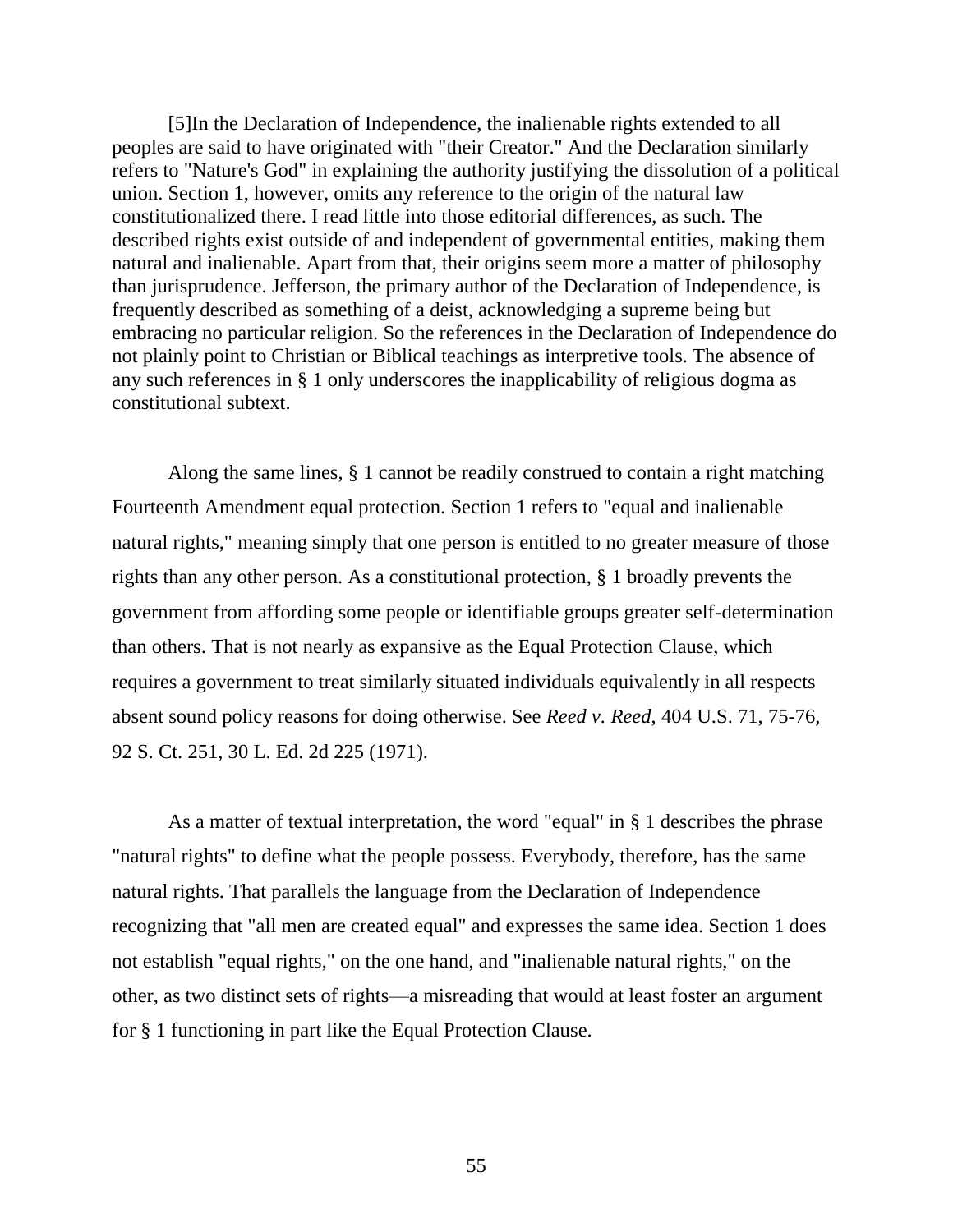[5]In the Declaration of Independence, the inalienable rights extended to all peoples are said to have originated with "their Creator." And the Declaration similarly refers to "Nature's God" in explaining the authority justifying the dissolution of a political union. Section 1, however, omits any reference to the origin of the natural law constitutionalized there. I read little into those editorial differences, as such. The described rights exist outside of and independent of governmental entities, making them natural and inalienable. Apart from that, their origins seem more a matter of philosophy than jurisprudence. Jefferson, the primary author of the Declaration of Independence, is frequently described as something of a deist, acknowledging a supreme being but embracing no particular religion. So the references in the Declaration of Independence do not plainly point to Christian or Biblical teachings as interpretive tools. The absence of any such references in § 1 only underscores the inapplicability of religious dogma as constitutional subtext.

Along the same lines, § 1 cannot be readily construed to contain a right matching Fourteenth Amendment equal protection. Section 1 refers to "equal and inalienable natural rights," meaning simply that one person is entitled to no greater measure of those rights than any other person. As a constitutional protection, § 1 broadly prevents the government from affording some people or identifiable groups greater self-determination than others. That is not nearly as expansive as the Equal Protection Clause, which requires a government to treat similarly situated individuals equivalently in all respects absent sound policy reasons for doing otherwise. See *Reed v. Reed*, 404 U.S. 71, 75-76, 92 S. Ct. 251, 30 L. Ed. 2d 225 (1971).

As a matter of textual interpretation, the word "equal" in § 1 describes the phrase "natural rights" to define what the people possess. Everybody, therefore, has the same natural rights. That parallels the language from the Declaration of Independence recognizing that "all men are created equal" and expresses the same idea. Section 1 does not establish "equal rights," on the one hand, and "inalienable natural rights," on the other, as two distinct sets of rights—a misreading that would at least foster an argument for § 1 functioning in part like the Equal Protection Clause.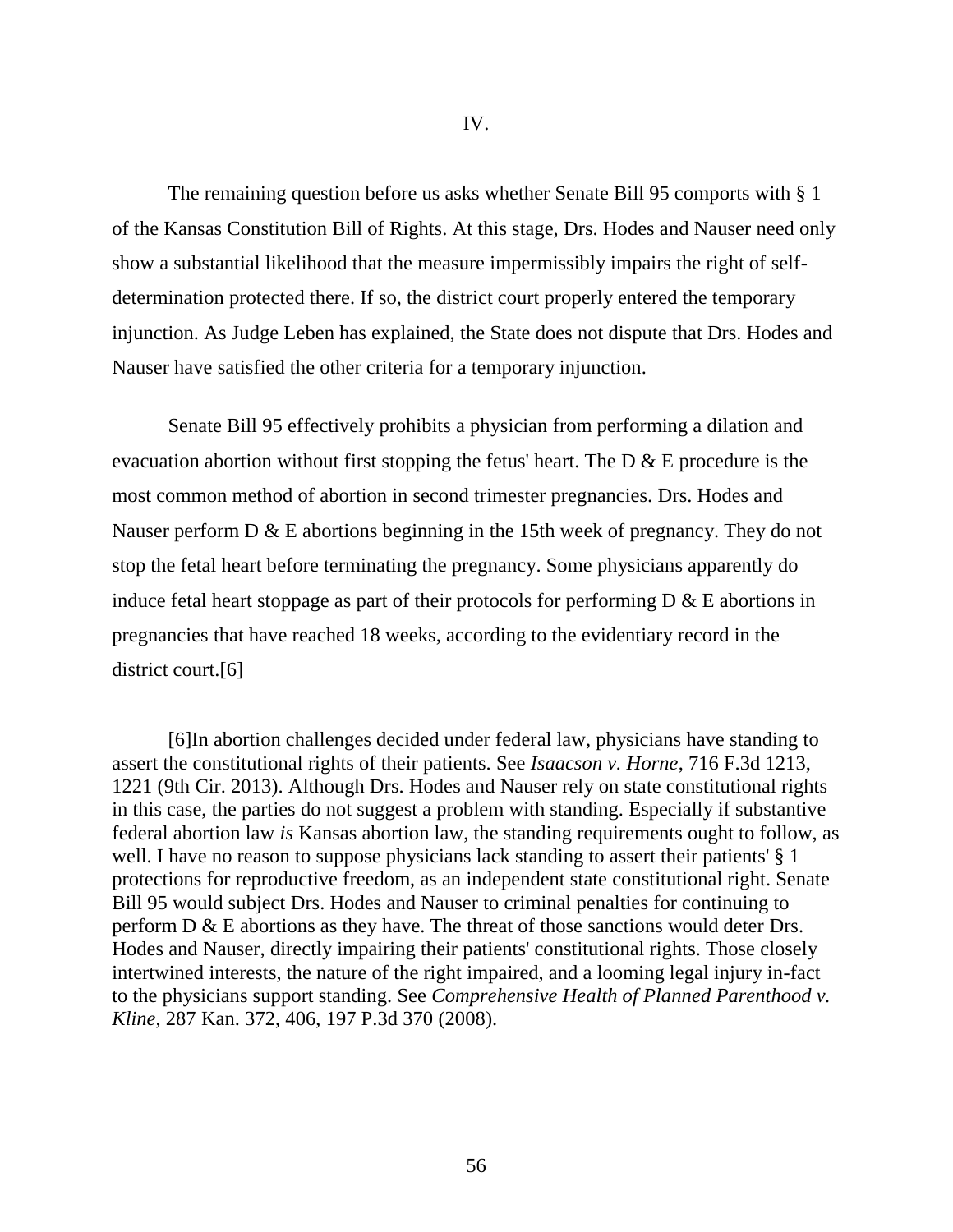The remaining question before us asks whether Senate Bill 95 comports with § 1 of the Kansas Constitution Bill of Rights. At this stage, Drs. Hodes and Nauser need only show a substantial likelihood that the measure impermissibly impairs the right of selfdetermination protected there. If so, the district court properly entered the temporary injunction. As Judge Leben has explained, the State does not dispute that Drs. Hodes and Nauser have satisfied the other criteria for a temporary injunction.

Senate Bill 95 effectively prohibits a physician from performing a dilation and evacuation abortion without first stopping the fetus' heart. The  $D \& E$  procedure is the most common method of abortion in second trimester pregnancies. Drs. Hodes and Nauser perform D & E abortions beginning in the 15th week of pregnancy. They do not stop the fetal heart before terminating the pregnancy. Some physicians apparently do induce fetal heart stoppage as part of their protocols for performing  $D \& E$  abortions in pregnancies that have reached 18 weeks, according to the evidentiary record in the district court.[6]

[6]In abortion challenges decided under federal law, physicians have standing to assert the constitutional rights of their patients. See *Isaacson v. Horne*, 716 F.3d 1213, 1221 (9th Cir. 2013). Although Drs. Hodes and Nauser rely on state constitutional rights in this case, the parties do not suggest a problem with standing. Especially if substantive federal abortion law *is* Kansas abortion law, the standing requirements ought to follow, as well. I have no reason to suppose physicians lack standing to assert their patients' § 1 protections for reproductive freedom, as an independent state constitutional right. Senate Bill 95 would subject Drs. Hodes and Nauser to criminal penalties for continuing to perform D & E abortions as they have. The threat of those sanctions would deter Drs. Hodes and Nauser, directly impairing their patients' constitutional rights. Those closely intertwined interests, the nature of the right impaired, and a looming legal injury in-fact to the physicians support standing. See *Comprehensive Health of Planned Parenthood v. Kline*, 287 Kan. 372, 406, 197 P.3d 370 (2008).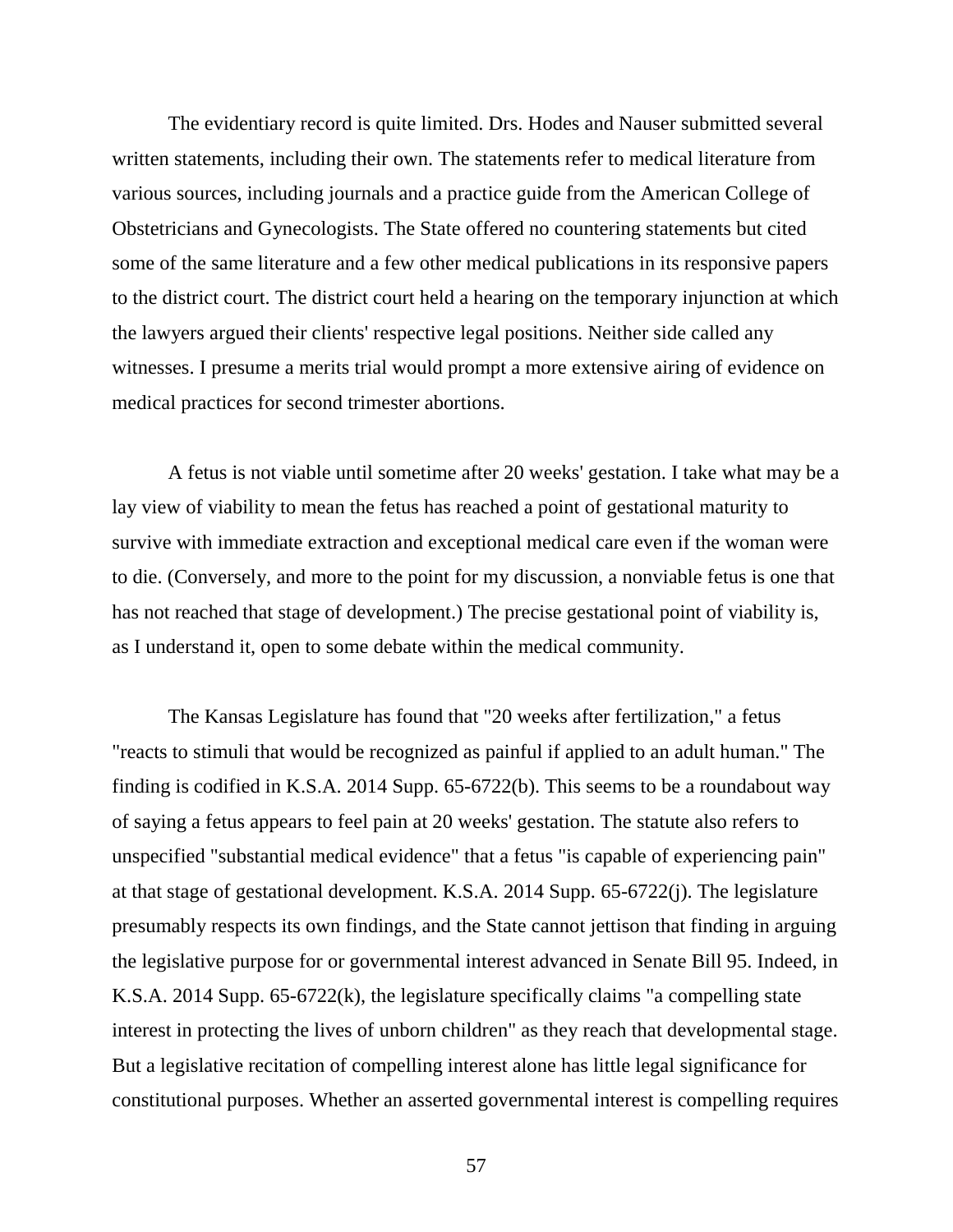The evidentiary record is quite limited. Drs. Hodes and Nauser submitted several written statements, including their own. The statements refer to medical literature from various sources, including journals and a practice guide from the American College of Obstetricians and Gynecologists. The State offered no countering statements but cited some of the same literature and a few other medical publications in its responsive papers to the district court. The district court held a hearing on the temporary injunction at which the lawyers argued their clients' respective legal positions. Neither side called any witnesses. I presume a merits trial would prompt a more extensive airing of evidence on medical practices for second trimester abortions.

A fetus is not viable until sometime after 20 weeks' gestation. I take what may be a lay view of viability to mean the fetus has reached a point of gestational maturity to survive with immediate extraction and exceptional medical care even if the woman were to die. (Conversely, and more to the point for my discussion, a nonviable fetus is one that has not reached that stage of development.) The precise gestational point of viability is, as I understand it, open to some debate within the medical community.

The Kansas Legislature has found that "20 weeks after fertilization," a fetus "reacts to stimuli that would be recognized as painful if applied to an adult human." The finding is codified in K.S.A. 2014 Supp. 65-6722(b). This seems to be a roundabout way of saying a fetus appears to feel pain at 20 weeks' gestation. The statute also refers to unspecified "substantial medical evidence" that a fetus "is capable of experiencing pain" at that stage of gestational development. K.S.A. 2014 Supp. 65-6722(j). The legislature presumably respects its own findings, and the State cannot jettison that finding in arguing the legislative purpose for or governmental interest advanced in Senate Bill 95. Indeed, in K.S.A. 2014 Supp. 65-6722(k), the legislature specifically claims "a compelling state interest in protecting the lives of unborn children" as they reach that developmental stage. But a legislative recitation of compelling interest alone has little legal significance for constitutional purposes. Whether an asserted governmental interest is compelling requires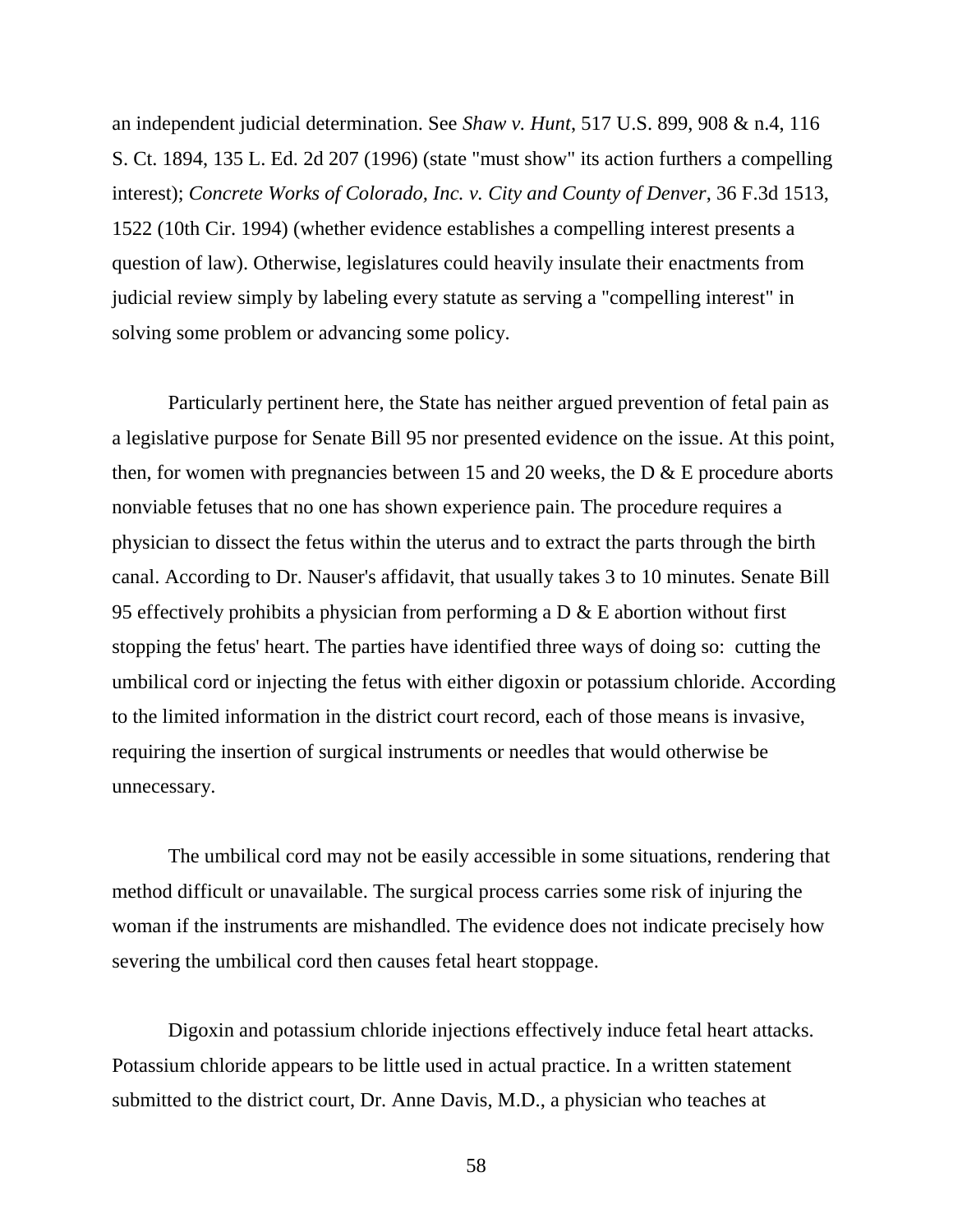an independent judicial determination. See *Shaw v. Hunt*, 517 U.S. 899, 908 & n.4, 116 S. Ct. 1894, 135 L. Ed. 2d 207 (1996) (state "must show" its action furthers a compelling interest); *Concrete Works of Colorado, Inc. v. City and County of Denver*, 36 F.3d 1513, 1522 (10th Cir. 1994) (whether evidence establishes a compelling interest presents a question of law). Otherwise, legislatures could heavily insulate their enactments from judicial review simply by labeling every statute as serving a "compelling interest" in solving some problem or advancing some policy.

Particularly pertinent here, the State has neither argued prevention of fetal pain as a legislative purpose for Senate Bill 95 nor presented evidence on the issue. At this point, then, for women with pregnancies between 15 and 20 weeks, the  $D \& E$  procedure aborts nonviable fetuses that no one has shown experience pain. The procedure requires a physician to dissect the fetus within the uterus and to extract the parts through the birth canal. According to Dr. Nauser's affidavit, that usually takes 3 to 10 minutes. Senate Bill 95 effectively prohibits a physician from performing a  $D \& E$  abortion without first stopping the fetus' heart. The parties have identified three ways of doing so: cutting the umbilical cord or injecting the fetus with either digoxin or potassium chloride. According to the limited information in the district court record, each of those means is invasive, requiring the insertion of surgical instruments or needles that would otherwise be unnecessary.

The umbilical cord may not be easily accessible in some situations, rendering that method difficult or unavailable. The surgical process carries some risk of injuring the woman if the instruments are mishandled. The evidence does not indicate precisely how severing the umbilical cord then causes fetal heart stoppage.

Digoxin and potassium chloride injections effectively induce fetal heart attacks. Potassium chloride appears to be little used in actual practice. In a written statement submitted to the district court, Dr. Anne Davis, M.D., a physician who teaches at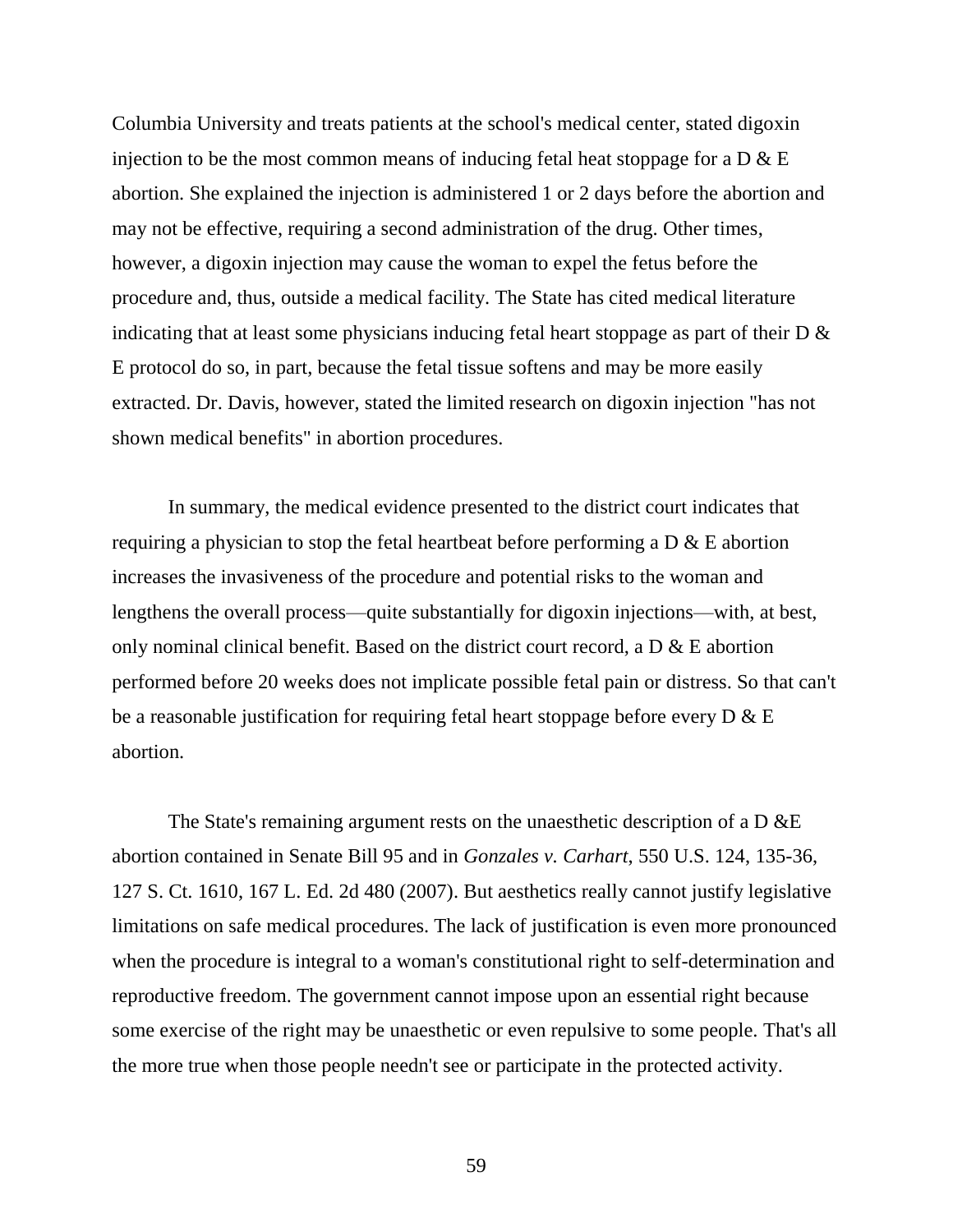Columbia University and treats patients at the school's medical center, stated digoxin injection to be the most common means of inducing fetal heat stoppage for a  $D \& E$ abortion. She explained the injection is administered 1 or 2 days before the abortion and may not be effective, requiring a second administration of the drug. Other times, however, a digoxin injection may cause the woman to expel the fetus before the procedure and, thus, outside a medical facility. The State has cited medical literature indicating that at least some physicians inducing fetal heart stoppage as part of their D & E protocol do so, in part, because the fetal tissue softens and may be more easily extracted. Dr. Davis, however, stated the limited research on digoxin injection "has not shown medical benefits" in abortion procedures.

In summary, the medical evidence presented to the district court indicates that requiring a physician to stop the fetal heartbeat before performing a  $D \& E$  abortion increases the invasiveness of the procedure and potential risks to the woman and lengthens the overall process—quite substantially for digoxin injections—with, at best, only nominal clinical benefit. Based on the district court record, a D & E abortion performed before 20 weeks does not implicate possible fetal pain or distress. So that can't be a reasonable justification for requiring fetal heart stoppage before every  $D \& E$ abortion.

The State's remaining argument rests on the unaesthetic description of a D &E abortion contained in Senate Bill 95 and in *Gonzales v. Carhart*, 550 U.S. 124, 135-36, 127 S. Ct. 1610, 167 L. Ed. 2d 480 (2007). But aesthetics really cannot justify legislative limitations on safe medical procedures. The lack of justification is even more pronounced when the procedure is integral to a woman's constitutional right to self-determination and reproductive freedom. The government cannot impose upon an essential right because some exercise of the right may be unaesthetic or even repulsive to some people. That's all the more true when those people needn't see or participate in the protected activity.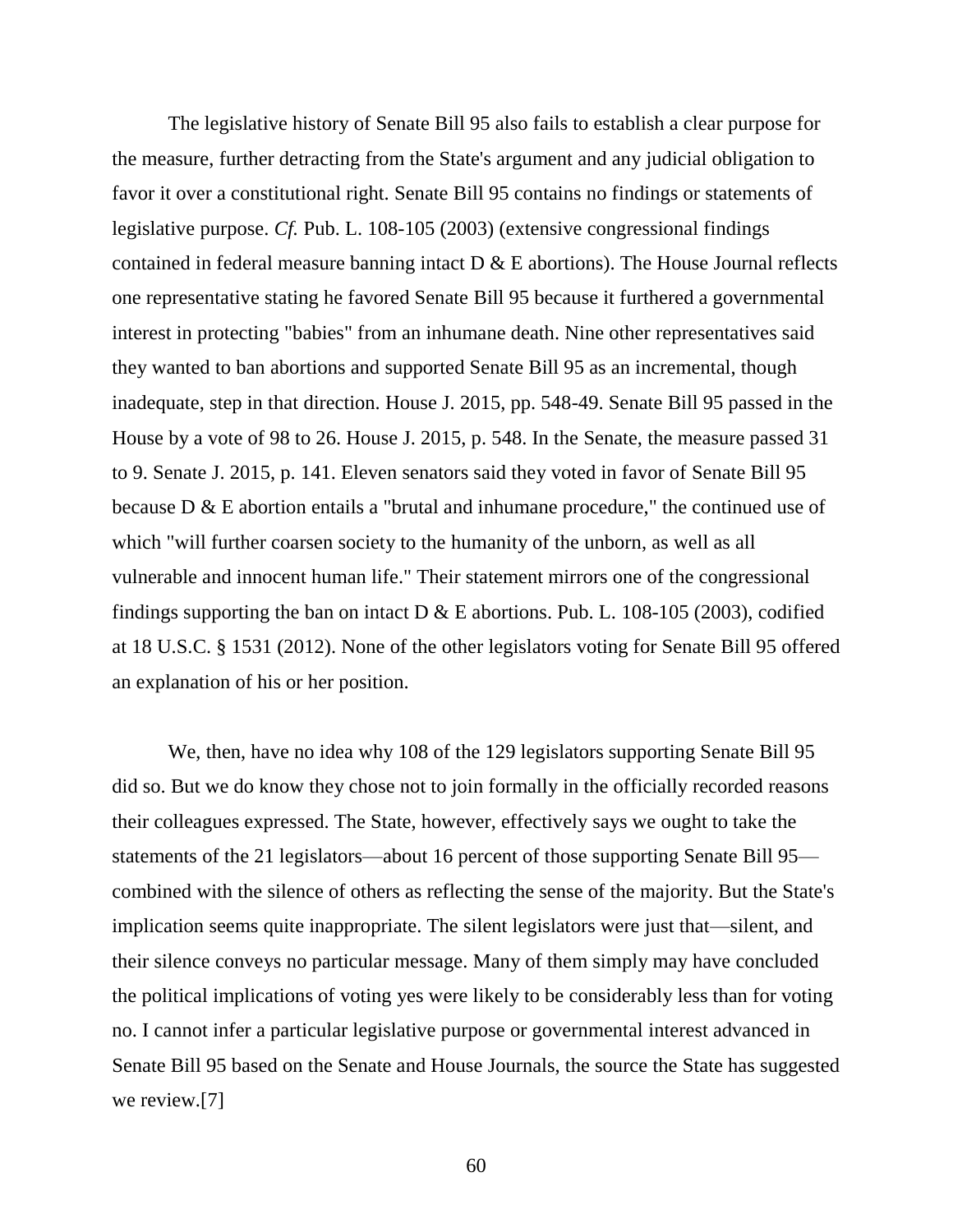The legislative history of Senate Bill 95 also fails to establish a clear purpose for the measure, further detracting from the State's argument and any judicial obligation to favor it over a constitutional right. Senate Bill 95 contains no findings or statements of legislative purpose. *Cf.* Pub. L. 108-105 (2003) (extensive congressional findings contained in federal measure banning intact  $D \& E$  abortions). The House Journal reflects one representative stating he favored Senate Bill 95 because it furthered a governmental interest in protecting "babies" from an inhumane death. Nine other representatives said they wanted to ban abortions and supported Senate Bill 95 as an incremental, though inadequate, step in that direction. House J. 2015, pp. 548-49. Senate Bill 95 passed in the House by a vote of 98 to 26. House J. 2015, p. 548. In the Senate, the measure passed 31 to 9. Senate J. 2015, p. 141. Eleven senators said they voted in favor of Senate Bill 95 because D & E abortion entails a "brutal and inhumane procedure," the continued use of which "will further coarsen society to the humanity of the unborn, as well as all vulnerable and innocent human life." Their statement mirrors one of the congressional findings supporting the ban on intact  $D \& E$  abortions. Pub. L. 108-105 (2003), codified at 18 U.S.C. § 1531 (2012). None of the other legislators voting for Senate Bill 95 offered an explanation of his or her position.

We, then, have no idea why 108 of the 129 legislators supporting Senate Bill 95 did so. But we do know they chose not to join formally in the officially recorded reasons their colleagues expressed. The State, however, effectively says we ought to take the statements of the 21 legislators—about 16 percent of those supporting Senate Bill 95 combined with the silence of others as reflecting the sense of the majority. But the State's implication seems quite inappropriate. The silent legislators were just that—silent, and their silence conveys no particular message. Many of them simply may have concluded the political implications of voting yes were likely to be considerably less than for voting no. I cannot infer a particular legislative purpose or governmental interest advanced in Senate Bill 95 based on the Senate and House Journals, the source the State has suggested we review.[7]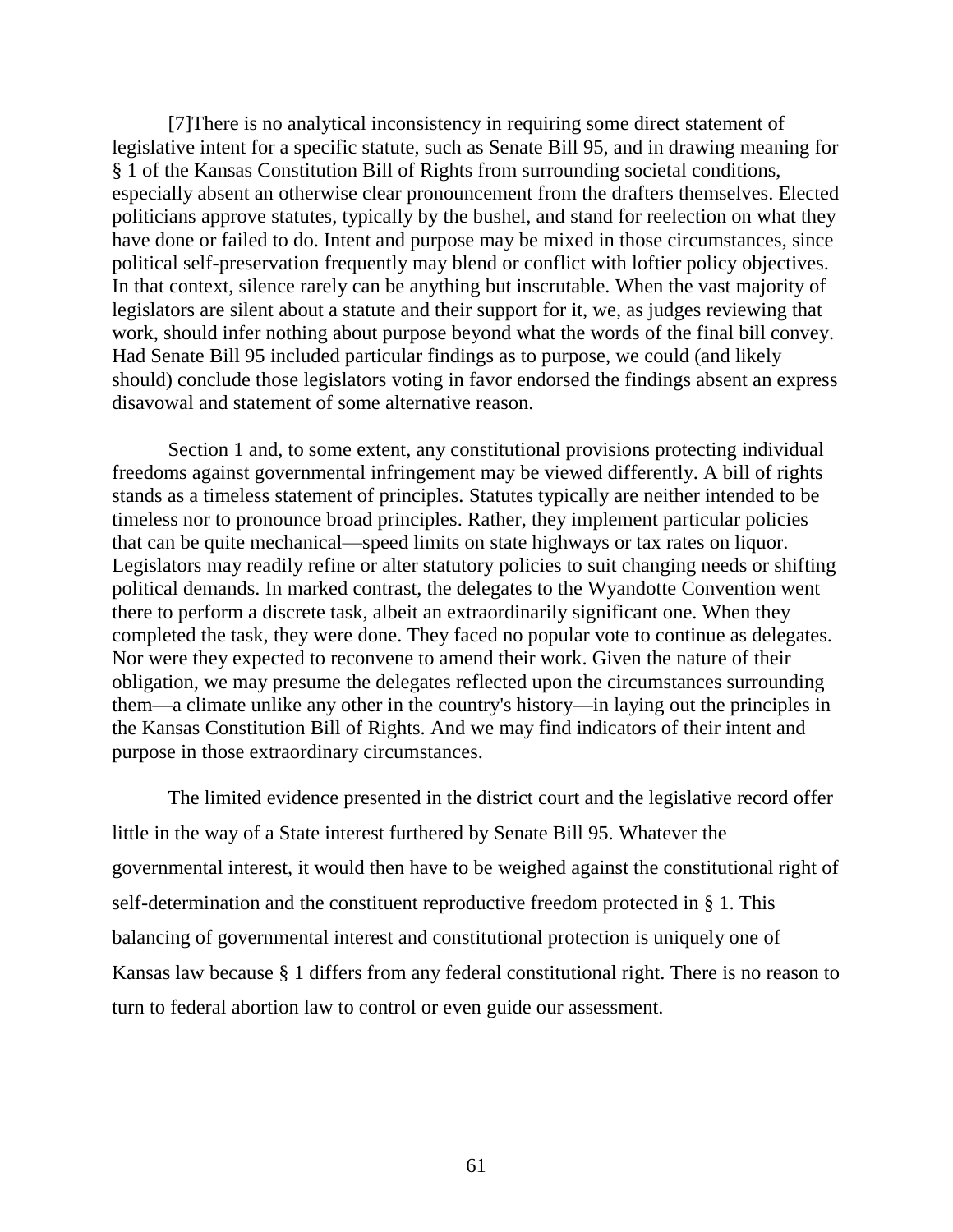[7]There is no analytical inconsistency in requiring some direct statement of legislative intent for a specific statute, such as Senate Bill 95, and in drawing meaning for § 1 of the Kansas Constitution Bill of Rights from surrounding societal conditions, especially absent an otherwise clear pronouncement from the drafters themselves. Elected politicians approve statutes, typically by the bushel, and stand for reelection on what they have done or failed to do. Intent and purpose may be mixed in those circumstances, since political self-preservation frequently may blend or conflict with loftier policy objectives. In that context, silence rarely can be anything but inscrutable. When the vast majority of legislators are silent about a statute and their support for it, we, as judges reviewing that work, should infer nothing about purpose beyond what the words of the final bill convey. Had Senate Bill 95 included particular findings as to purpose, we could (and likely should) conclude those legislators voting in favor endorsed the findings absent an express disavowal and statement of some alternative reason.

Section 1 and, to some extent, any constitutional provisions protecting individual freedoms against governmental infringement may be viewed differently. A bill of rights stands as a timeless statement of principles. Statutes typically are neither intended to be timeless nor to pronounce broad principles. Rather, they implement particular policies that can be quite mechanical—speed limits on state highways or tax rates on liquor. Legislators may readily refine or alter statutory policies to suit changing needs or shifting political demands. In marked contrast, the delegates to the Wyandotte Convention went there to perform a discrete task, albeit an extraordinarily significant one. When they completed the task, they were done. They faced no popular vote to continue as delegates. Nor were they expected to reconvene to amend their work. Given the nature of their obligation, we may presume the delegates reflected upon the circumstances surrounding them—a climate unlike any other in the country's history—in laying out the principles in the Kansas Constitution Bill of Rights. And we may find indicators of their intent and purpose in those extraordinary circumstances.

The limited evidence presented in the district court and the legislative record offer little in the way of a State interest furthered by Senate Bill 95. Whatever the governmental interest, it would then have to be weighed against the constitutional right of self-determination and the constituent reproductive freedom protected in § 1. This balancing of governmental interest and constitutional protection is uniquely one of Kansas law because § 1 differs from any federal constitutional right. There is no reason to turn to federal abortion law to control or even guide our assessment.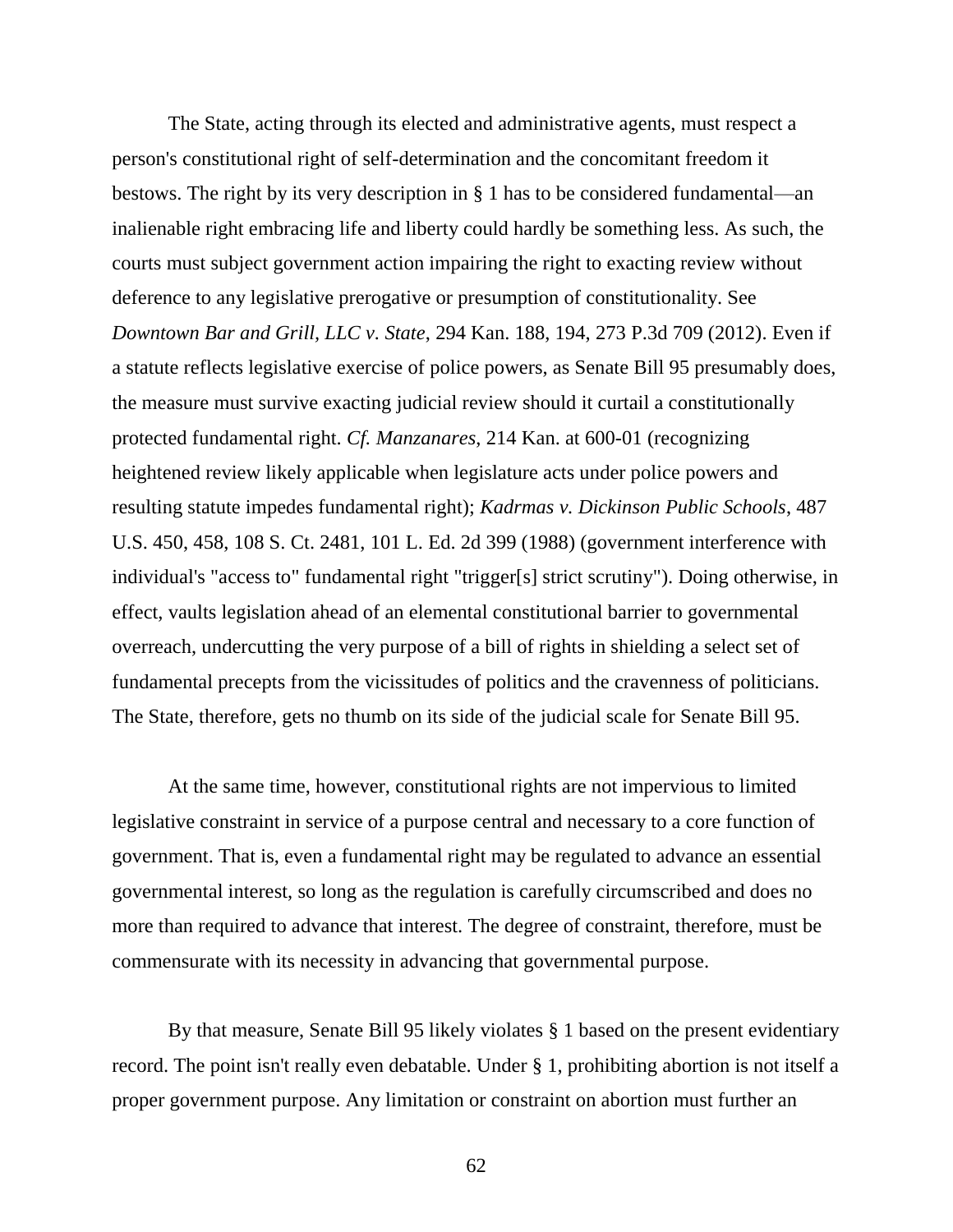The State, acting through its elected and administrative agents, must respect a person's constitutional right of self-determination and the concomitant freedom it bestows. The right by its very description in § 1 has to be considered fundamental—an inalienable right embracing life and liberty could hardly be something less. As such, the courts must subject government action impairing the right to exacting review without deference to any legislative prerogative or presumption of constitutionality. See *Downtown Bar and Grill, LLC v. State*, 294 Kan. 188, 194, 273 P.3d 709 (2012). Even if a statute reflects legislative exercise of police powers, as Senate Bill 95 presumably does, the measure must survive exacting judicial review should it curtail a constitutionally protected fundamental right. *Cf. Manzanares*, 214 Kan. at 600-01 (recognizing heightened review likely applicable when legislature acts under police powers and resulting statute impedes fundamental right); *Kadrmas v. Dickinson Public Schools*, 487 U.S. 450, 458, 108 S. Ct. 2481, 101 L. Ed. 2d 399 (1988) (government interference with individual's "access to" fundamental right "trigger[s] strict scrutiny"). Doing otherwise, in effect, vaults legislation ahead of an elemental constitutional barrier to governmental overreach, undercutting the very purpose of a bill of rights in shielding a select set of fundamental precepts from the vicissitudes of politics and the cravenness of politicians. The State, therefore, gets no thumb on its side of the judicial scale for Senate Bill 95.

At the same time, however, constitutional rights are not impervious to limited legislative constraint in service of a purpose central and necessary to a core function of government. That is, even a fundamental right may be regulated to advance an essential governmental interest, so long as the regulation is carefully circumscribed and does no more than required to advance that interest. The degree of constraint, therefore, must be commensurate with its necessity in advancing that governmental purpose.

By that measure, Senate Bill 95 likely violates § 1 based on the present evidentiary record. The point isn't really even debatable. Under § 1, prohibiting abortion is not itself a proper government purpose. Any limitation or constraint on abortion must further an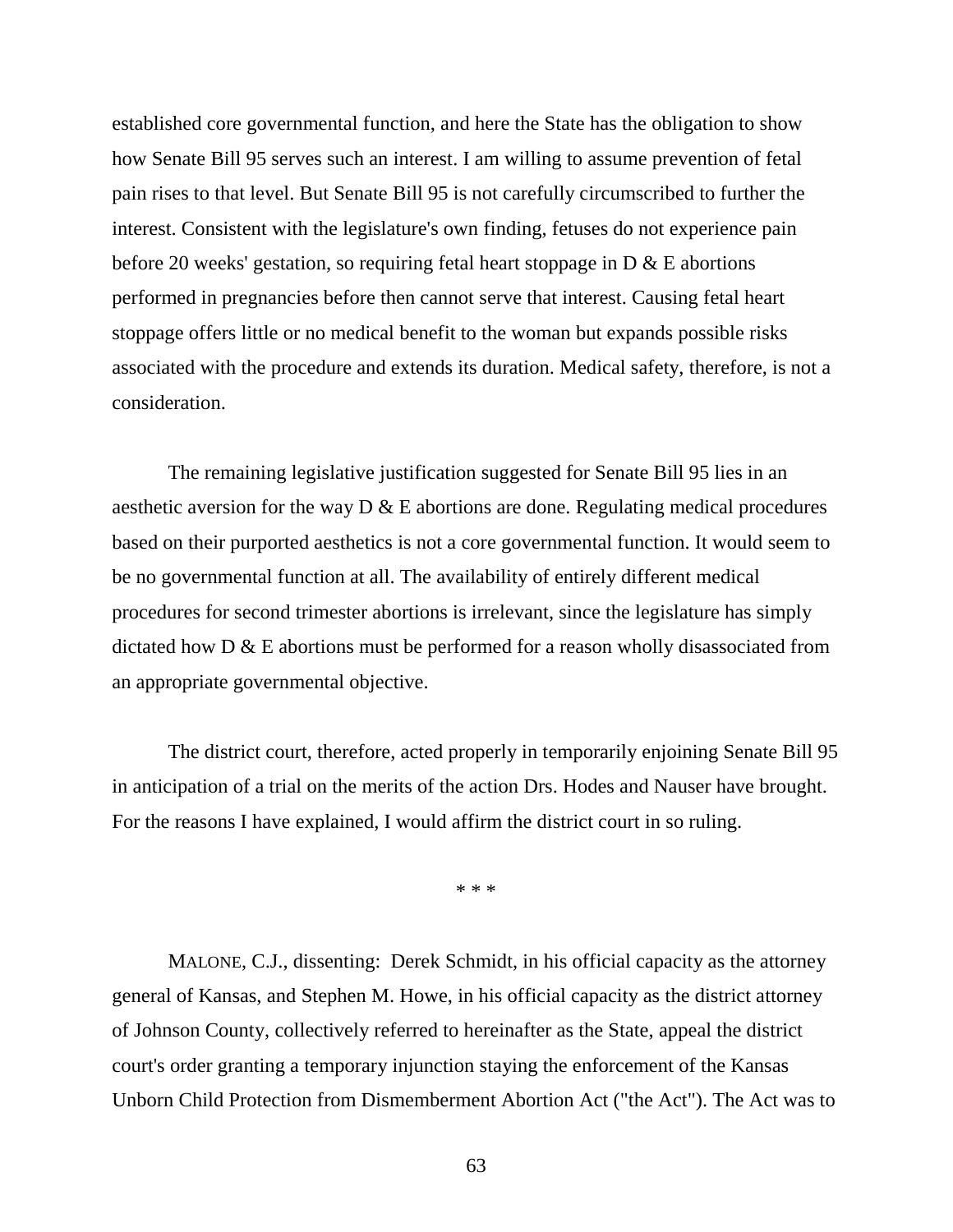established core governmental function, and here the State has the obligation to show how Senate Bill 95 serves such an interest. I am willing to assume prevention of fetal pain rises to that level. But Senate Bill 95 is not carefully circumscribed to further the interest. Consistent with the legislature's own finding, fetuses do not experience pain before 20 weeks' gestation, so requiring fetal heart stoppage in D & E abortions performed in pregnancies before then cannot serve that interest. Causing fetal heart stoppage offers little or no medical benefit to the woman but expands possible risks associated with the procedure and extends its duration. Medical safety, therefore, is not a consideration.

The remaining legislative justification suggested for Senate Bill 95 lies in an aesthetic aversion for the way  $D \& E$  abortions are done. Regulating medical procedures based on their purported aesthetics is not a core governmental function. It would seem to be no governmental function at all. The availability of entirely different medical procedures for second trimester abortions is irrelevant, since the legislature has simply dictated how D & E abortions must be performed for a reason wholly disassociated from an appropriate governmental objective.

The district court, therefore, acted properly in temporarily enjoining Senate Bill 95 in anticipation of a trial on the merits of the action Drs. Hodes and Nauser have brought. For the reasons I have explained, I would affirm the district court in so ruling.

\* \* \*

MALONE, C.J., dissenting: Derek Schmidt, in his official capacity as the attorney general of Kansas, and Stephen M. Howe, in his official capacity as the district attorney of Johnson County, collectively referred to hereinafter as the State, appeal the district court's order granting a temporary injunction staying the enforcement of the Kansas Unborn Child Protection from Dismemberment Abortion Act ("the Act"). The Act was to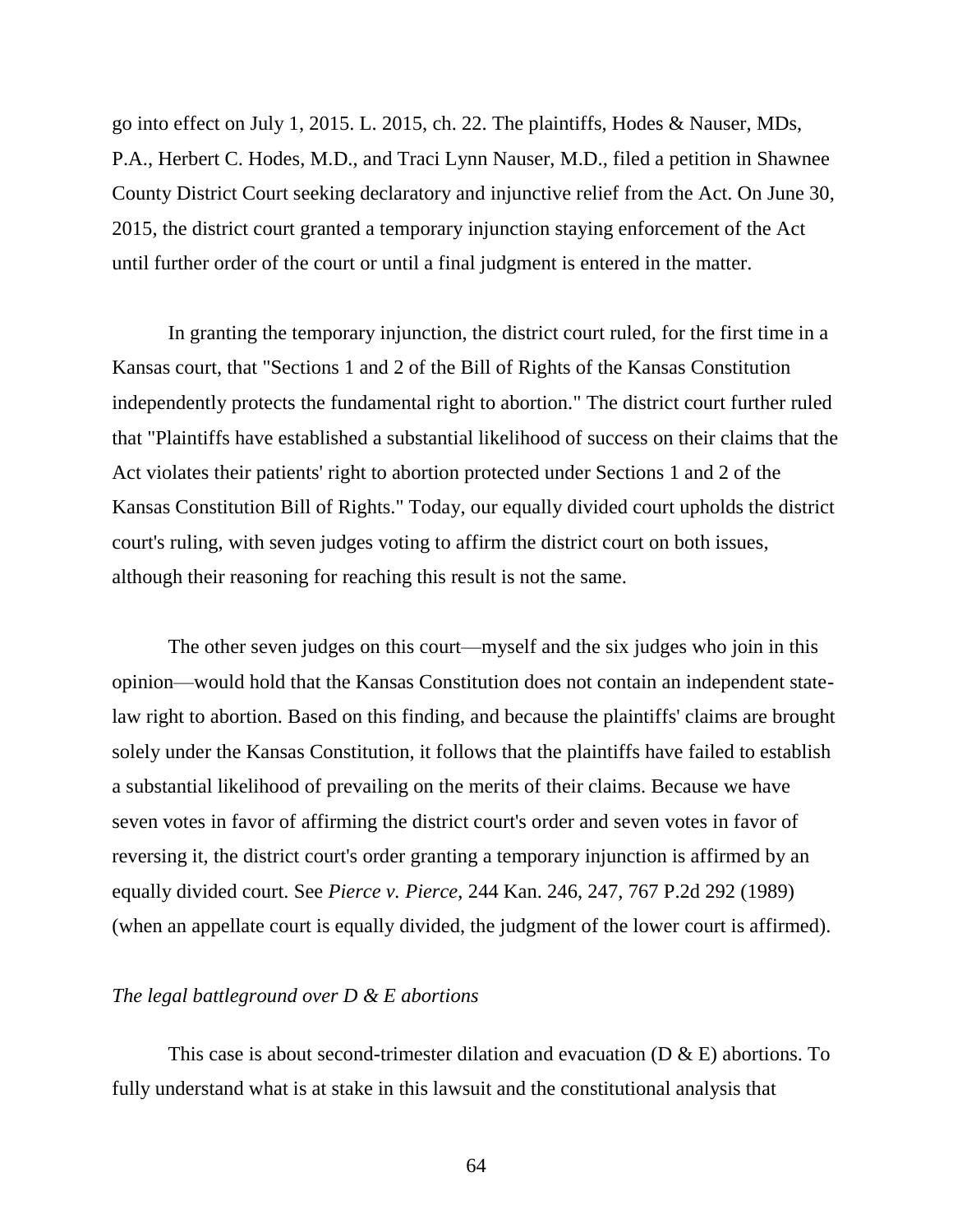go into effect on July 1, 2015. L. 2015, ch. 22. The plaintiffs, Hodes & Nauser, MDs, P.A., Herbert C. Hodes, M.D., and Traci Lynn Nauser, M.D., filed a petition in Shawnee County District Court seeking declaratory and injunctive relief from the Act. On June 30, 2015, the district court granted a temporary injunction staying enforcement of the Act until further order of the court or until a final judgment is entered in the matter.

In granting the temporary injunction, the district court ruled, for the first time in a Kansas court, that "Sections 1 and 2 of the Bill of Rights of the Kansas Constitution independently protects the fundamental right to abortion." The district court further ruled that "Plaintiffs have established a substantial likelihood of success on their claims that the Act violates their patients' right to abortion protected under Sections 1 and 2 of the Kansas Constitution Bill of Rights." Today, our equally divided court upholds the district court's ruling, with seven judges voting to affirm the district court on both issues, although their reasoning for reaching this result is not the same.

The other seven judges on this court—myself and the six judges who join in this opinion—would hold that the Kansas Constitution does not contain an independent statelaw right to abortion. Based on this finding, and because the plaintiffs' claims are brought solely under the Kansas Constitution, it follows that the plaintiffs have failed to establish a substantial likelihood of prevailing on the merits of their claims. Because we have seven votes in favor of affirming the district court's order and seven votes in favor of reversing it, the district court's order granting a temporary injunction is affirmed by an equally divided court. See *Pierce v. Pierce*, 244 Kan. 246, 247, 767 P.2d 292 (1989) (when an appellate court is equally divided, the judgment of the lower court is affirmed).

# *The legal battleground over D & E abortions*

This case is about second-trimester dilation and evacuation ( $D \& E$ ) abortions. To fully understand what is at stake in this lawsuit and the constitutional analysis that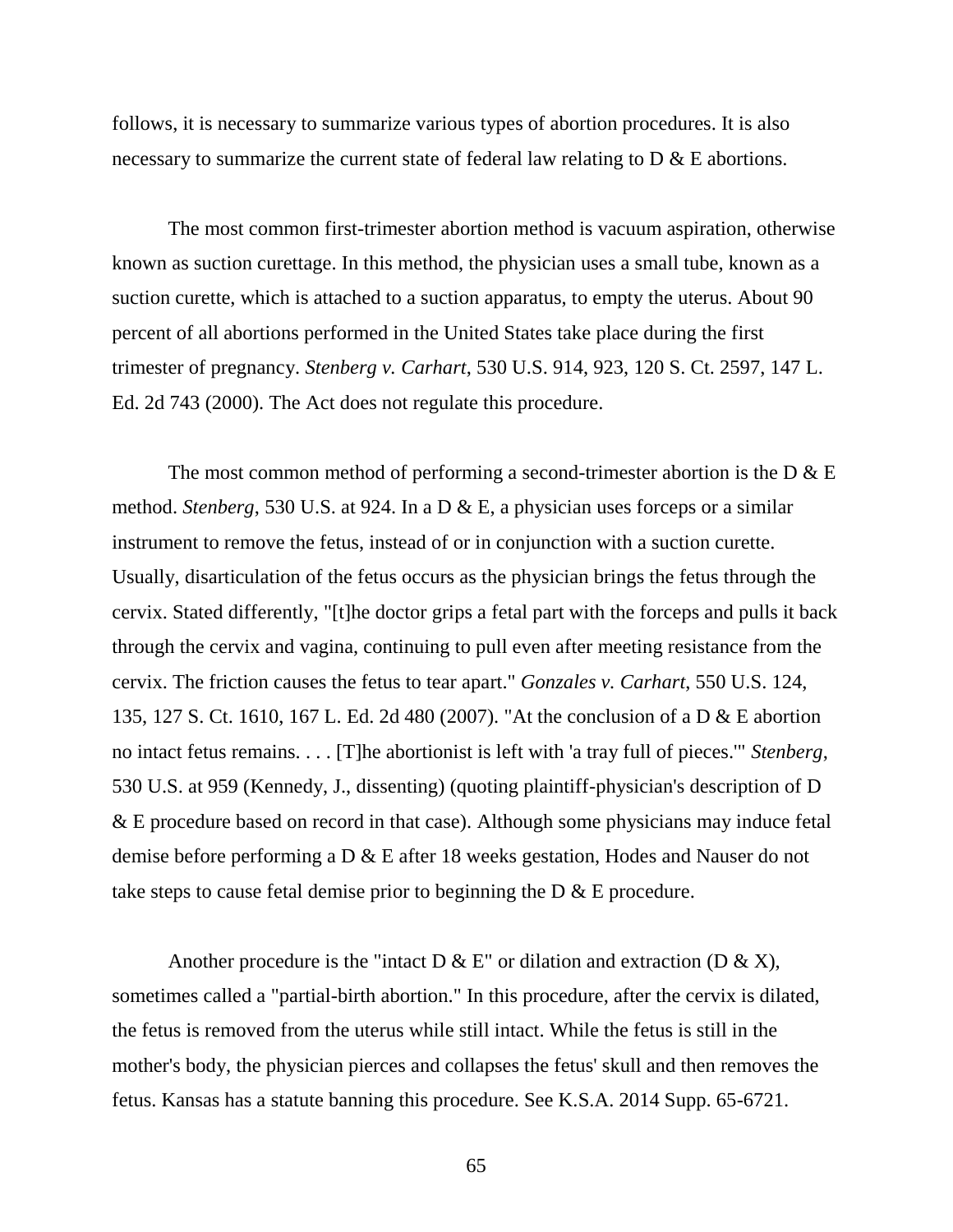follows, it is necessary to summarize various types of abortion procedures. It is also necessary to summarize the current state of federal law relating to D & E abortions.

The most common first-trimester abortion method is vacuum aspiration, otherwise known as suction curettage. In this method, the physician uses a small tube, known as a suction curette, which is attached to a suction apparatus, to empty the uterus. About 90 percent of all abortions performed in the United States take place during the first trimester of pregnancy. *Stenberg v. Carhart*, 530 U.S. 914, 923, 120 S. Ct. 2597, 147 L. Ed. 2d 743 (2000). The Act does not regulate this procedure.

The most common method of performing a second-trimester abortion is the  $D & E$ method. *Stenberg*, 530 U.S. at 924. In a D & E, a physician uses forceps or a similar instrument to remove the fetus, instead of or in conjunction with a suction curette. Usually, disarticulation of the fetus occurs as the physician brings the fetus through the cervix. Stated differently, "[t]he doctor grips a fetal part with the forceps and pulls it back through the cervix and vagina, continuing to pull even after meeting resistance from the cervix. The friction causes the fetus to tear apart." *Gonzales v. Carhart*, 550 U.S. 124, 135, 127 S. Ct. 1610, 167 L. Ed. 2d 480 (2007). "At the conclusion of a D & E abortion no intact fetus remains. . . . [T]he abortionist is left with 'a tray full of pieces.'" *Stenberg*, 530 U.S. at 959 (Kennedy, J., dissenting) (quoting plaintiff-physician's description of D & E procedure based on record in that case). Although some physicians may induce fetal demise before performing a D & E after 18 weeks gestation, Hodes and Nauser do not take steps to cause fetal demise prior to beginning the  $D \& E$  procedure.

Another procedure is the "intact  $D \& E$ " or dilation and extraction ( $D \& X$ ), sometimes called a "partial-birth abortion." In this procedure, after the cervix is dilated, the fetus is removed from the uterus while still intact. While the fetus is still in the mother's body, the physician pierces and collapses the fetus' skull and then removes the fetus. Kansas has a statute banning this procedure. See K.S.A. 2014 Supp. 65-6721.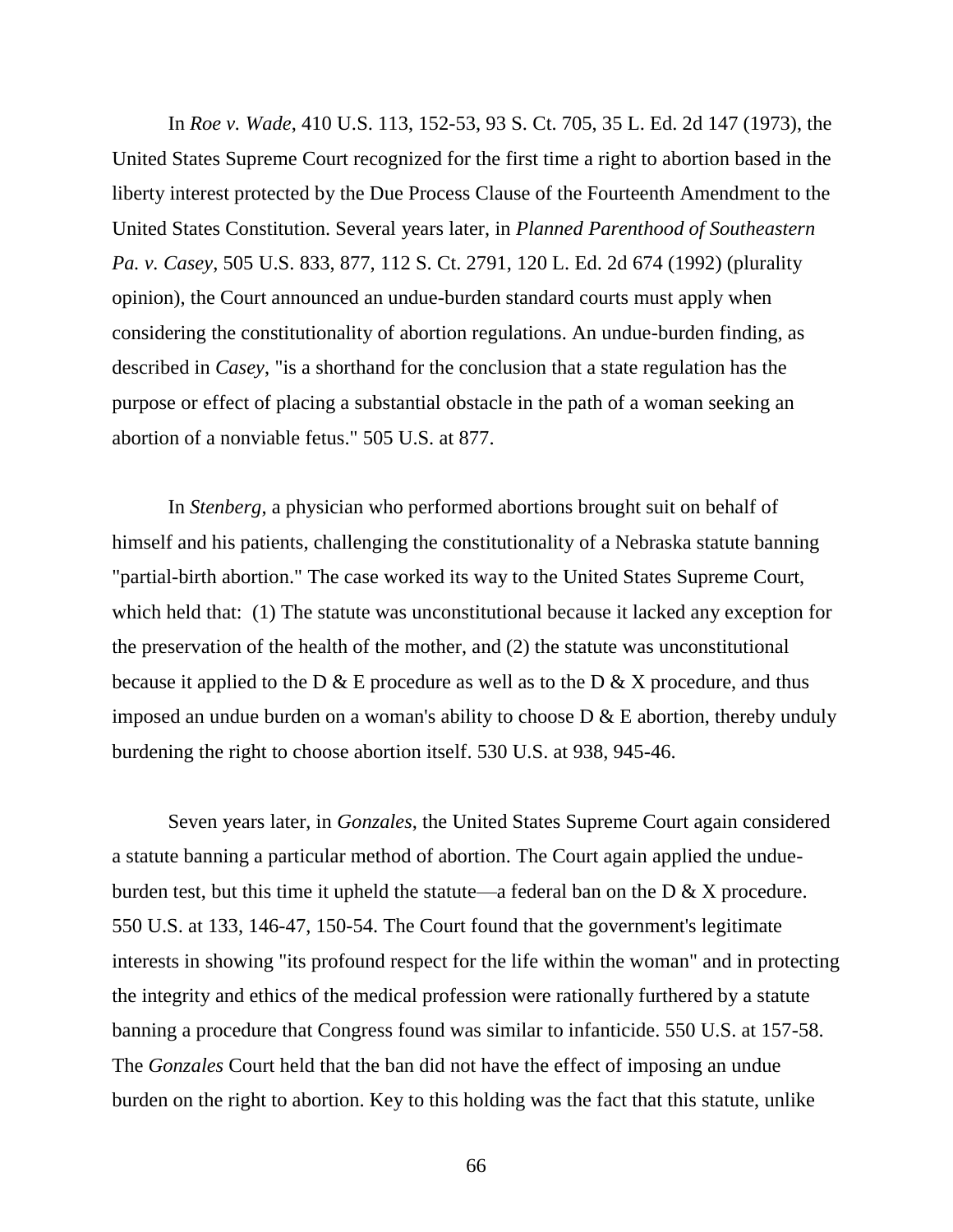In *Roe v. Wade*, 410 U.S. 113, 152-53, 93 S. Ct. 705, 35 L. Ed. 2d 147 (1973), the United States Supreme Court recognized for the first time a right to abortion based in the liberty interest protected by the Due Process Clause of the Fourteenth Amendment to the United States Constitution. Several years later, in *Planned Parenthood of Southeastern Pa. v. Casey*, 505 U.S. 833, 877, 112 S. Ct. 2791, 120 L. Ed. 2d 674 (1992) (plurality opinion), the Court announced an undue-burden standard courts must apply when considering the constitutionality of abortion regulations. An undue-burden finding, as described in *Casey*, "is a shorthand for the conclusion that a state regulation has the purpose or effect of placing a substantial obstacle in the path of a woman seeking an abortion of a nonviable fetus." 505 U.S. at 877.

In *Stenberg*, a physician who performed abortions brought suit on behalf of himself and his patients, challenging the constitutionality of a Nebraska statute banning "partial-birth abortion." The case worked its way to the United States Supreme Court, which held that: (1) The statute was unconstitutional because it lacked any exception for the preservation of the health of the mother, and (2) the statute was unconstitutional because it applied to the D  $\&$  E procedure as well as to the D  $\&$  X procedure, and thus imposed an undue burden on a woman's ability to choose  $D \& E$  abortion, thereby unduly burdening the right to choose abortion itself. 530 U.S. at 938, 945-46.

Seven years later, in *Gonzales*, the United States Supreme Court again considered a statute banning a particular method of abortion. The Court again applied the undueburden test, but this time it upheld the statute—a federal ban on the  $D \& X$  procedure. 550 U.S. at 133, 146-47, 150-54. The Court found that the government's legitimate interests in showing "its profound respect for the life within the woman" and in protecting the integrity and ethics of the medical profession were rationally furthered by a statute banning a procedure that Congress found was similar to infanticide. 550 U.S. at 157-58. The *Gonzales* Court held that the ban did not have the effect of imposing an undue burden on the right to abortion. Key to this holding was the fact that this statute, unlike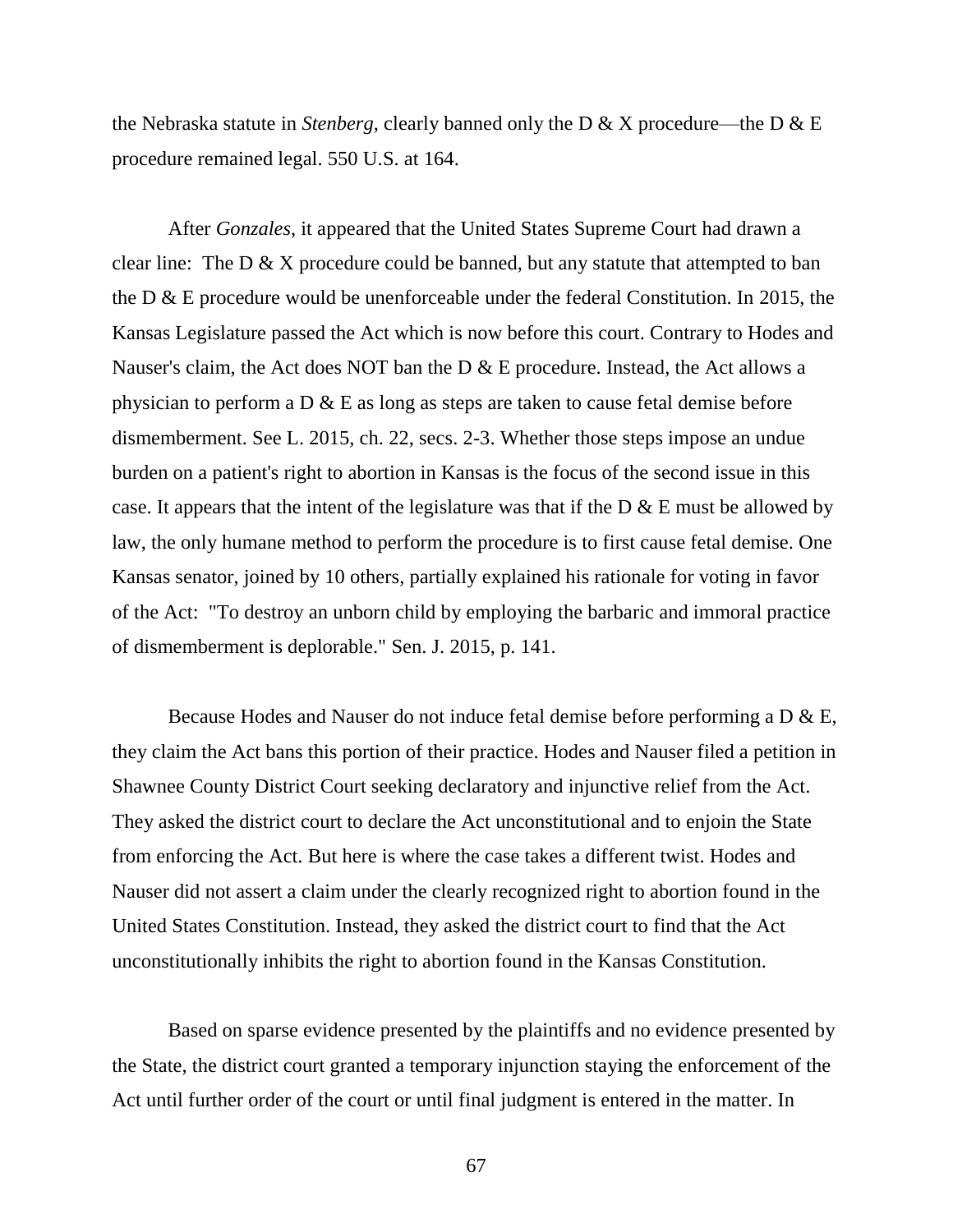the Nebraska statute in *Stenberg*, clearly banned only the D & X procedure—the D & E procedure remained legal. 550 U.S. at 164.

After *Gonzales*, it appeared that the United States Supreme Court had drawn a clear line: The  $D \& X$  procedure could be banned, but any statute that attempted to ban the D & E procedure would be unenforceable under the federal Constitution. In 2015, the Kansas Legislature passed the Act which is now before this court. Contrary to Hodes and Nauser's claim, the Act does NOT ban the D & E procedure. Instead, the Act allows a physician to perform a D & E as long as steps are taken to cause fetal demise before dismemberment. See L. 2015, ch. 22, secs. 2-3. Whether those steps impose an undue burden on a patient's right to abortion in Kansas is the focus of the second issue in this case. It appears that the intent of the legislature was that if the  $D \& E$  must be allowed by law, the only humane method to perform the procedure is to first cause fetal demise. One Kansas senator, joined by 10 others, partially explained his rationale for voting in favor of the Act: "To destroy an unborn child by employing the barbaric and immoral practice of dismemberment is deplorable." Sen. J. 2015, p. 141.

Because Hodes and Nauser do not induce fetal demise before performing a D & E, they claim the Act bans this portion of their practice. Hodes and Nauser filed a petition in Shawnee County District Court seeking declaratory and injunctive relief from the Act. They asked the district court to declare the Act unconstitutional and to enjoin the State from enforcing the Act. But here is where the case takes a different twist. Hodes and Nauser did not assert a claim under the clearly recognized right to abortion found in the United States Constitution. Instead, they asked the district court to find that the Act unconstitutionally inhibits the right to abortion found in the Kansas Constitution.

Based on sparse evidence presented by the plaintiffs and no evidence presented by the State, the district court granted a temporary injunction staying the enforcement of the Act until further order of the court or until final judgment is entered in the matter. In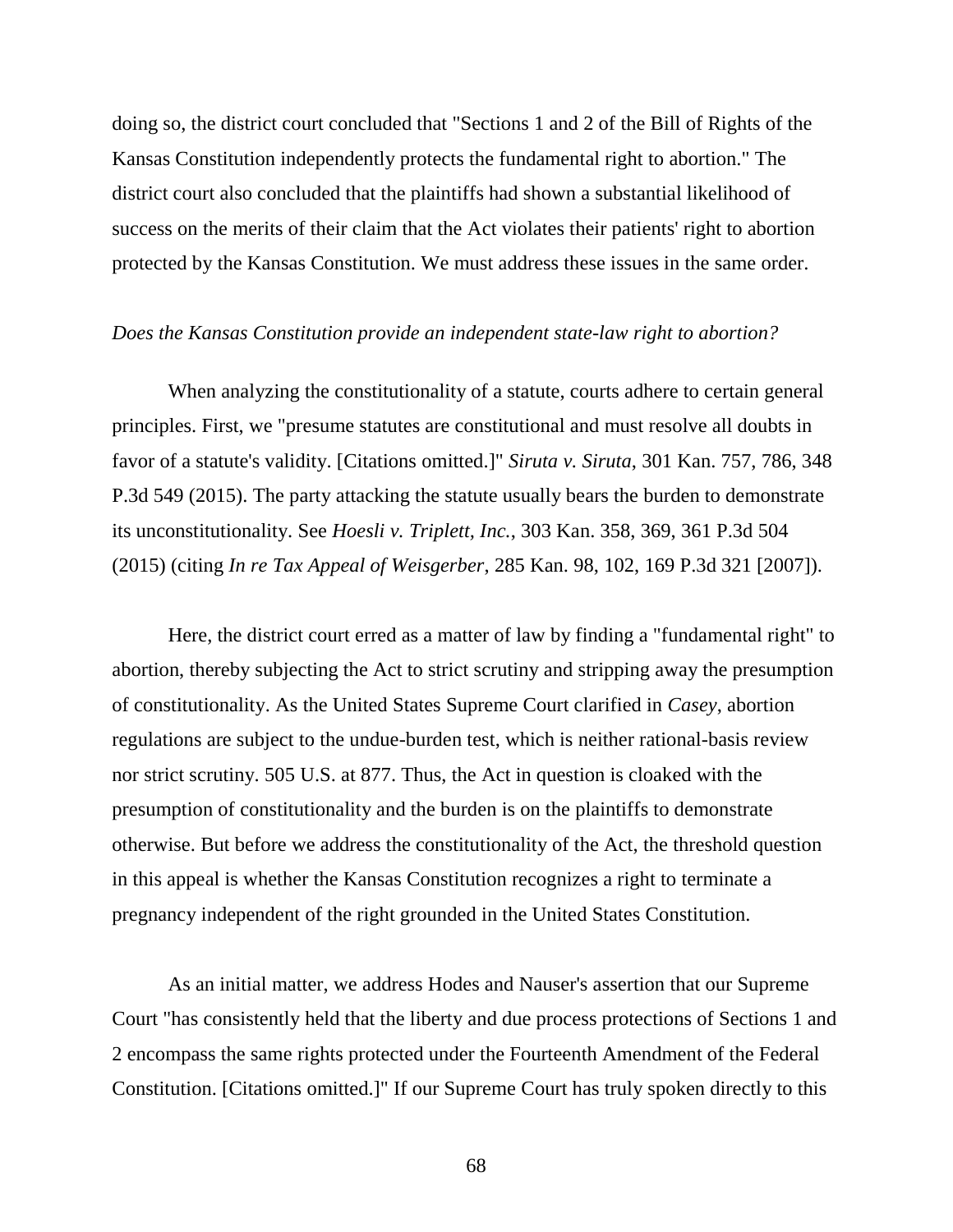doing so, the district court concluded that "Sections 1 and 2 of the Bill of Rights of the Kansas Constitution independently protects the fundamental right to abortion." The district court also concluded that the plaintiffs had shown a substantial likelihood of success on the merits of their claim that the Act violates their patients' right to abortion protected by the Kansas Constitution. We must address these issues in the same order.

## *Does the Kansas Constitution provide an independent state-law right to abortion?*

When analyzing the constitutionality of a statute, courts adhere to certain general principles. First, we "presume statutes are constitutional and must resolve all doubts in favor of a statute's validity. [Citations omitted.]" *Siruta v. Siruta*, 301 Kan. 757, 786, 348 P.3d 549 (2015). The party attacking the statute usually bears the burden to demonstrate its unconstitutionality. See *Hoesli v. Triplett, Inc.*, 303 Kan. 358, 369, 361 P.3d 504 (2015) (citing *In re Tax Appeal of Weisgerber*, 285 Kan. 98, 102, 169 P.3d 321 [2007]).

Here, the district court erred as a matter of law by finding a "fundamental right" to abortion, thereby subjecting the Act to strict scrutiny and stripping away the presumption of constitutionality. As the United States Supreme Court clarified in *Casey*, abortion regulations are subject to the undue-burden test, which is neither rational-basis review nor strict scrutiny. 505 U.S. at 877. Thus, the Act in question is cloaked with the presumption of constitutionality and the burden is on the plaintiffs to demonstrate otherwise. But before we address the constitutionality of the Act, the threshold question in this appeal is whether the Kansas Constitution recognizes a right to terminate a pregnancy independent of the right grounded in the United States Constitution.

As an initial matter, we address Hodes and Nauser's assertion that our Supreme Court "has consistently held that the liberty and due process protections of Sections 1 and 2 encompass the same rights protected under the Fourteenth Amendment of the Federal Constitution. [Citations omitted.]" If our Supreme Court has truly spoken directly to this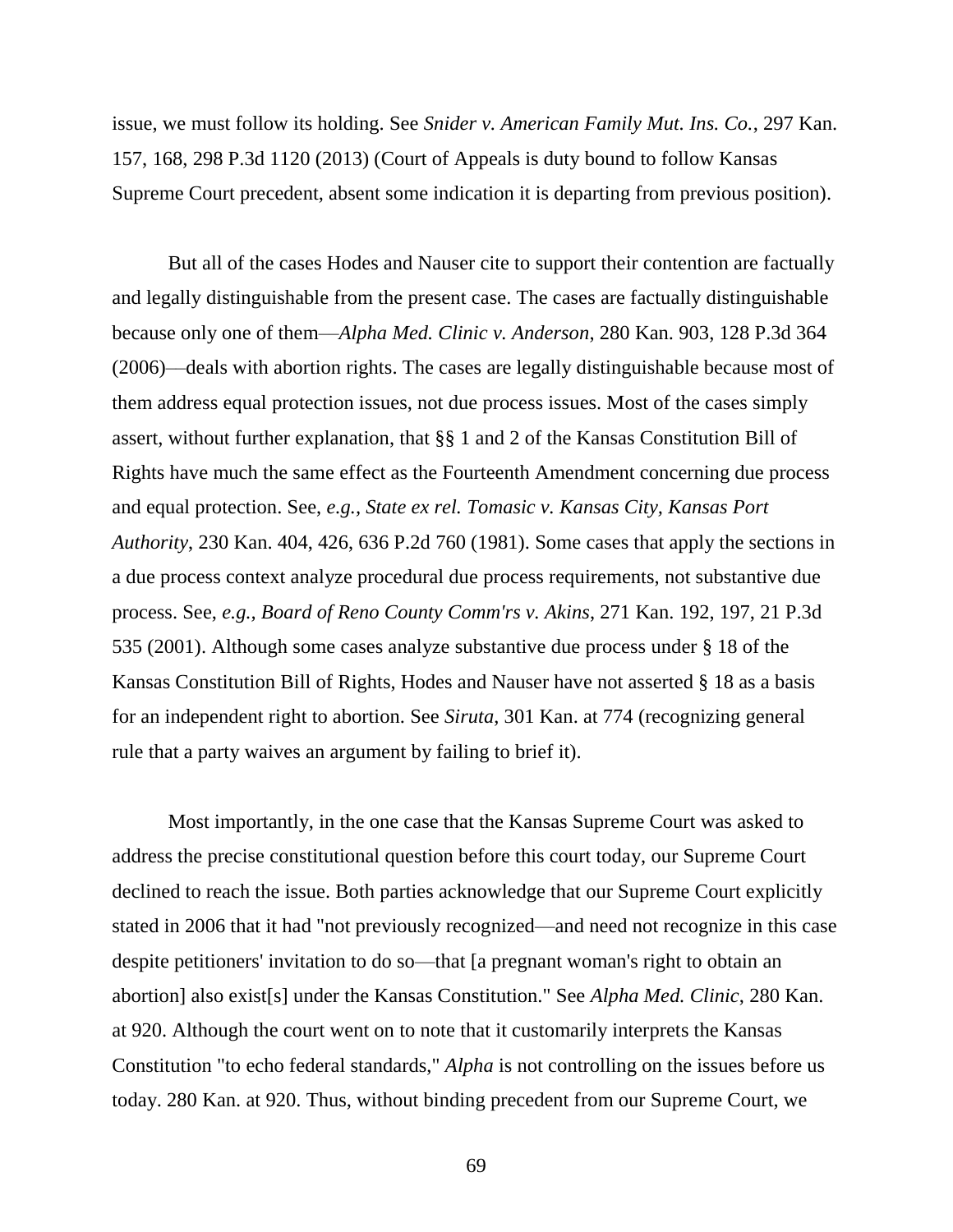issue, we must follow its holding. See *Snider v. American Family Mut. Ins. Co.*, 297 Kan. 157, 168, 298 P.3d 1120 (2013) (Court of Appeals is duty bound to follow Kansas Supreme Court precedent, absent some indication it is departing from previous position).

But all of the cases Hodes and Nauser cite to support their contention are factually and legally distinguishable from the present case. The cases are factually distinguishable because only one of them––*Alpha Med. Clinic v. Anderson*, 280 Kan. 903, 128 P.3d 364 (2006)––deals with abortion rights. The cases are legally distinguishable because most of them address equal protection issues, not due process issues. Most of the cases simply assert, without further explanation, that §§ 1 and 2 of the Kansas Constitution Bill of Rights have much the same effect as the Fourteenth Amendment concerning due process and equal protection. See, *e.g., State ex rel. Tomasic v. Kansas City, Kansas Port Authority*, 230 Kan. 404, 426, 636 P.2d 760 (1981). Some cases that apply the sections in a due process context analyze procedural due process requirements, not substantive due process. See, *e.g., Board of Reno County Comm'rs v. Akins*, 271 Kan. 192, 197, 21 P.3d 535 (2001). Although some cases analyze substantive due process under § 18 of the Kansas Constitution Bill of Rights, Hodes and Nauser have not asserted § 18 as a basis for an independent right to abortion. See *Siruta*, 301 Kan. at 774 (recognizing general rule that a party waives an argument by failing to brief it).

Most importantly, in the one case that the Kansas Supreme Court was asked to address the precise constitutional question before this court today, our Supreme Court declined to reach the issue. Both parties acknowledge that our Supreme Court explicitly stated in 2006 that it had "not previously recognized—and need not recognize in this case despite petitioners' invitation to do so—that [a pregnant woman's right to obtain an abortion] also exist[s] under the Kansas Constitution." See *Alpha Med. Clinic*, 280 Kan. at 920. Although the court went on to note that it customarily interprets the Kansas Constitution "to echo federal standards," *Alpha* is not controlling on the issues before us today. 280 Kan. at 920. Thus, without binding precedent from our Supreme Court, we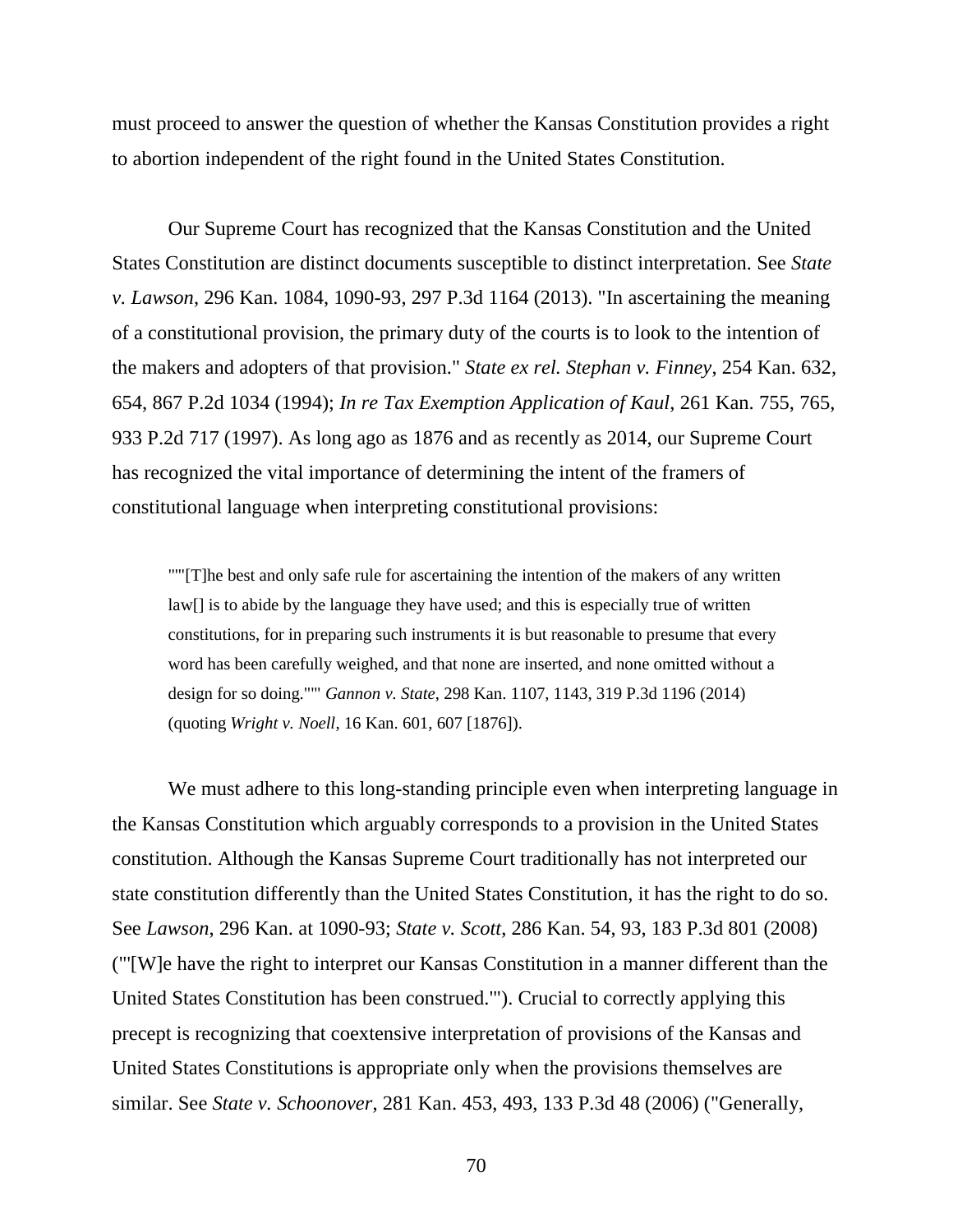must proceed to answer the question of whether the Kansas Constitution provides a right to abortion independent of the right found in the United States Constitution.

Our Supreme Court has recognized that the Kansas Constitution and the United States Constitution are distinct documents susceptible to distinct interpretation. See *State v. Lawson*, 296 Kan. 1084, 1090-93, 297 P.3d 1164 (2013). "In ascertaining the meaning of a constitutional provision, the primary duty of the courts is to look to the intention of the makers and adopters of that provision." *State ex rel. Stephan v. Finney*, 254 Kan. 632, 654, 867 P.2d 1034 (1994); *In re Tax Exemption Application of Kaul*, 261 Kan. 755, 765, 933 P.2d 717 (1997). As long ago as 1876 and as recently as 2014, our Supreme Court has recognized the vital importance of determining the intent of the framers of constitutional language when interpreting constitutional provisions:

"'"[T]he best and only safe rule for ascertaining the intention of the makers of any written  $\lceil \text{law} \rceil \rceil$  is to abide by the language they have used; and this is especially true of written constitutions, for in preparing such instruments it is but reasonable to presume that every word has been carefully weighed, and that none are inserted, and none omitted without a design for so doing."'" *Gannon v. State*, 298 Kan. 1107, 1143, 319 P.3d 1196 (2014) (quoting *Wright v. Noell*, 16 Kan. 601, 607 [1876]).

We must adhere to this long-standing principle even when interpreting language in the Kansas Constitution which arguably corresponds to a provision in the United States constitution. Although the Kansas Supreme Court traditionally has not interpreted our state constitution differently than the United States Constitution, it has the right to do so. See *Lawson*, 296 Kan. at 1090-93; *State v. Scott*, 286 Kan. 54, 93, 183 P.3d 801 (2008) ("'[W]e have the right to interpret our Kansas Constitution in a manner different than the United States Constitution has been construed.'"). Crucial to correctly applying this precept is recognizing that coextensive interpretation of provisions of the Kansas and United States Constitutions is appropriate only when the provisions themselves are similar. See *State v. Schoonover*, 281 Kan. 453, 493, 133 P.3d 48 (2006) ("Generally,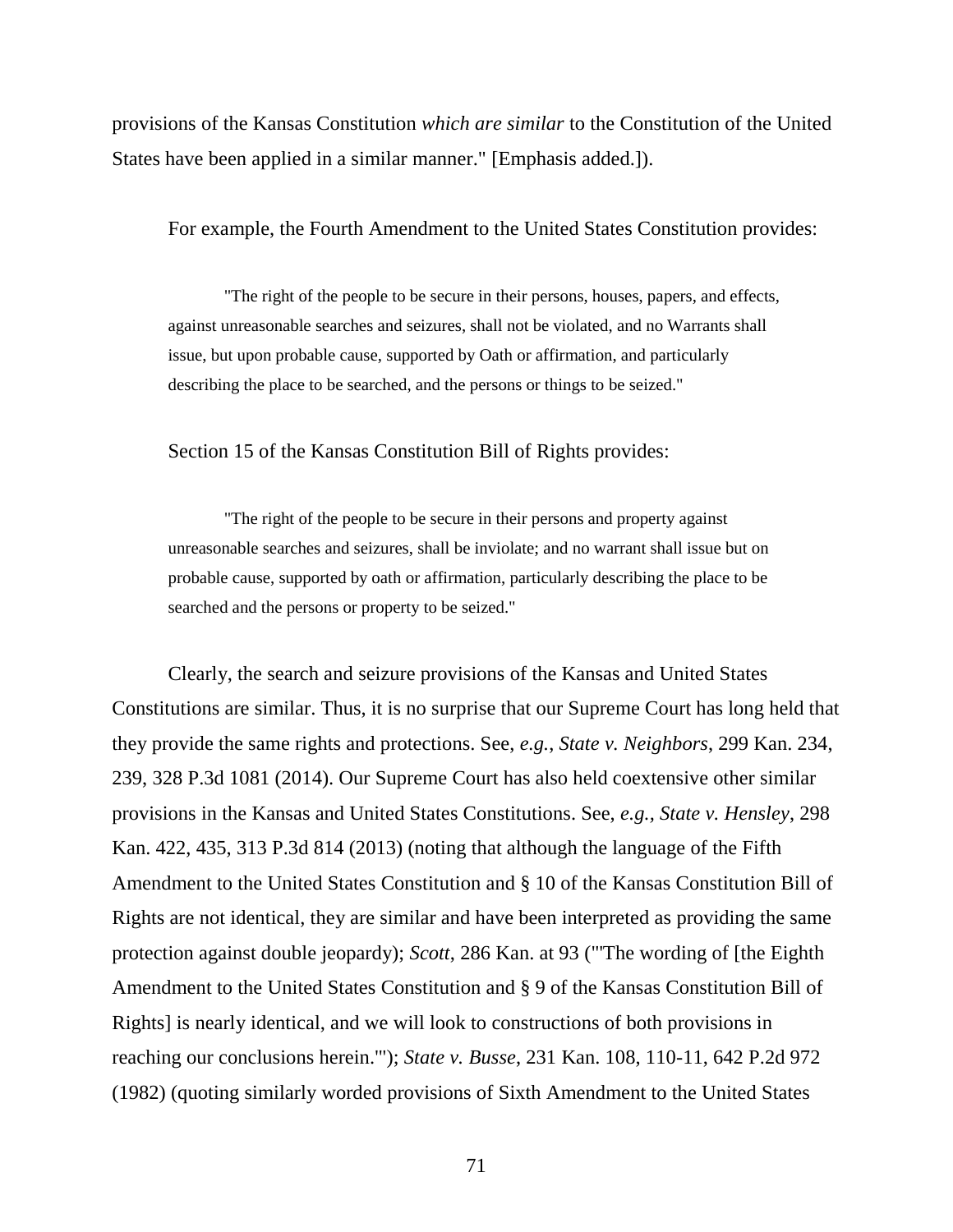provisions of the Kansas Constitution *which are similar* to the Constitution of the United States have been applied in a similar manner." [Emphasis added.]).

### For example, the Fourth Amendment to the United States Constitution provides:

"The right of the people to be secure in their persons, houses, papers, and effects, against unreasonable searches and seizures, shall not be violated, and no Warrants shall issue, but upon probable cause, supported by Oath or affirmation, and particularly describing the place to be searched, and the persons or things to be seized."

#### Section 15 of the Kansas Constitution Bill of Rights provides:

"The right of the people to be secure in their persons and property against unreasonable searches and seizures, shall be inviolate; and no warrant shall issue but on probable cause, supported by oath or affirmation, particularly describing the place to be searched and the persons or property to be seized."

Clearly, the search and seizure provisions of the Kansas and United States Constitutions are similar. Thus, it is no surprise that our Supreme Court has long held that they provide the same rights and protections. See, *e.g.*, *State v. Neighbors*, 299 Kan. 234, 239, 328 P.3d 1081 (2014). Our Supreme Court has also held coextensive other similar provisions in the Kansas and United States Constitutions. See, *e.g., State v. Hensley*, 298 Kan. 422, 435, 313 P.3d 814 (2013) (noting that although the language of the Fifth Amendment to the United States Constitution and § 10 of the Kansas Constitution Bill of Rights are not identical, they are similar and have been interpreted as providing the same protection against double jeopardy); *Scott*, 286 Kan. at 93 ("'The wording of [the Eighth Amendment to the United States Constitution and § 9 of the Kansas Constitution Bill of Rights] is nearly identical, and we will look to constructions of both provisions in reaching our conclusions herein.'"); *State v. Busse*, 231 Kan. 108, 110-11, 642 P.2d 972 (1982) (quoting similarly worded provisions of Sixth Amendment to the United States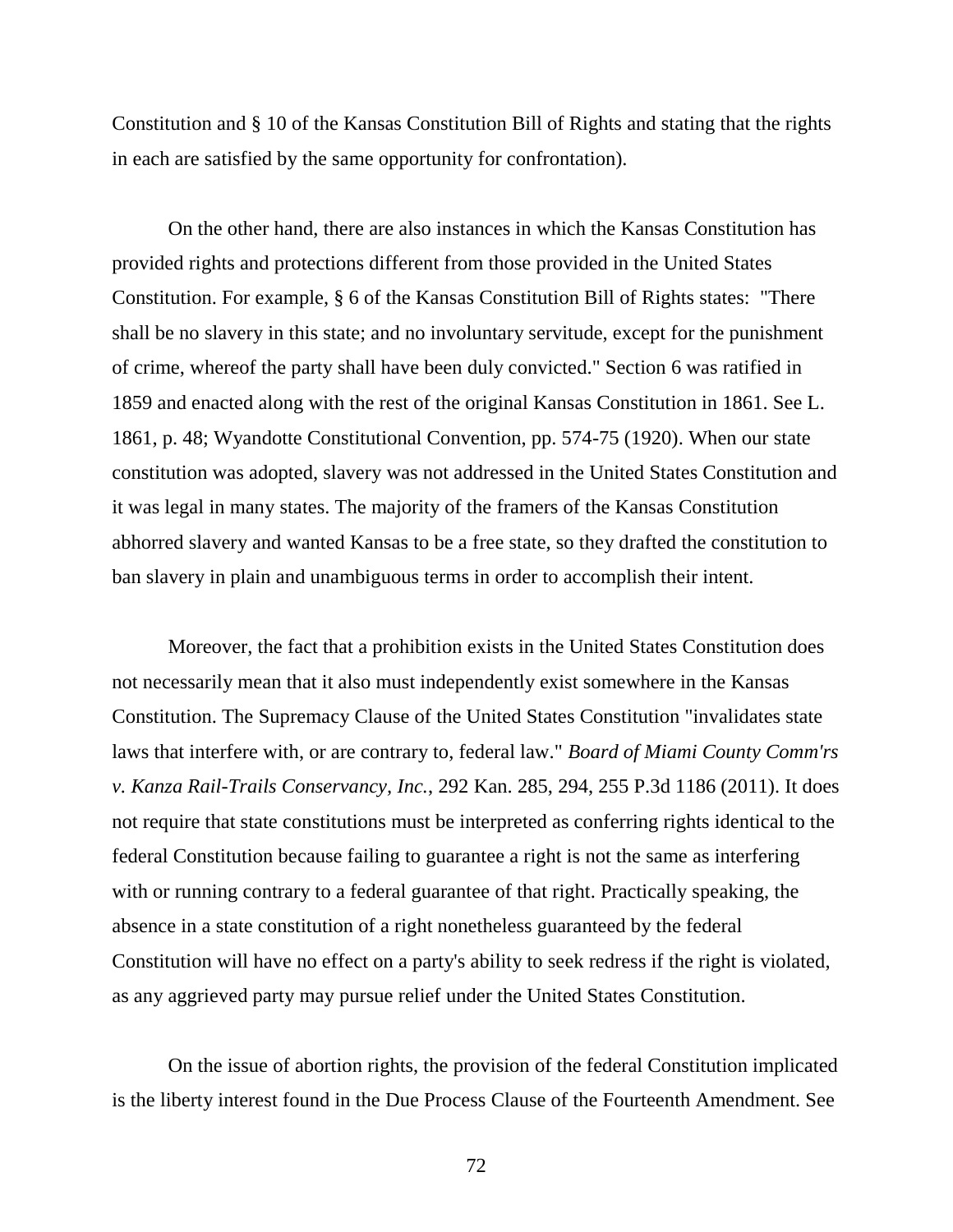Constitution and § 10 of the Kansas Constitution Bill of Rights and stating that the rights in each are satisfied by the same opportunity for confrontation).

On the other hand, there are also instances in which the Kansas Constitution has provided rights and protections different from those provided in the United States Constitution. For example, § 6 of the Kansas Constitution Bill of Rights states: "There shall be no slavery in this state; and no involuntary servitude, except for the punishment of crime, whereof the party shall have been duly convicted." Section 6 was ratified in 1859 and enacted along with the rest of the original Kansas Constitution in 1861. See L. 1861, p. 48; Wyandotte Constitutional Convention, pp. 574-75 (1920). When our state constitution was adopted, slavery was not addressed in the United States Constitution and it was legal in many states. The majority of the framers of the Kansas Constitution abhorred slavery and wanted Kansas to be a free state, so they drafted the constitution to ban slavery in plain and unambiguous terms in order to accomplish their intent.

Moreover, the fact that a prohibition exists in the United States Constitution does not necessarily mean that it also must independently exist somewhere in the Kansas Constitution. The Supremacy Clause of the United States Constitution "invalidates state laws that interfere with, or are contrary to, federal law." *Board of Miami County Comm'rs v. Kanza Rail-Trails Conservancy, Inc.*, 292 Kan. 285, 294, 255 P.3d 1186 (2011). It does not require that state constitutions must be interpreted as conferring rights identical to the federal Constitution because failing to guarantee a right is not the same as interfering with or running contrary to a federal guarantee of that right. Practically speaking, the absence in a state constitution of a right nonetheless guaranteed by the federal Constitution will have no effect on a party's ability to seek redress if the right is violated, as any aggrieved party may pursue relief under the United States Constitution.

On the issue of abortion rights, the provision of the federal Constitution implicated is the liberty interest found in the Due Process Clause of the Fourteenth Amendment. See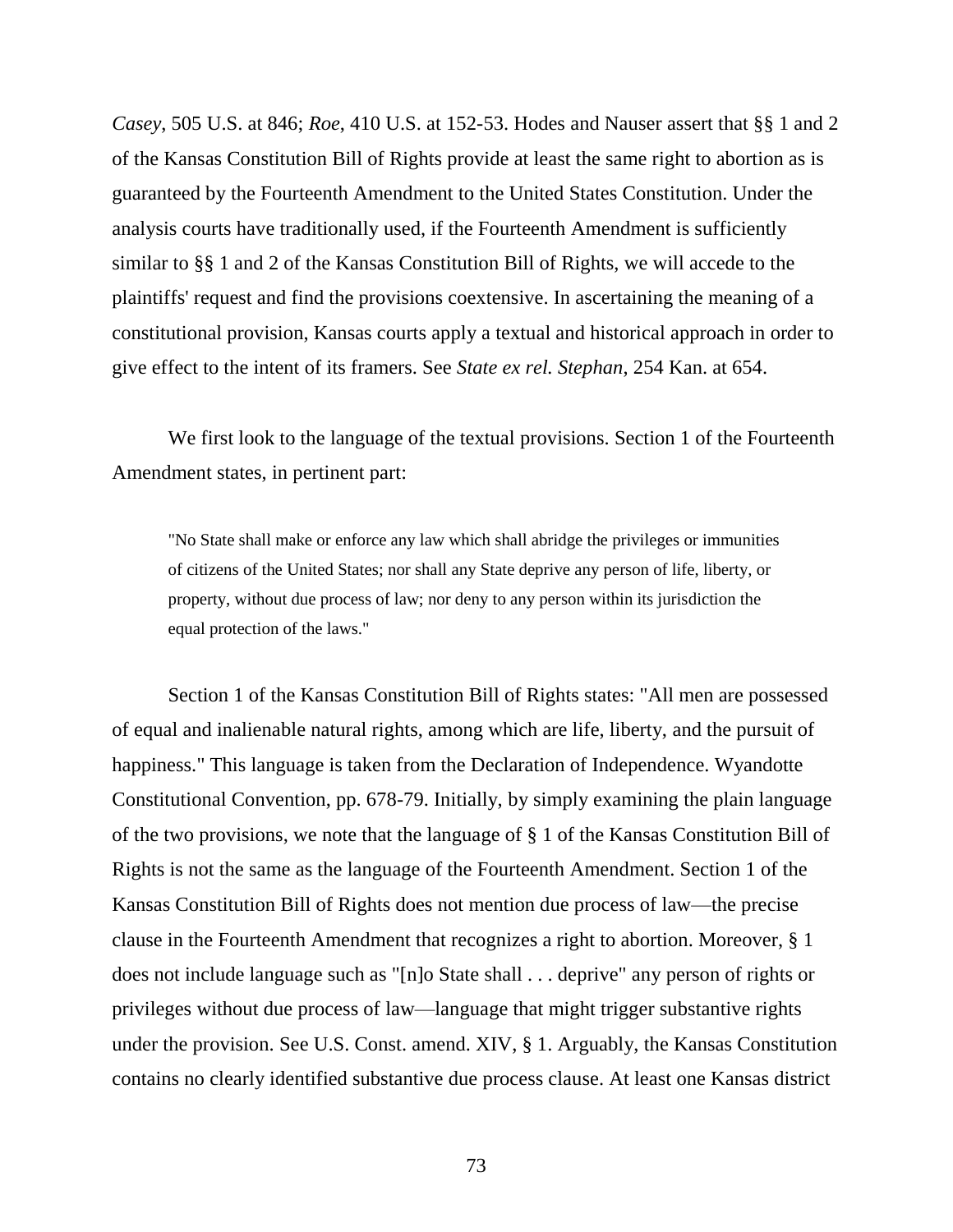*Casey*, 505 U.S. at 846; *Roe*, 410 U.S. at 152-53. Hodes and Nauser assert that §§ 1 and 2 of the Kansas Constitution Bill of Rights provide at least the same right to abortion as is guaranteed by the Fourteenth Amendment to the United States Constitution. Under the analysis courts have traditionally used, if the Fourteenth Amendment is sufficiently similar to §§ 1 and 2 of the Kansas Constitution Bill of Rights, we will accede to the plaintiffs' request and find the provisions coextensive. In ascertaining the meaning of a constitutional provision, Kansas courts apply a textual and historical approach in order to give effect to the intent of its framers. See *State ex rel. Stephan*, 254 Kan. at 654.

We first look to the language of the textual provisions. Section 1 of the Fourteenth Amendment states, in pertinent part:

"No State shall make or enforce any law which shall abridge the privileges or immunities of citizens of the United States; nor shall any State deprive any person of life, liberty, or property, without due process of law; nor deny to any person within its jurisdiction the equal protection of the laws."

Section 1 of the Kansas Constitution Bill of Rights states: "All men are possessed of equal and inalienable natural rights, among which are life, liberty, and the pursuit of happiness." This language is taken from the Declaration of Independence. Wyandotte Constitutional Convention, pp. 678-79. Initially, by simply examining the plain language of the two provisions, we note that the language of § 1 of the Kansas Constitution Bill of Rights is not the same as the language of the Fourteenth Amendment. Section 1 of the Kansas Constitution Bill of Rights does not mention due process of law—the precise clause in the Fourteenth Amendment that recognizes a right to abortion. Moreover, § 1 does not include language such as "[n]o State shall . . . deprive" any person of rights or privileges without due process of law—language that might trigger substantive rights under the provision. See U.S. Const. amend. XIV, § 1. Arguably, the Kansas Constitution contains no clearly identified substantive due process clause. At least one Kansas district

73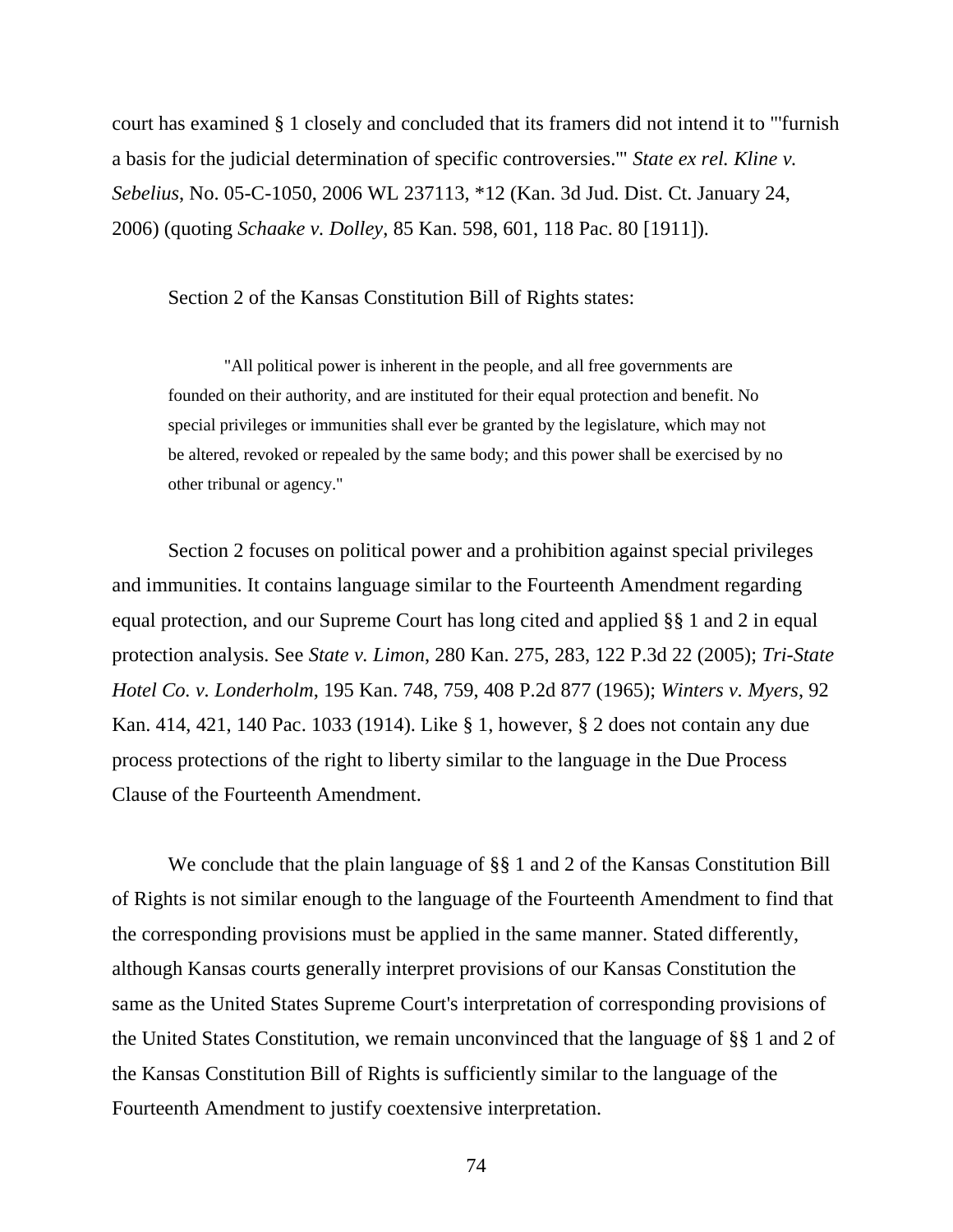court has examined § 1 closely and concluded that its framers did not intend it to "'furnish a basis for the judicial determination of specific controversies.'" *State ex rel. Kline v. Sebelius*, No. 05-C-1050, 2006 WL 237113, \*12 (Kan. 3d Jud. Dist. Ct. January 24, 2006) (quoting *Schaake v. Dolley*, 85 Kan. 598, 601, 118 Pac. 80 [1911]).

Section 2 of the Kansas Constitution Bill of Rights states:

"All political power is inherent in the people, and all free governments are founded on their authority, and are instituted for their equal protection and benefit. No special privileges or immunities shall ever be granted by the legislature, which may not be altered, revoked or repealed by the same body; and this power shall be exercised by no other tribunal or agency."

Section 2 focuses on political power and a prohibition against special privileges and immunities. It contains language similar to the Fourteenth Amendment regarding equal protection, and our Supreme Court has long cited and applied §§ 1 and 2 in equal protection analysis. See *State v. Limon*, 280 Kan. 275, 283, 122 P.3d 22 (2005); *Tri-State Hotel Co. v. Londerholm*, 195 Kan. 748, 759, 408 P.2d 877 (1965); *Winters v. Myers*, 92 Kan. 414, 421, 140 Pac. 1033 (1914). Like § 1, however, § 2 does not contain any due process protections of the right to liberty similar to the language in the Due Process Clause of the Fourteenth Amendment.

We conclude that the plain language of §§ 1 and 2 of the Kansas Constitution Bill of Rights is not similar enough to the language of the Fourteenth Amendment to find that the corresponding provisions must be applied in the same manner. Stated differently, although Kansas courts generally interpret provisions of our Kansas Constitution the same as the United States Supreme Court's interpretation of corresponding provisions of the United States Constitution, we remain unconvinced that the language of §§ 1 and 2 of the Kansas Constitution Bill of Rights is sufficiently similar to the language of the Fourteenth Amendment to justify coextensive interpretation.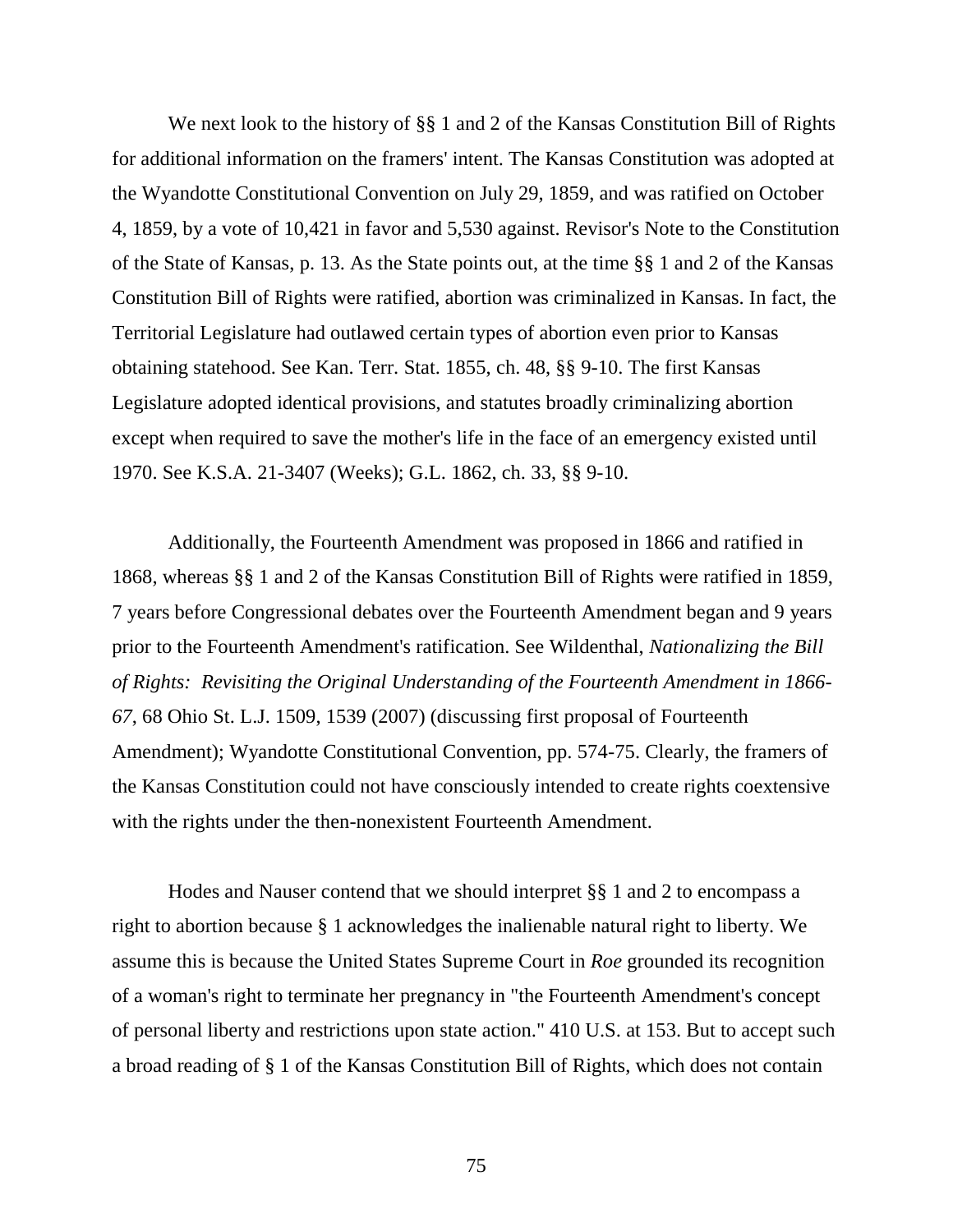We next look to the history of §§ 1 and 2 of the Kansas Constitution Bill of Rights for additional information on the framers' intent. The Kansas Constitution was adopted at the Wyandotte Constitutional Convention on July 29, 1859, and was ratified on October 4, 1859, by a vote of 10,421 in favor and 5,530 against. Revisor's Note to the Constitution of the State of Kansas, p. 13. As the State points out, at the time §§ 1 and 2 of the Kansas Constitution Bill of Rights were ratified, abortion was criminalized in Kansas. In fact, the Territorial Legislature had outlawed certain types of abortion even prior to Kansas obtaining statehood. See Kan. Terr. Stat. 1855, ch. 48, §§ 9-10. The first Kansas Legislature adopted identical provisions, and statutes broadly criminalizing abortion except when required to save the mother's life in the face of an emergency existed until 1970. See K.S.A. 21-3407 (Weeks); G.L. 1862, ch. 33, §§ 9-10.

Additionally, the Fourteenth Amendment was proposed in 1866 and ratified in 1868, whereas §§ 1 and 2 of the Kansas Constitution Bill of Rights were ratified in 1859, 7 years before Congressional debates over the Fourteenth Amendment began and 9 years prior to the Fourteenth Amendment's ratification. See Wildenthal, *Nationalizing the Bill of Rights: Revisiting the Original Understanding of the Fourteenth Amendment in 1866- 67*, 68 Ohio St. L.J. 1509, 1539 (2007) (discussing first proposal of Fourteenth Amendment); Wyandotte Constitutional Convention, pp. 574-75. Clearly, the framers of the Kansas Constitution could not have consciously intended to create rights coextensive with the rights under the then-nonexistent Fourteenth Amendment.

Hodes and Nauser contend that we should interpret §§ 1 and 2 to encompass a right to abortion because § 1 acknowledges the inalienable natural right to liberty. We assume this is because the United States Supreme Court in *Roe* grounded its recognition of a woman's right to terminate her pregnancy in "the Fourteenth Amendment's concept of personal liberty and restrictions upon state action." 410 U.S. at 153. But to accept such a broad reading of § 1 of the Kansas Constitution Bill of Rights, which does not contain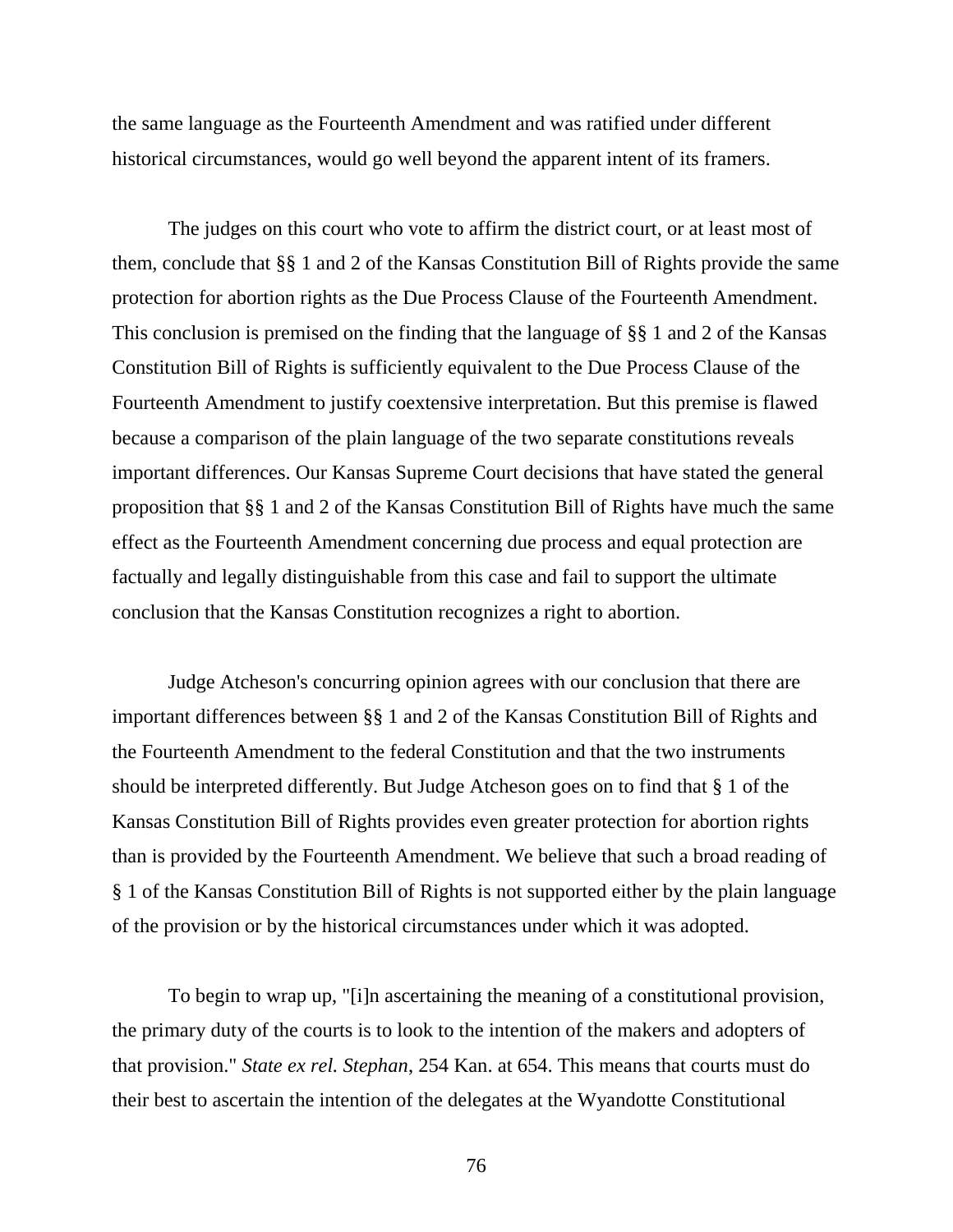the same language as the Fourteenth Amendment and was ratified under different historical circumstances, would go well beyond the apparent intent of its framers.

The judges on this court who vote to affirm the district court, or at least most of them, conclude that §§ 1 and 2 of the Kansas Constitution Bill of Rights provide the same protection for abortion rights as the Due Process Clause of the Fourteenth Amendment. This conclusion is premised on the finding that the language of §§ 1 and 2 of the Kansas Constitution Bill of Rights is sufficiently equivalent to the Due Process Clause of the Fourteenth Amendment to justify coextensive interpretation. But this premise is flawed because a comparison of the plain language of the two separate constitutions reveals important differences. Our Kansas Supreme Court decisions that have stated the general proposition that §§ 1 and 2 of the Kansas Constitution Bill of Rights have much the same effect as the Fourteenth Amendment concerning due process and equal protection are factually and legally distinguishable from this case and fail to support the ultimate conclusion that the Kansas Constitution recognizes a right to abortion.

Judge Atcheson's concurring opinion agrees with our conclusion that there are important differences between §§ 1 and 2 of the Kansas Constitution Bill of Rights and the Fourteenth Amendment to the federal Constitution and that the two instruments should be interpreted differently. But Judge Atcheson goes on to find that § 1 of the Kansas Constitution Bill of Rights provides even greater protection for abortion rights than is provided by the Fourteenth Amendment. We believe that such a broad reading of § 1 of the Kansas Constitution Bill of Rights is not supported either by the plain language of the provision or by the historical circumstances under which it was adopted.

To begin to wrap up, "[i]n ascertaining the meaning of a constitutional provision, the primary duty of the courts is to look to the intention of the makers and adopters of that provision." *State ex rel. Stephan*, 254 Kan. at 654. This means that courts must do their best to ascertain the intention of the delegates at the Wyandotte Constitutional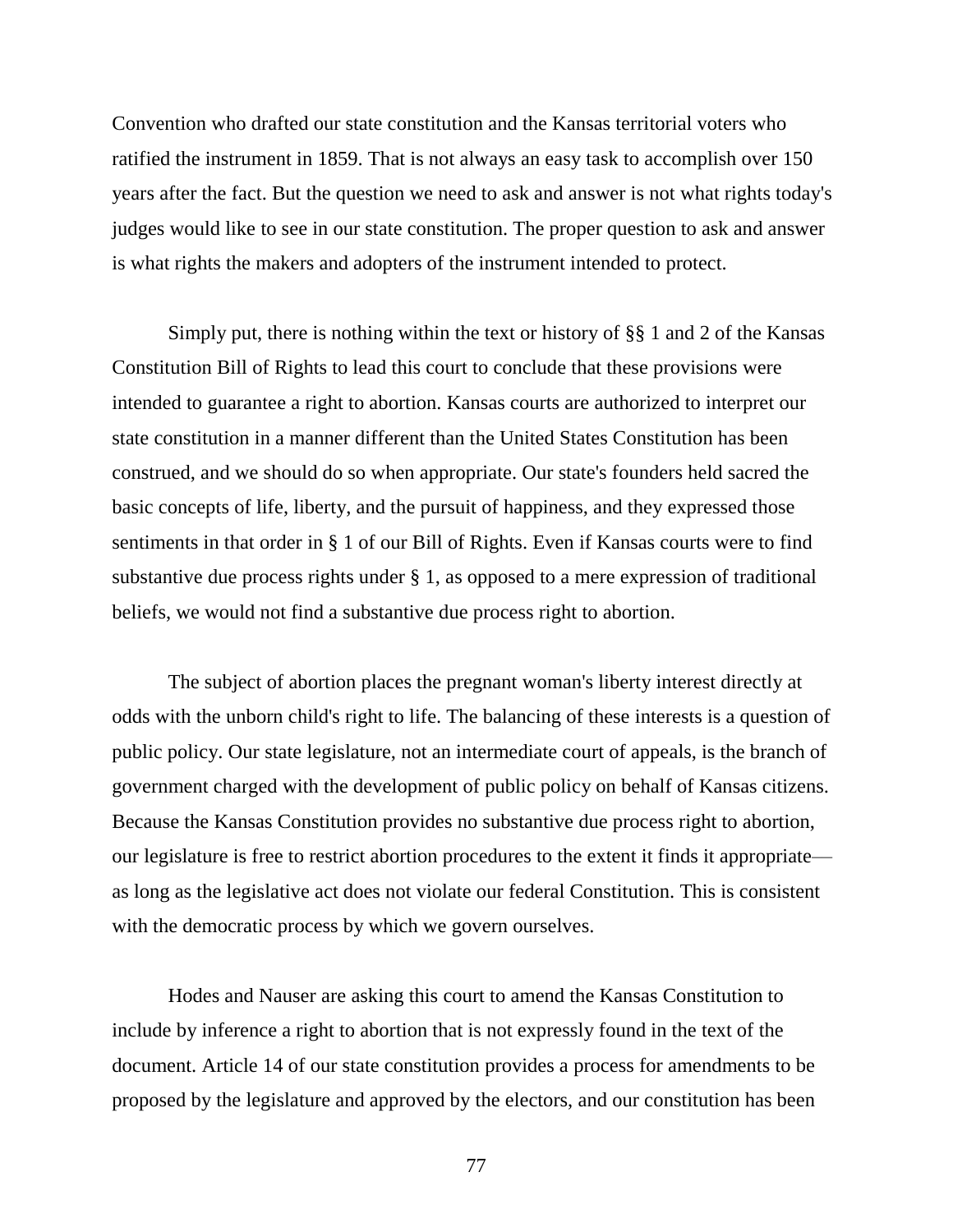Convention who drafted our state constitution and the Kansas territorial voters who ratified the instrument in 1859. That is not always an easy task to accomplish over 150 years after the fact. But the question we need to ask and answer is not what rights today's judges would like to see in our state constitution. The proper question to ask and answer is what rights the makers and adopters of the instrument intended to protect.

Simply put, there is nothing within the text or history of §§ 1 and 2 of the Kansas Constitution Bill of Rights to lead this court to conclude that these provisions were intended to guarantee a right to abortion. Kansas courts are authorized to interpret our state constitution in a manner different than the United States Constitution has been construed, and we should do so when appropriate. Our state's founders held sacred the basic concepts of life, liberty, and the pursuit of happiness, and they expressed those sentiments in that order in § 1 of our Bill of Rights. Even if Kansas courts were to find substantive due process rights under § 1, as opposed to a mere expression of traditional beliefs, we would not find a substantive due process right to abortion.

The subject of abortion places the pregnant woman's liberty interest directly at odds with the unborn child's right to life. The balancing of these interests is a question of public policy. Our state legislature, not an intermediate court of appeals, is the branch of government charged with the development of public policy on behalf of Kansas citizens. Because the Kansas Constitution provides no substantive due process right to abortion, our legislature is free to restrict abortion procedures to the extent it finds it appropriate–– as long as the legislative act does not violate our federal Constitution. This is consistent with the democratic process by which we govern ourselves.

Hodes and Nauser are asking this court to amend the Kansas Constitution to include by inference a right to abortion that is not expressly found in the text of the document. Article 14 of our state constitution provides a process for amendments to be proposed by the legislature and approved by the electors, and our constitution has been